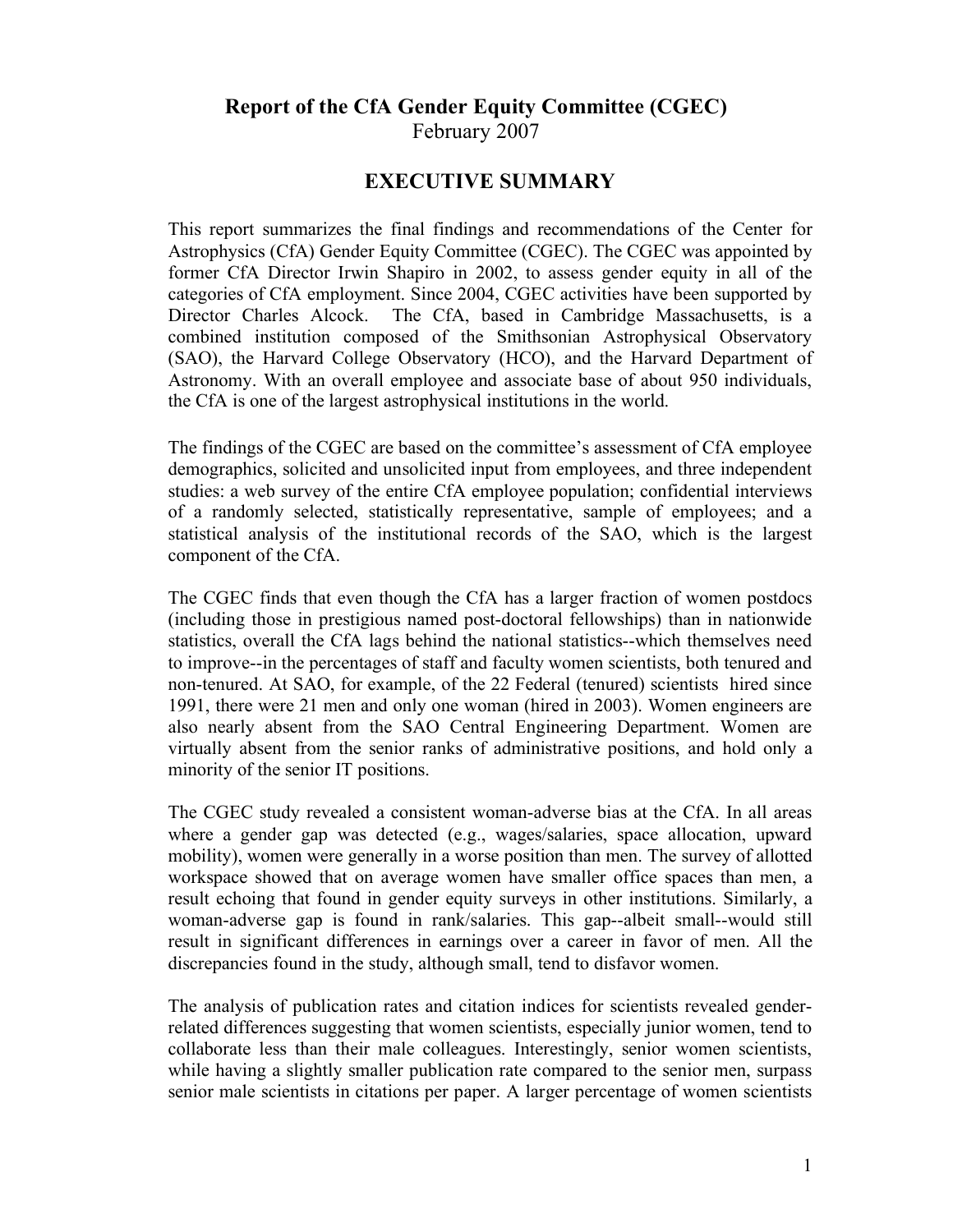## **Report of the CfA Gender Equity Committee (CGEC)** February 2007

### **EXECUTIVE SUMMARY**

This report summarizes the final findings and recommendations of the Center for Astrophysics (CfA) Gender Equity Committee (CGEC). The CGEC was appointed by former CfA Director Irwin Shapiro in 2002, to assess gender equity in all of the categories of CfA employment. Since 2004, CGEC activities have been supported by Director Charles Alcock. The CfA, based in Cambridge Massachusetts, is a combined institution composed of the Smithsonian Astrophysical Observatory (SAO), the Harvard College Observatory (HCO), and the Harvard Department of Astronomy. With an overall employee and associate base of about 950 individuals, the CfA is one of the largest astrophysical institutions in the world.

The findings of the CGEC are based on the committee's assessment of CfA employee demographics, solicited and unsolicited input from employees, and three independent studies: a web survey of the entire CfA employee population; confidential interviews of a randomly selected, statistically representative, sample of employees; and a statistical analysis of the institutional records of the SAO, which is the largest component of the CfA.

The CGEC finds that even though the CfA has a larger fraction of women postdocs (including those in prestigious named post-doctoral fellowships) than in nationwide statistics, overall the CfA lags behind the national statistics--which themselves need to improve--in the percentages of staff and faculty women scientists, both tenured and non-tenured. At SAO, for example, of the 22 Federal (tenured) scientists hired since 1991, there were 21 men and only one woman (hired in 2003). Women engineers are also nearly absent from the SAO Central Engineering Department. Women are virtually absent from the senior ranks of administrative positions, and hold only a minority of the senior IT positions.

The CGEC study revealed a consistent woman-adverse bias at the CfA. In all areas where a gender gap was detected (e.g., wages/salaries, space allocation, upward mobility), women were generally in a worse position than men. The survey of allotted workspace showed that on average women have smaller office spaces than men, a result echoing that found in gender equity surveys in other institutions. Similarly, a woman-adverse gap is found in rank/salaries. This gap--albeit small--would still result in significant differences in earnings over a career in favor of men. All the discrepancies found in the study, although small, tend to disfavor women.

The analysis of publication rates and citation indices for scientists revealed genderrelated differences suggesting that women scientists, especially junior women, tend to collaborate less than their male colleagues. Interestingly, senior women scientists, while having a slightly smaller publication rate compared to the senior men, surpass senior male scientists in citations per paper. A larger percentage of women scientists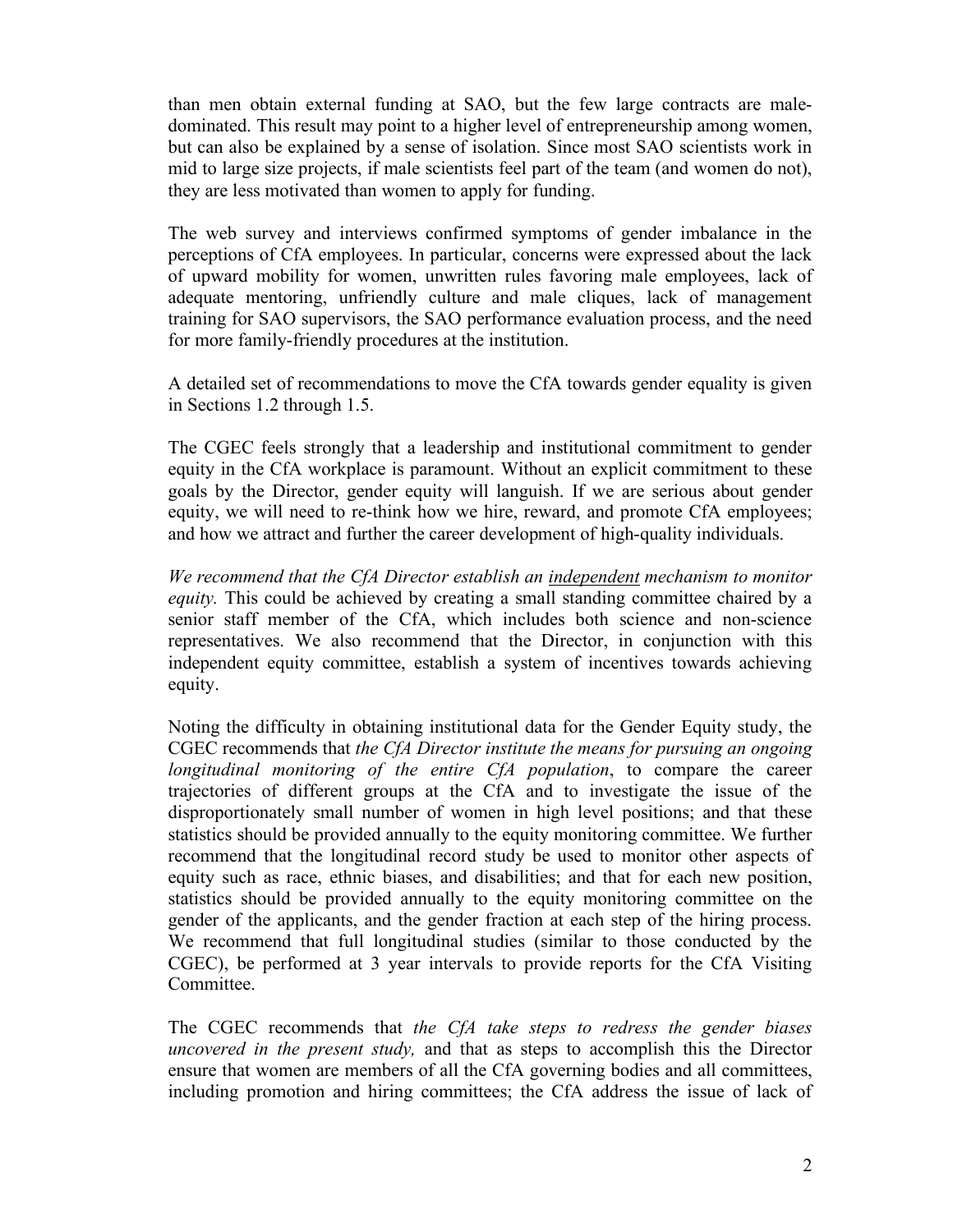than men obtain external funding at SAO, but the few large contracts are maledominated. This result may point to a higher level of entrepreneurship among women, but can also be explained by a sense of isolation. Since most SAO scientists work in mid to large size projects, if male scientists feel part of the team (and women do not), they are less motivated than women to apply for funding.

The web survey and interviews confirmed symptoms of gender imbalance in the perceptions of CfA employees. In particular, concerns were expressed about the lack of upward mobility for women, unwritten rules favoring male employees, lack of adequate mentoring, unfriendly culture and male cliques, lack of management training for SAO supervisors, the SAO performance evaluation process, and the need for more family-friendly procedures at the institution.

A detailed set of recommendations to move the CfA towards gender equality is given in Sections 1.2 through 1.5.

The CGEC feels strongly that a leadership and institutional commitment to gender equity in the CfA workplace is paramount. Without an explicit commitment to these goals by the Director, gender equity will languish. If we are serious about gender equity, we will need to re-think how we hire, reward, and promote CfA employees; and how we attract and further the career development of high-quality individuals.

*We recommend that the CfA Director establish an independent mechanism to monitor equity*. This could be achieved by creating a small standing committee chaired by a senior staff member of the CfA, which includes both science and non-science representatives. We also recommend that the Director, in conjunction with this independent equity committee, establish a system of incentives towards achieving equity.

Noting the difficulty in obtaining institutional data for the Gender Equity study, the CGEC recommends that *the CfA Director institute the means for pursuing an ongoing longitudinal monitoring of the entire CfA population*, to compare the career trajectories of different groups at the CfA and to investigate the issue of the disproportionately small number of women in high level positions; and that these statistics should be provided annually to the equity monitoring committee. We further recommend that the longitudinal record study be used to monitor other aspects of equity such as race, ethnic biases, and disabilities; and that for each new position, statistics should be provided annually to the equity monitoring committee on the gender of the applicants, and the gender fraction at each step of the hiring process. We recommend that full longitudinal studies (similar to those conducted by the CGEC), be performed at 3 year intervals to provide reports for the CfA Visiting Committee.

The CGEC recommends that *the CfA take steps to redress the gender biases uncovered in the present study,* and that as steps to accomplish this the Director ensure that women are members of all the CfA governing bodies and all committees, including promotion and hiring committees; the CfA address the issue of lack of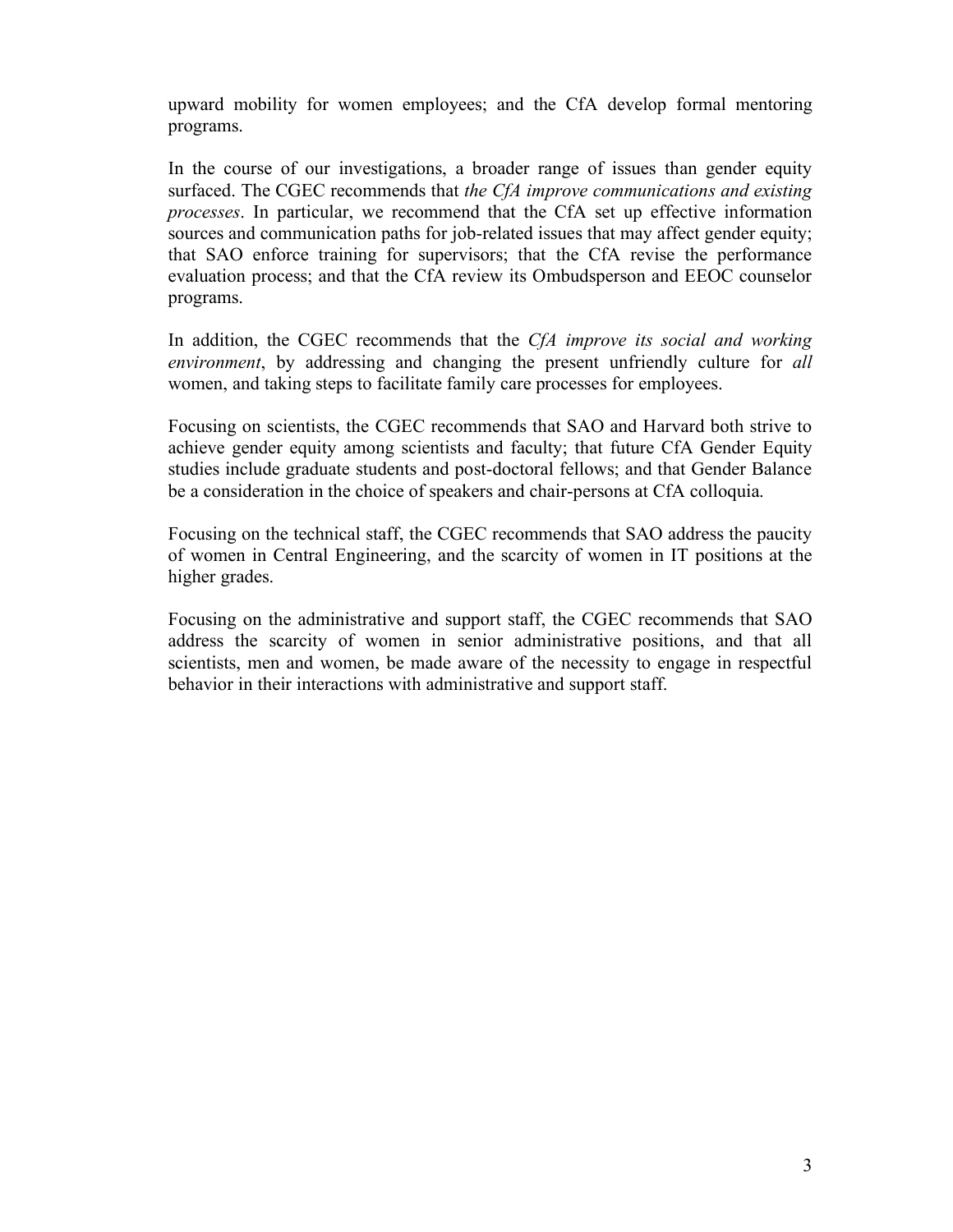upward mobility for women employees; and the CfA develop formal mentoring programs.

In the course of our investigations, a broader range of issues than gender equity surfaced. The CGEC recommends that *the CfA improve communications and existing processes*. In particular, we recommend that the CfA set up effective information sources and communication paths for job-related issues that may affect gender equity; that SAO enforce training for supervisors; that the CfA revise the performance evaluation process; and that the CfA review its Ombudsperson and EEOC counselor programs.

In addition, the CGEC recommends that the *CfA improve its social and working environment*, by addressing and changing the present unfriendly culture for *all* women, and taking steps to facilitate family care processes for employees.

Focusing on scientists, the CGEC recommends that SAO and Harvard both strive to achieve gender equity among scientists and faculty; that future CfA Gender Equity studies include graduate students and post-doctoral fellows; and that Gender Balance be a consideration in the choice of speakers and chair-persons at CfA colloquia.

Focusing on the technical staff, the CGEC recommends that SAO address the paucity of women in Central Engineering, and the scarcity of women in IT positions at the higher grades.

Focusing on the administrative and support staff, the CGEC recommends that SAO address the scarcity of women in senior administrative positions, and that all scientists, men and women, be made aware of the necessity to engage in respectful behavior in their interactions with administrative and support staff.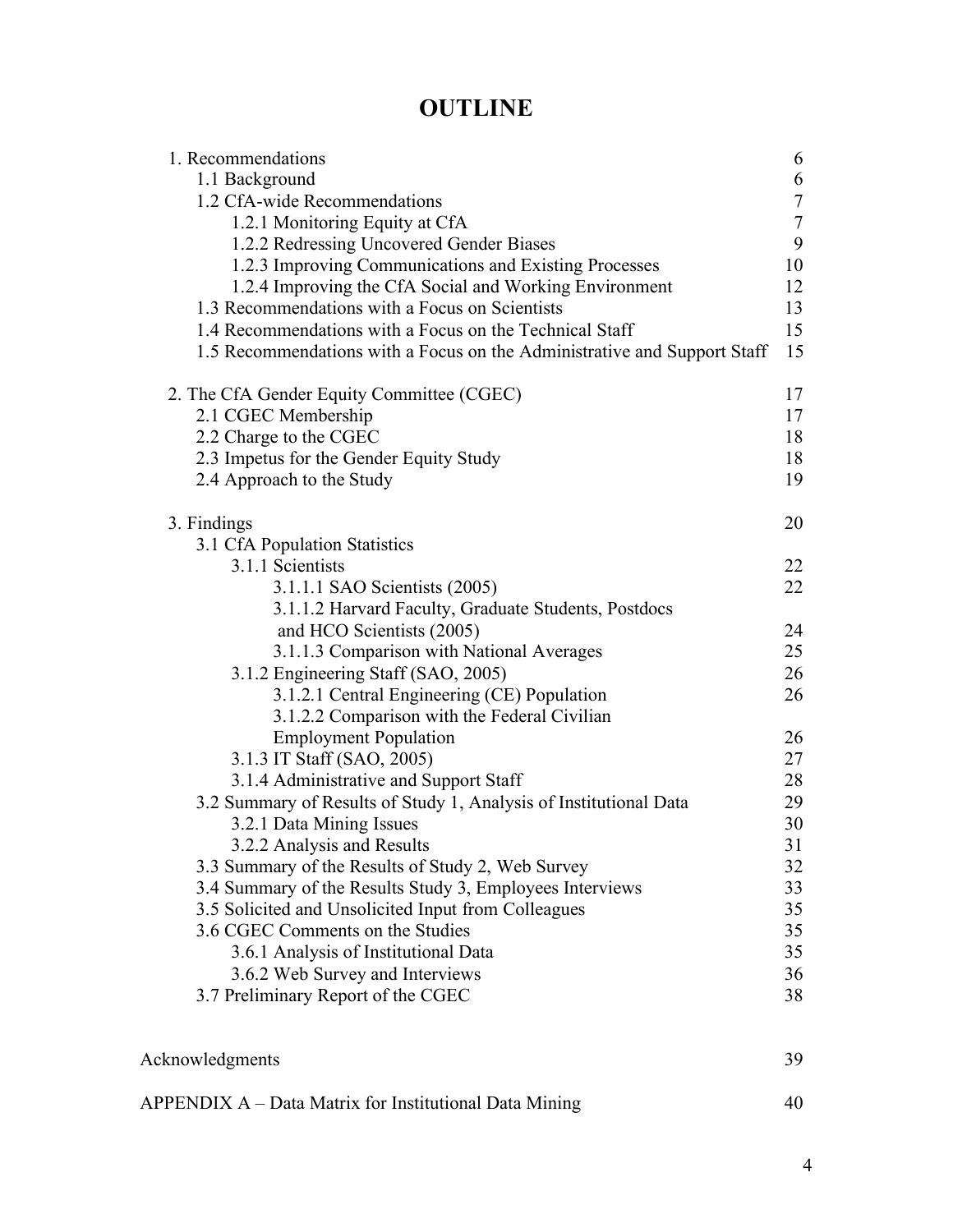# **OUTLINE**

| 1. Recommendations                                                       | 6             |
|--------------------------------------------------------------------------|---------------|
| 1.1 Background                                                           | 6             |
| 1.2 CfA-wide Recommendations                                             | $\frac{7}{7}$ |
| 1.2.1 Monitoring Equity at CfA                                           |               |
| 1.2.2 Redressing Uncovered Gender Biases                                 | 9             |
| 1.2.3 Improving Communications and Existing Processes                    | 10            |
| 1.2.4 Improving the CfA Social and Working Environment                   | 12            |
| 1.3 Recommendations with a Focus on Scientists                           | 13            |
| 1.4 Recommendations with a Focus on the Technical Staff                  | 15            |
| 1.5 Recommendations with a Focus on the Administrative and Support Staff | 15            |
| 2. The CfA Gender Equity Committee (CGEC)                                | 17            |
| 2.1 CGEC Membership                                                      | 17            |
| 2.2 Charge to the CGEC                                                   | 18            |
| 2.3 Impetus for the Gender Equity Study                                  | 18            |
| 2.4 Approach to the Study                                                | 19            |
| 3. Findings                                                              | 20            |
| 3.1 CfA Population Statistics                                            |               |
| 3.1.1 Scientists                                                         | 22            |
| 3.1.1.1 SAO Scientists (2005)                                            | 22            |
| 3.1.1.2 Harvard Faculty, Graduate Students, Postdocs                     |               |
| and HCO Scientists (2005)                                                | 24            |
| 3.1.1.3 Comparison with National Averages                                | 25            |
| 3.1.2 Engineering Staff (SAO, 2005)                                      | 26            |
| 3.1.2.1 Central Engineering (CE) Population                              | 26            |
| 3.1.2.2 Comparison with the Federal Civilian                             |               |
| <b>Employment Population</b>                                             | 26            |
|                                                                          | 27            |
| 3.1.3 IT Staff (SAO, 2005)                                               | 28            |
| 3.1.4 Administrative and Support Staff                                   |               |
| 3.2 Summary of Results of Study 1, Analysis of Institutional Data        | 29            |
| 3.2.1 Data Mining Issues                                                 | 30            |
| 3.2.2 Analysis and Results                                               | 31            |
| 3.3 Summary of the Results of Study 2, Web Survey                        | 32            |
| 3.4 Summary of the Results Study 3, Employees Interviews                 | 33            |
| 3.5 Solicited and Unsolicited Input from Colleagues                      | 35            |
| 3.6 CGEC Comments on the Studies                                         | 35            |
| 3.6.1 Analysis of Institutional Data                                     | 35            |
| 3.6.2 Web Survey and Interviews                                          | 36            |
| 3.7 Preliminary Report of the CGEC                                       | 38            |
|                                                                          |               |
| Acknowledgments                                                          | 39            |

| APPENDIX A – Data Matrix for Institutional Data Mining |  |
|--------------------------------------------------------|--|
|                                                        |  |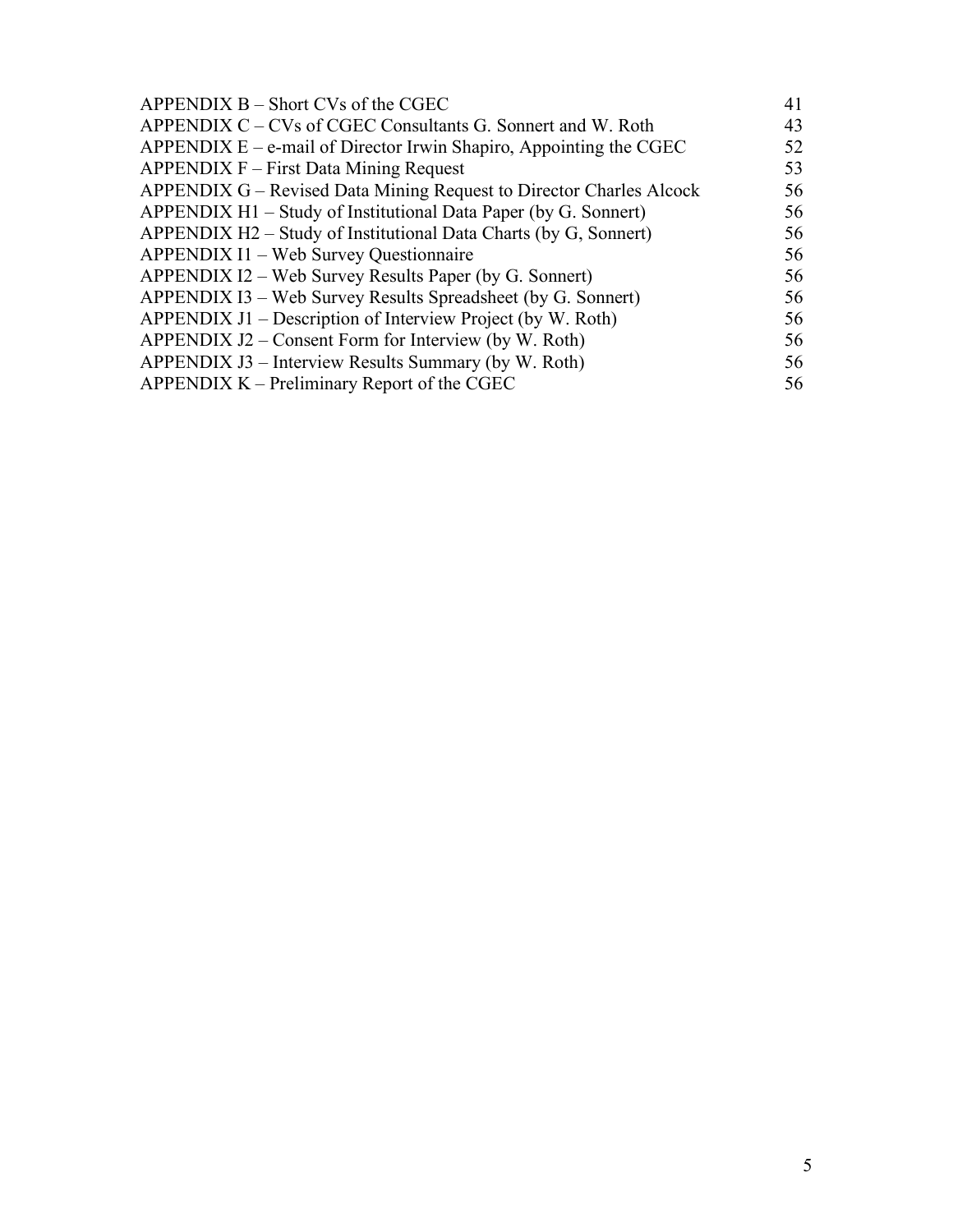| $APPENDIX B - Short CVs of the CGEC$                                  | 41 |
|-----------------------------------------------------------------------|----|
| APPENDIX C – CVs of CGEC Consultants G. Sonnert and W. Roth           | 43 |
| APPENDIX $E - e$ -mail of Director Irwin Shapiro, Appointing the CGEC | 52 |
| APPENDIX F – First Data Mining Request                                | 53 |
| APPENDIX G – Revised Data Mining Request to Director Charles Alcock   | 56 |
| APPENDIX H1 – Study of Institutional Data Paper (by G. Sonnert)       | 56 |
| APPENDIX H2 – Study of Institutional Data Charts (by G, Sonnert)      | 56 |
| <b>APPENDIX I1 – Web Survey Questionnaire</b>                         | 56 |
| APPENDIX I2 – Web Survey Results Paper (by G. Sonnert)                | 56 |
| APPENDIX I3 – Web Survey Results Spreadsheet (by G. Sonnert)          | 56 |
| APPENDIX J1 – Description of Interview Project (by W. Roth)           | 56 |
| APPENDIX J2 – Consent Form for Interview (by W. Roth)                 | 56 |
| APPENDIX J3 – Interview Results Summary (by W. Roth)                  | 56 |
| APPENDIX $K$ – Preliminary Report of the CGEC                         | 56 |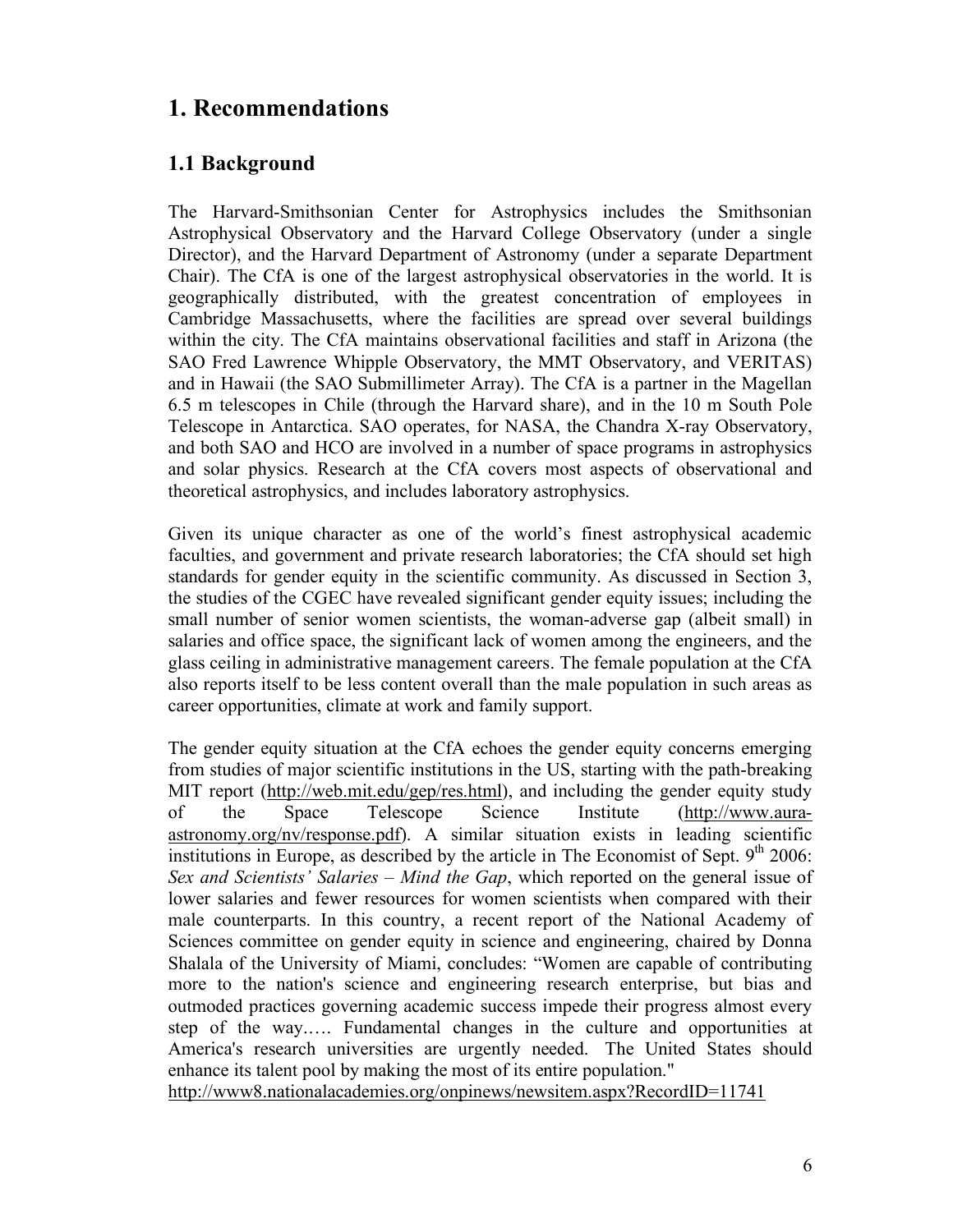# **1. Recommendations**

### **1.1 Background**

The Harvard-Smithsonian Center for Astrophysics includes the Smithsonian Astrophysical Observatory and the Harvard College Observatory (under a single Director), and the Harvard Department of Astronomy (under a separate Department Chair). The CfA is one of the largest astrophysical observatories in the world. It is geographically distributed, with the greatest concentration of employees in Cambridge Massachusetts, where the facilities are spread over several buildings within the city. The CfA maintains observational facilities and staff in Arizona (the SAO Fred Lawrence Whipple Observatory, the MMT Observatory, and VERITAS) and in Hawaii (the SAO Submillimeter Array). The CfA is a partner in the Magellan 6.5 m telescopes in Chile (through the Harvard share), and in the 10 m South Pole Telescope in Antarctica. SAO operates, for NASA, the Chandra X-ray Observatory, and both SAO and HCO are involved in a number of space programs in astrophysics and solar physics. Research at the CfA covers most aspects of observational and theoretical astrophysics, and includes laboratory astrophysics.

Given its unique character as one of the world's finest astrophysical academic faculties, and government and private research laboratories; the CfA should set high standards for gender equity in the scientific community. As discussed in Section 3, the studies of the CGEC have revealed significant gender equity issues; including the small number of senior women scientists, the woman-adverse gap (albeit small) in salaries and office space, the significant lack of women among the engineers, and the glass ceiling in administrative management careers. The female population at the CfA also reports itself to be less content overall than the male population in such areas as career opportunities, climate at work and family support.

The gender equity situation at the CfA echoes the gender equity concerns emerging from studies of major scientific institutions in the US, starting with the path-breaking MIT report (http://web.mit.edu/gep/res.html), and including the gender equity study of the Space Telescope Science Institute (http://www.auraastronomy.org/nv/response.pdf). A similar situation exists in leading scientific institutions in Europe, as described by the article in The Economist of Sept.  $9<sup>th</sup> 2006$ : *Sex and Scientists' Salaries – Mind the Gap*, which reported on the general issue of lower salaries and fewer resources for women scientists when compared with their male counterparts. In this country, a recent report of the National Academy of Sciences committee on gender equity in science and engineering, chaired by Donna Shalala of the University of Miami, concludes: "Women are capable of contributing more to the nation's science and engineering research enterprise, but bias and outmoded practices governing academic success impede their progress almost every step of the way.…. Fundamental changes in the culture and opportunities at America's research universities are urgently needed. The United States should enhance its talent pool by making the most of its entire population."

http://www8.nationalacademies.org/onpinews/newsitem.aspx?RecordID=11741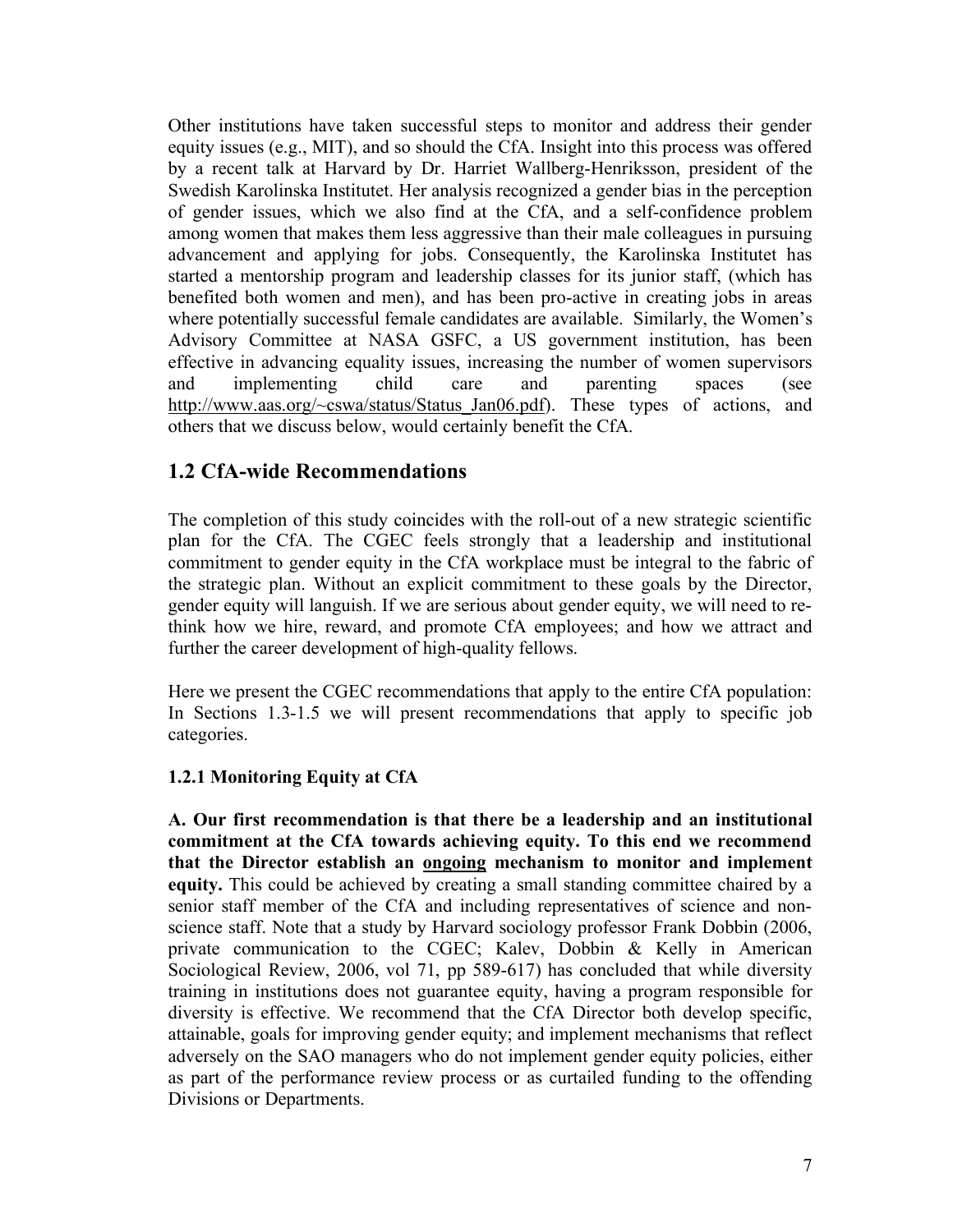Other institutions have taken successful steps to monitor and address their gender equity issues (e.g., MIT), and so should the CfA. Insight into this process was offered by a recent talk at Harvard by Dr. Harriet Wallberg-Henriksson, president of the Swedish Karolinska Institutet. Her analysis recognized a gender bias in the perception of gender issues, which we also find at the CfA, and a self-confidence problem among women that makes them less aggressive than their male colleagues in pursuing advancement and applying for jobs. Consequently, the Karolinska Institutet has started a mentorship program and leadership classes for its junior staff, (which has benefited both women and men), and has been pro-active in creating jobs in areas where potentially successful female candidates are available. Similarly, the Women's Advisory Committee at NASA GSFC, a US government institution, has been effective in advancing equality issues, increasing the number of women supervisors and implementing child care and parenting spaces (see http://www.aas.org/~cswa/status/Status\_Jan06.pdf). These types of actions, and others that we discuss below, would certainly benefit the CfA.

### **1.2 CfA-wide Recommendations**

The completion of this study coincides with the roll-out of a new strategic scientific plan for the CfA. The CGEC feels strongly that a leadership and institutional commitment to gender equity in the CfA workplace must be integral to the fabric of the strategic plan. Without an explicit commitment to these goals by the Director, gender equity will languish. If we are serious about gender equity, we will need to rethink how we hire, reward, and promote CfA employees; and how we attract and further the career development of high-quality fellows.

Here we present the CGEC recommendations that apply to the entire CfA population: In Sections 1.3-1.5 we will present recommendations that apply to specific job categories.

#### **1.2.1 Monitoring Equity at CfA**

**A. Our first recommendation is that there be a leadership and an institutional commitment at the CfA towards achieving equity. To this end we recommend that the Director establish an ongoing mechanism to monitor and implement equity.** This could be achieved by creating a small standing committee chaired by a senior staff member of the CfA and including representatives of science and nonscience staff. Note that a study by Harvard sociology professor Frank Dobbin (2006, private communication to the CGEC; Kalev, Dobbin & Kelly in American Sociological Review, 2006, vol 71, pp 589-617) has concluded that while diversity training in institutions does not guarantee equity, having a program responsible for diversity is effective. We recommend that the CfA Director both develop specific, attainable, goals for improving gender equity; and implement mechanisms that reflect adversely on the SAO managers who do not implement gender equity policies, either as part of the performance review process or as curtailed funding to the offending Divisions or Departments.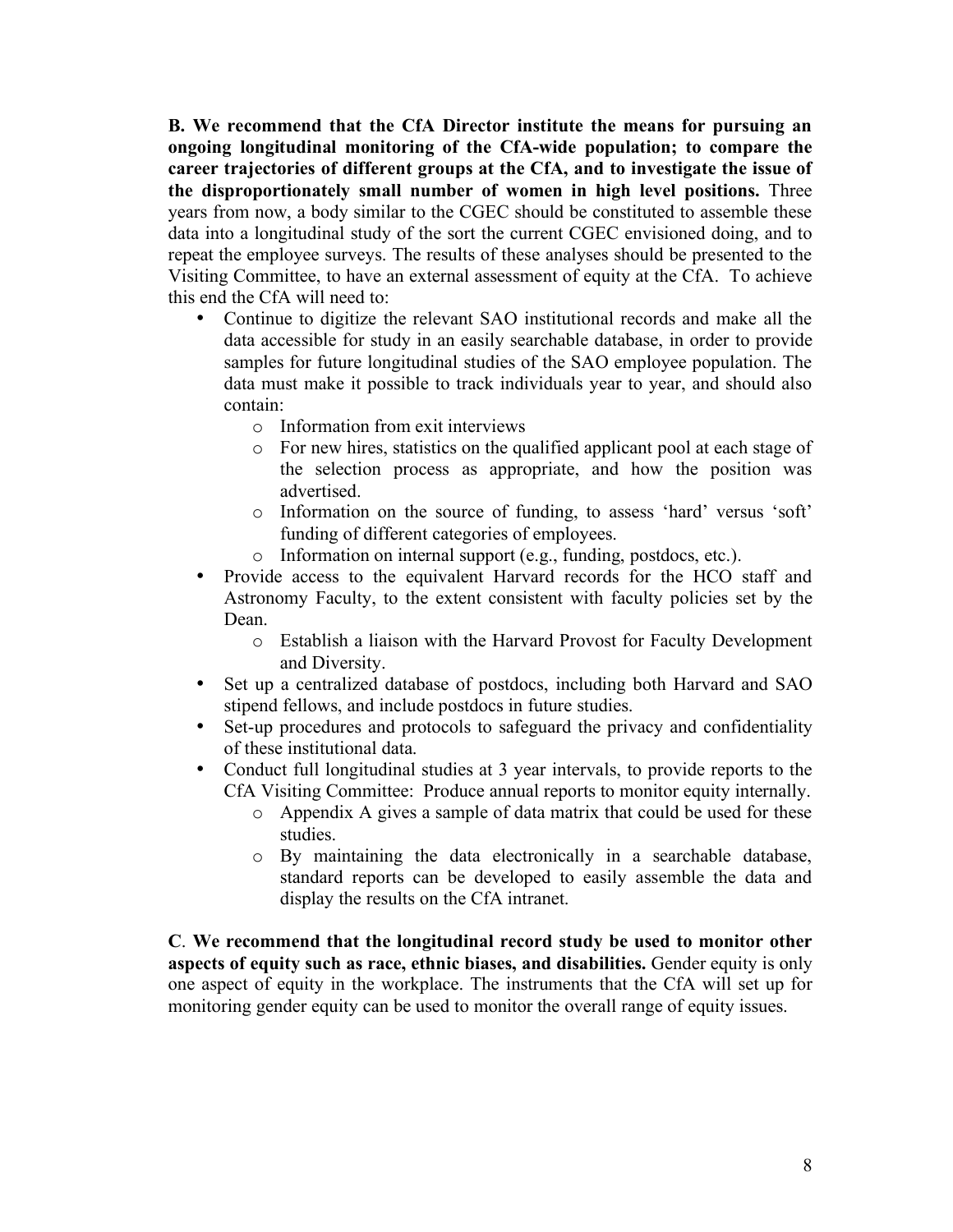**B. We recommend that the CfA Director institute the means for pursuing an ongoing longitudinal monitoring of the CfA-wide population; to compare the career trajectories of different groups at the CfA, and to investigate the issue of the disproportionately small number of women in high level positions.** Three years from now, a body similar to the CGEC should be constituted to assemble these data into a longitudinal study of the sort the current CGEC envisioned doing, and to repeat the employee surveys. The results of these analyses should be presented to the Visiting Committee, to have an external assessment of equity at the CfA. To achieve this end the CfA will need to:

- Continue to digitize the relevant SAO institutional records and make all the data accessible for study in an easily searchable database, in order to provide samples for future longitudinal studies of the SAO employee population. The data must make it possible to track individuals year to year, and should also contain:
	- o Information from exit interviews
	- o For new hires, statistics on the qualified applicant pool at each stage of the selection process as appropriate, and how the position was advertised.
	- o Information on the source of funding, to assess 'hard' versus 'soft' funding of different categories of employees.
	- o Information on internal support (e.g., funding, postdocs, etc.).
- Provide access to the equivalent Harvard records for the HCO staff and Astronomy Faculty, to the extent consistent with faculty policies set by the Dean.
	- o Establish a liaison with the Harvard Provost for Faculty Development and Diversity.
- Set up a centralized database of postdocs, including both Harvard and SAO stipend fellows, and include postdocs in future studies.
- Set-up procedures and protocols to safeguard the privacy and confidentiality of these institutional data.
- Conduct full longitudinal studies at 3 year intervals, to provide reports to the CfA Visiting Committee: Produce annual reports to monitor equity internally.
	- o Appendix A gives a sample of data matrix that could be used for these studies.
	- o By maintaining the data electronically in a searchable database, standard reports can be developed to easily assemble the data and display the results on the CfA intranet.

**C**. **We recommend that the longitudinal record study be used to monitor other aspects of equity such as race, ethnic biases, and disabilities.** Gender equity is only one aspect of equity in the workplace. The instruments that the CfA will set up for monitoring gender equity can be used to monitor the overall range of equity issues.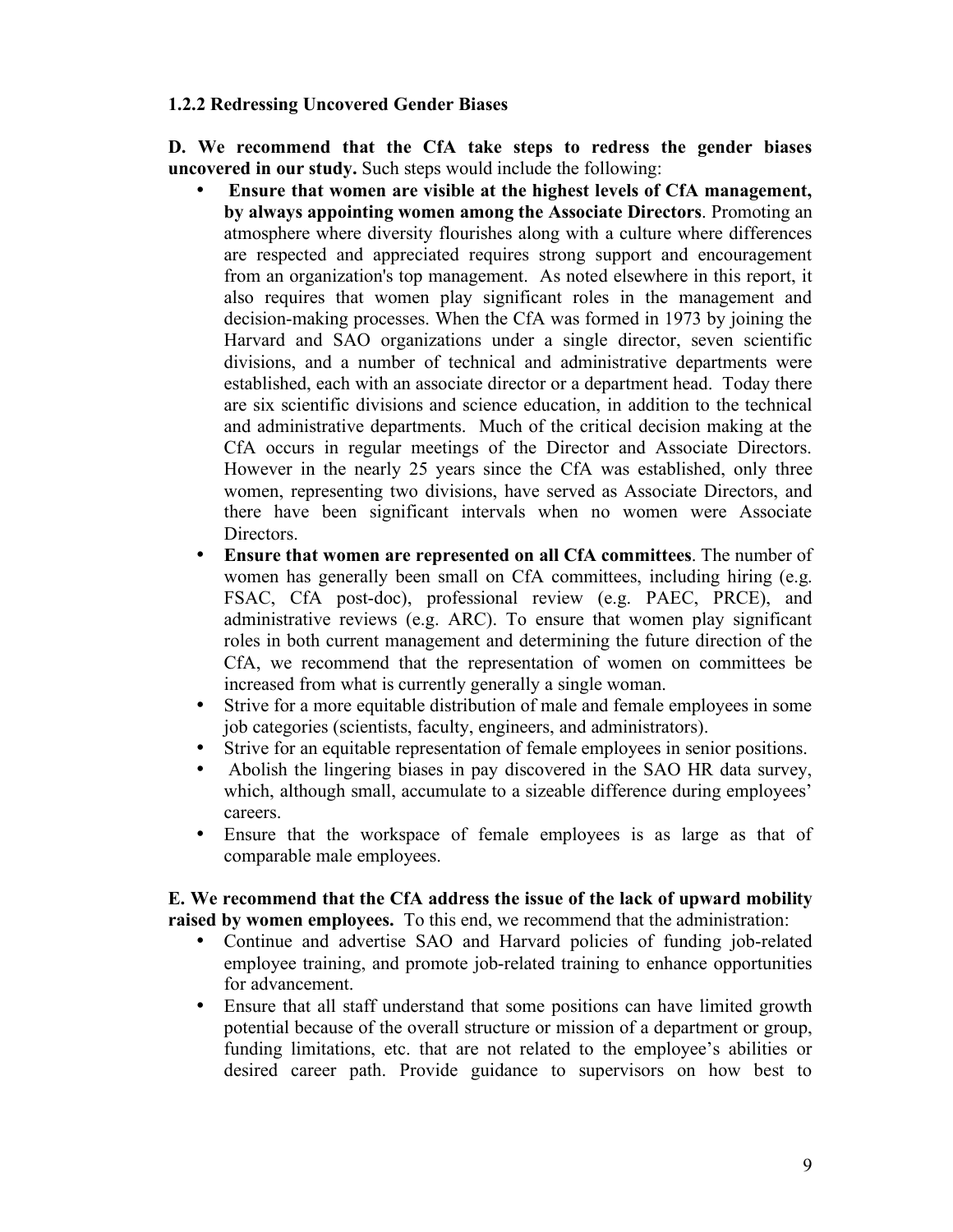#### **1.2.2 Redressing Uncovered Gender Biases**

**D. We recommend that the CfA take steps to redress the gender biases uncovered in our study.** Such steps would include the following:

- **Ensure that women are visible at the highest levels of CfA management, by always appointing women among the Associate Directors**. Promoting an atmosphere where diversity flourishes along with a culture where differences are respected and appreciated requires strong support and encouragement from an organization's top management. As noted elsewhere in this report, it also requires that women play significant roles in the management and decision-making processes. When the CfA was formed in 1973 by joining the Harvard and SAO organizations under a single director, seven scientific divisions, and a number of technical and administrative departments were established, each with an associate director or a department head. Today there are six scientific divisions and science education, in addition to the technical and administrative departments. Much of the critical decision making at the CfA occurs in regular meetings of the Director and Associate Directors. However in the nearly 25 years since the CfA was established, only three women, representing two divisions, have served as Associate Directors, and there have been significant intervals when no women were Associate **Directors**
- **Ensure that women are represented on all CfA committees**. The number of women has generally been small on CfA committees, including hiring (e.g. FSAC, CfA post-doc), professional review (e.g. PAEC, PRCE), and administrative reviews (e.g. ARC). To ensure that women play significant roles in both current management and determining the future direction of the CfA, we recommend that the representation of women on committees be increased from what is currently generally a single woman.
- Strive for a more equitable distribution of male and female employees in some job categories (scientists, faculty, engineers, and administrators).
- Strive for an equitable representation of female employees in senior positions.
- Abolish the lingering biases in pay discovered in the SAO HR data survey, which, although small, accumulate to a sizeable difference during employees' careers.
- Ensure that the workspace of female employees is as large as that of comparable male employees.

#### **E. We recommend that the CfA address the issue of the lack of upward mobility raised by women employees.** To this end, we recommend that the administration:

- Continue and advertise SAO and Harvard policies of funding job-related employee training, and promote job-related training to enhance opportunities for advancement.
- Ensure that all staff understand that some positions can have limited growth potential because of the overall structure or mission of a department or group, funding limitations, etc. that are not related to the employee's abilities or desired career path. Provide guidance to supervisors on how best to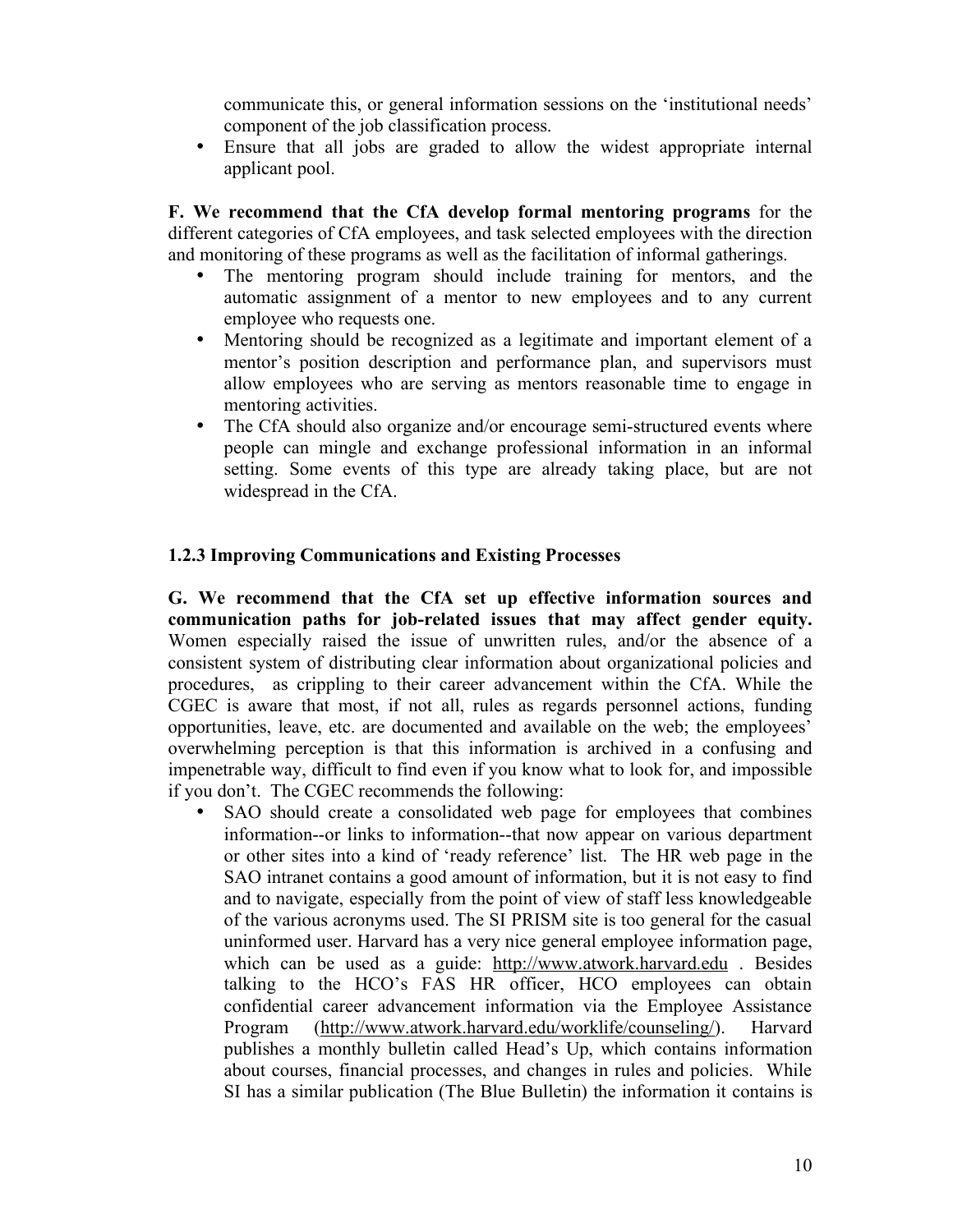communicate this, or general information sessions on the 'institutional needs' component of the job classification process.

• Ensure that all jobs are graded to allow the widest appropriate internal applicant pool.

**F. We recommend that the CfA develop formal mentoring programs** for the different categories of CfA employees, and task selected employees with the direction and monitoring of these programs as well as the facilitation of informal gatherings.

- The mentoring program should include training for mentors, and the automatic assignment of a mentor to new employees and to any current employee who requests one.
- Mentoring should be recognized as a legitimate and important element of a mentor's position description and performance plan, and supervisors must allow employees who are serving as mentors reasonable time to engage in mentoring activities.
- The CfA should also organize and/or encourage semi-structured events where people can mingle and exchange professional information in an informal setting. Some events of this type are already taking place, but are not widespread in the CfA.

#### **1.2.3 Improving Communications and Existing Processes**

**G. We recommend that the CfA set up effective information sources and communication paths for job-related issues that may affect gender equity.** Women especially raised the issue of unwritten rules, and/or the absence of a consistent system of distributing clear information about organizational policies and procedures, as crippling to their career advancement within the CfA. While the CGEC is aware that most, if not all, rules as regards personnel actions, funding opportunities, leave, etc. are documented and available on the web; the employees' overwhelming perception is that this information is archived in a confusing and impenetrable way, difficult to find even if you know what to look for, and impossible if you don't. The CGEC recommends the following:

SAO should create a consolidated web page for employees that combines information--or links to information--that now appear on various department or other sites into a kind of 'ready reference' list. The HR web page in the SAO intranet contains a good amount of information, but it is not easy to find and to navigate, especially from the point of view of staff less knowledgeable of the various acronyms used. The SI PRISM site is too general for the casual uninformed user. Harvard has a very nice general employee information page, which can be used as a guide: http://www.atwork.harvard.edu . Besides talking to the HCO's FAS HR officer, HCO employees can obtain confidential career advancement information via the Employee Assistance Program (http://www.atwork.harvard.edu/worklife/counseling/). Harvard publishes a monthly bulletin called Head's Up, which contains information about courses, financial processes, and changes in rules and policies. While SI has a similar publication (The Blue Bulletin) the information it contains is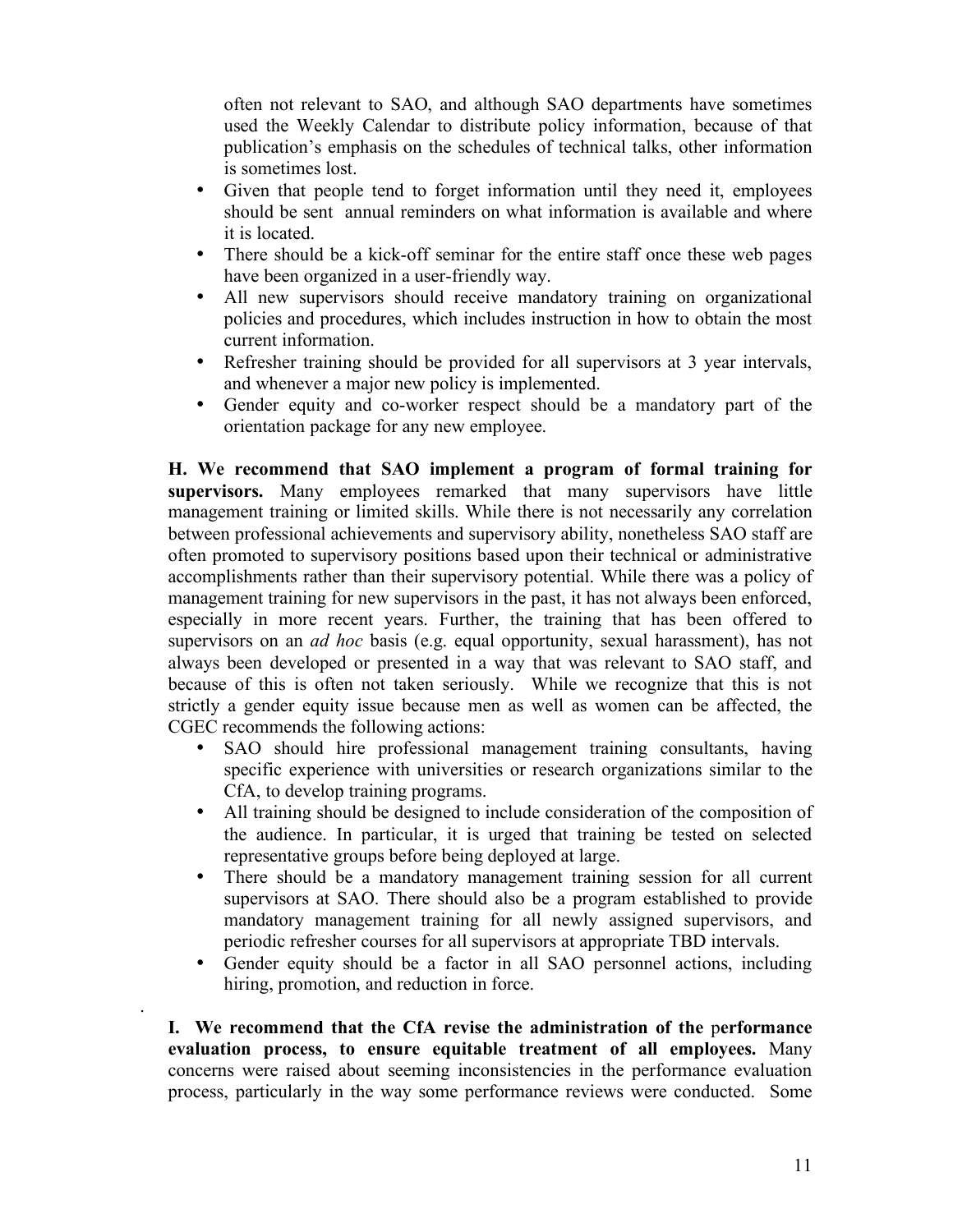often not relevant to SAO, and although SAO departments have sometimes used the Weekly Calendar to distribute policy information, because of that publication's emphasis on the schedules of technical talks, other information is sometimes lost.

- Given that people tend to forget information until they need it, employees should be sent annual reminders on what information is available and where it is located.
- There should be a kick-off seminar for the entire staff once these web pages have been organized in a user-friendly way.
- All new supervisors should receive mandatory training on organizational policies and procedures, which includes instruction in how to obtain the most current information.
- Refresher training should be provided for all supervisors at 3 year intervals, and whenever a major new policy is implemented.
- Gender equity and co-worker respect should be a mandatory part of the orientation package for any new employee.

**H. We recommend that SAO implement a program of formal training for supervisors.** Many employees remarked that many supervisors have little management training or limited skills. While there is not necessarily any correlation between professional achievements and supervisory ability, nonetheless SAO staff are often promoted to supervisory positions based upon their technical or administrative accomplishments rather than their supervisory potential. While there was a policy of management training for new supervisors in the past, it has not always been enforced, especially in more recent years. Further, the training that has been offered to supervisors on an *ad hoc* basis (e.g. equal opportunity, sexual harassment), has not always been developed or presented in a way that was relevant to SAO staff, and because of this is often not taken seriously. While we recognize that this is not strictly a gender equity issue because men as well as women can be affected, the CGEC recommends the following actions:

- SAO should hire professional management training consultants, having specific experience with universities or research organizations similar to the CfA, to develop training programs.
- All training should be designed to include consideration of the composition of the audience. In particular, it is urged that training be tested on selected representative groups before being deployed at large.
- There should be a mandatory management training session for all current supervisors at SAO. There should also be a program established to provide mandatory management training for all newly assigned supervisors, and periodic refresher courses for all supervisors at appropriate TBD intervals.
- Gender equity should be a factor in all SAO personnel actions, including hiring, promotion, and reduction in force.

**I. We recommend that the CfA revise the administration of the** p**erformance evaluation process, to ensure equitable treatment of all employees.** Many concerns were raised about seeming inconsistencies in the performance evaluation process, particularly in the way some performance reviews were conducted. Some

.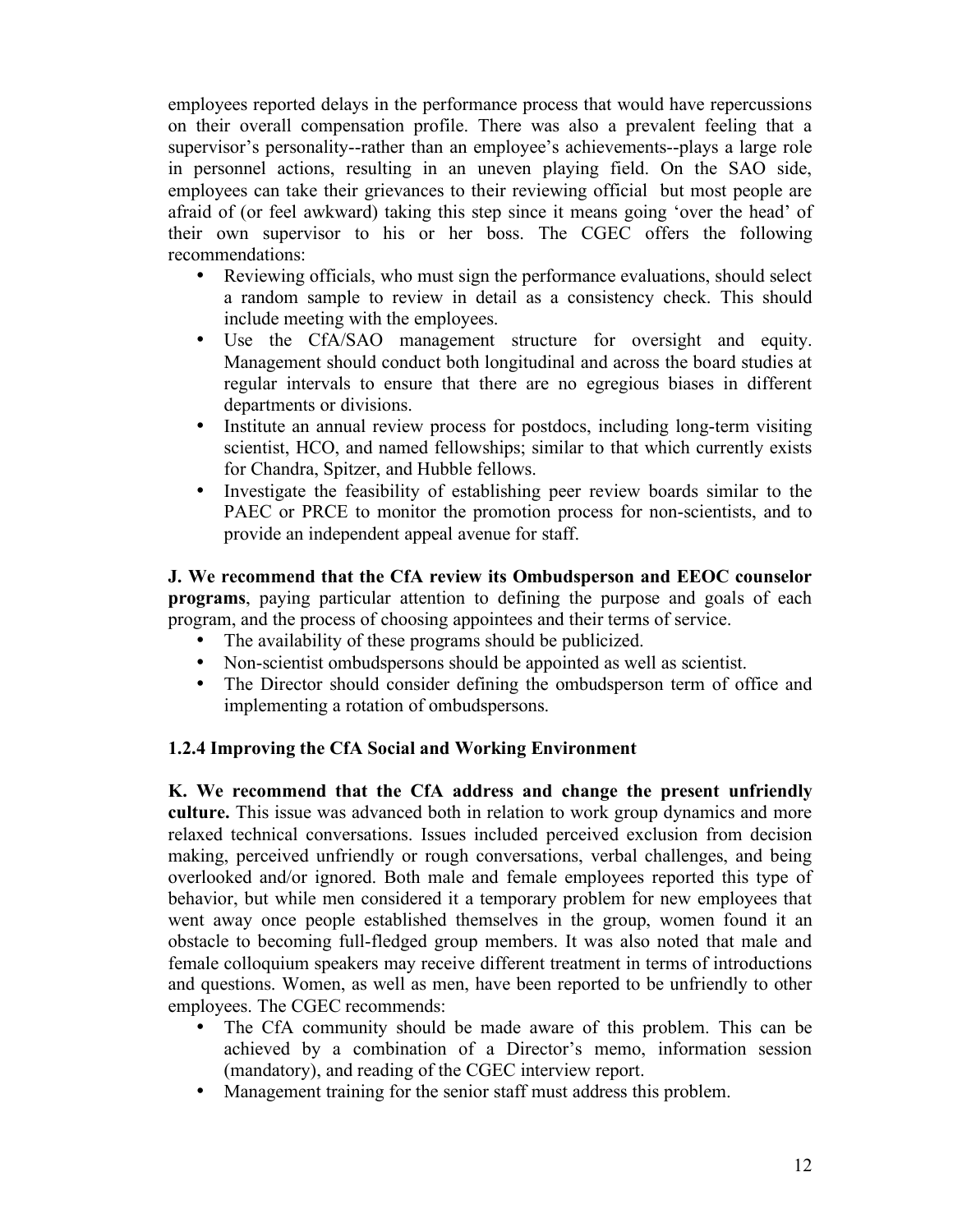employees reported delays in the performance process that would have repercussions on their overall compensation profile. There was also a prevalent feeling that a supervisor's personality--rather than an employee's achievements--plays a large role in personnel actions, resulting in an uneven playing field. On the SAO side, employees can take their grievances to their reviewing official but most people are afraid of (or feel awkward) taking this step since it means going 'over the head' of their own supervisor to his or her boss. The CGEC offers the following recommendations:

- Reviewing officials, who must sign the performance evaluations, should select a random sample to review in detail as a consistency check. This should include meeting with the employees.
- Use the CfA/SAO management structure for oversight and equity. Management should conduct both longitudinal and across the board studies at regular intervals to ensure that there are no egregious biases in different departments or divisions.
- Institute an annual review process for postdocs, including long-term visiting scientist, HCO, and named fellowships; similar to that which currently exists for Chandra, Spitzer, and Hubble fellows.
- Investigate the feasibility of establishing peer review boards similar to the PAEC or PRCE to monitor the promotion process for non-scientists, and to provide an independent appeal avenue for staff.

**J. We recommend that the CfA review its Ombudsperson and EEOC counselor programs**, paying particular attention to defining the purpose and goals of each program, and the process of choosing appointees and their terms of service.

- The availability of these programs should be publicized.
- Non-scientist ombudspersons should be appointed as well as scientist.<br>• The Director should consider defining the ombudsperson term of of
- The Director should consider defining the ombudsperson term of office and implementing a rotation of ombudspersons.

### **1.2.4 Improving the CfA Social and Working Environment**

**K. We recommend that the CfA address and change the present unfriendly culture.** This issue was advanced both in relation to work group dynamics and more relaxed technical conversations. Issues included perceived exclusion from decision making, perceived unfriendly or rough conversations, verbal challenges, and being overlooked and/or ignored. Both male and female employees reported this type of behavior, but while men considered it a temporary problem for new employees that went away once people established themselves in the group, women found it an obstacle to becoming full-fledged group members. It was also noted that male and female colloquium speakers may receive different treatment in terms of introductions and questions. Women, as well as men, have been reported to be unfriendly to other employees. The CGEC recommends:

- The CfA community should be made aware of this problem. This can be achieved by a combination of a Director's memo, information session (mandatory), and reading of the CGEC interview report.
- Management training for the senior staff must address this problem.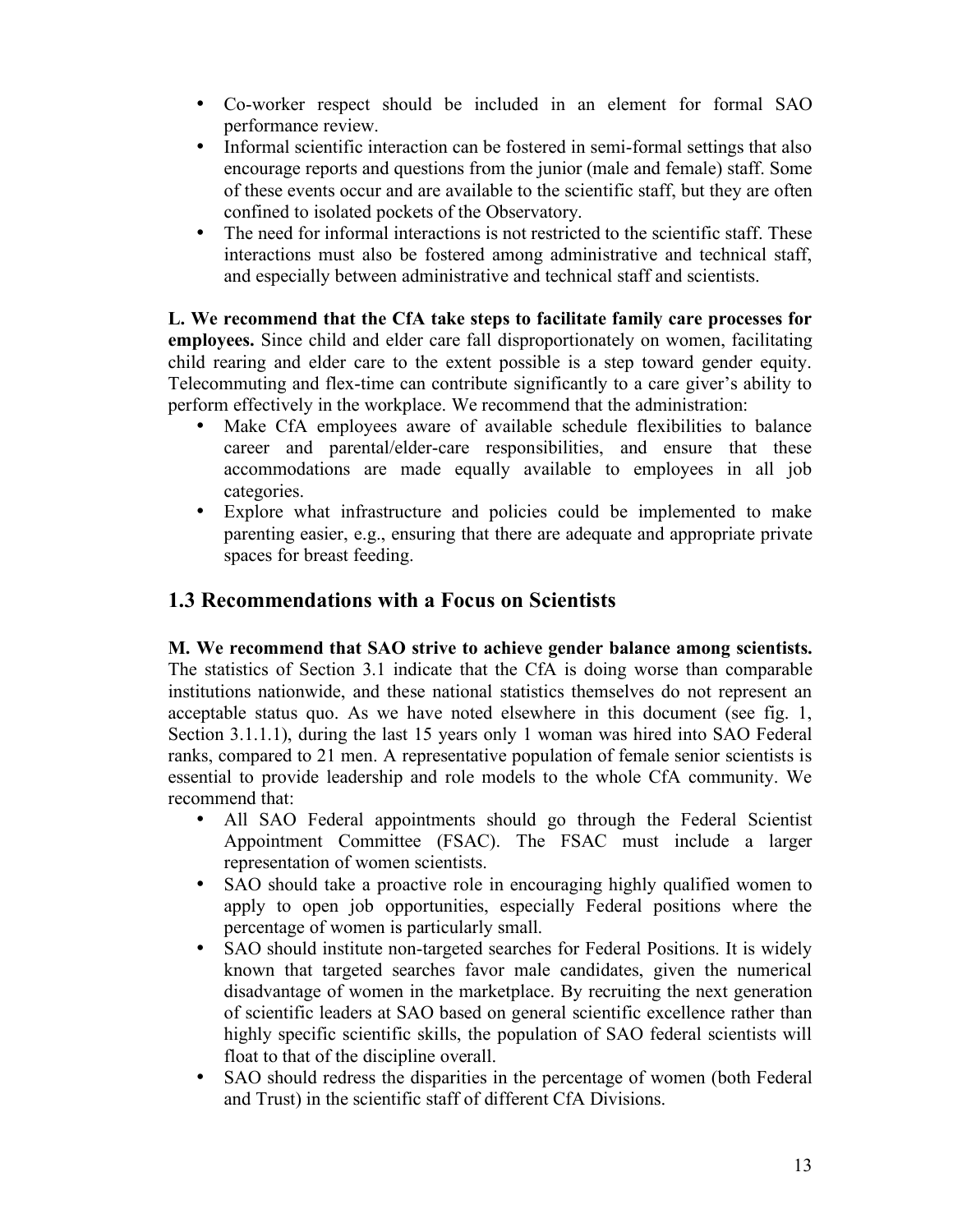- Co-worker respect should be included in an element for formal SAO performance review.
- Informal scientific interaction can be fostered in semi-formal settings that also encourage reports and questions from the junior (male and female) staff. Some of these events occur and are available to the scientific staff, but they are often confined to isolated pockets of the Observatory.
- The need for informal interactions is not restricted to the scientific staff. These interactions must also be fostered among administrative and technical staff, and especially between administrative and technical staff and scientists.

**L. We recommend that the CfA take steps to facilitate family care processes for employees.** Since child and elder care fall disproportionately on women, facilitating child rearing and elder care to the extent possible is a step toward gender equity. Telecommuting and flex-time can contribute significantly to a care giver's ability to perform effectively in the workplace. We recommend that the administration:

- Make CfA employees aware of available schedule flexibilities to balance career and parental/elder-care responsibilities, and ensure that these accommodations are made equally available to employees in all job categories.
- Explore what infrastructure and policies could be implemented to make parenting easier, e.g., ensuring that there are adequate and appropriate private spaces for breast feeding.

## **1.3 Recommendations with a Focus on Scientists**

**M. We recommend that SAO strive to achieve gender balance among scientists.** The statistics of Section 3.1 indicate that the CfA is doing worse than comparable institutions nationwide, and these national statistics themselves do not represent an acceptable status quo. As we have noted elsewhere in this document (see fig. 1, Section 3.1.1.1), during the last 15 years only 1 woman was hired into SAO Federal ranks, compared to 21 men. A representative population of female senior scientists is essential to provide leadership and role models to the whole CfA community. We recommend that:

- All SAO Federal appointments should go through the Federal Scientist Appointment Committee (FSAC). The FSAC must include a larger representation of women scientists.
- SAO should take a proactive role in encouraging highly qualified women to apply to open job opportunities, especially Federal positions where the percentage of women is particularly small.
- SAO should institute non-targeted searches for Federal Positions. It is widely known that targeted searches favor male candidates, given the numerical disadvantage of women in the marketplace. By recruiting the next generation of scientific leaders at SAO based on general scientific excellence rather than highly specific scientific skills, the population of SAO federal scientists will float to that of the discipline overall.
- SAO should redress the disparities in the percentage of women (both Federal and Trust) in the scientific staff of different CfA Divisions.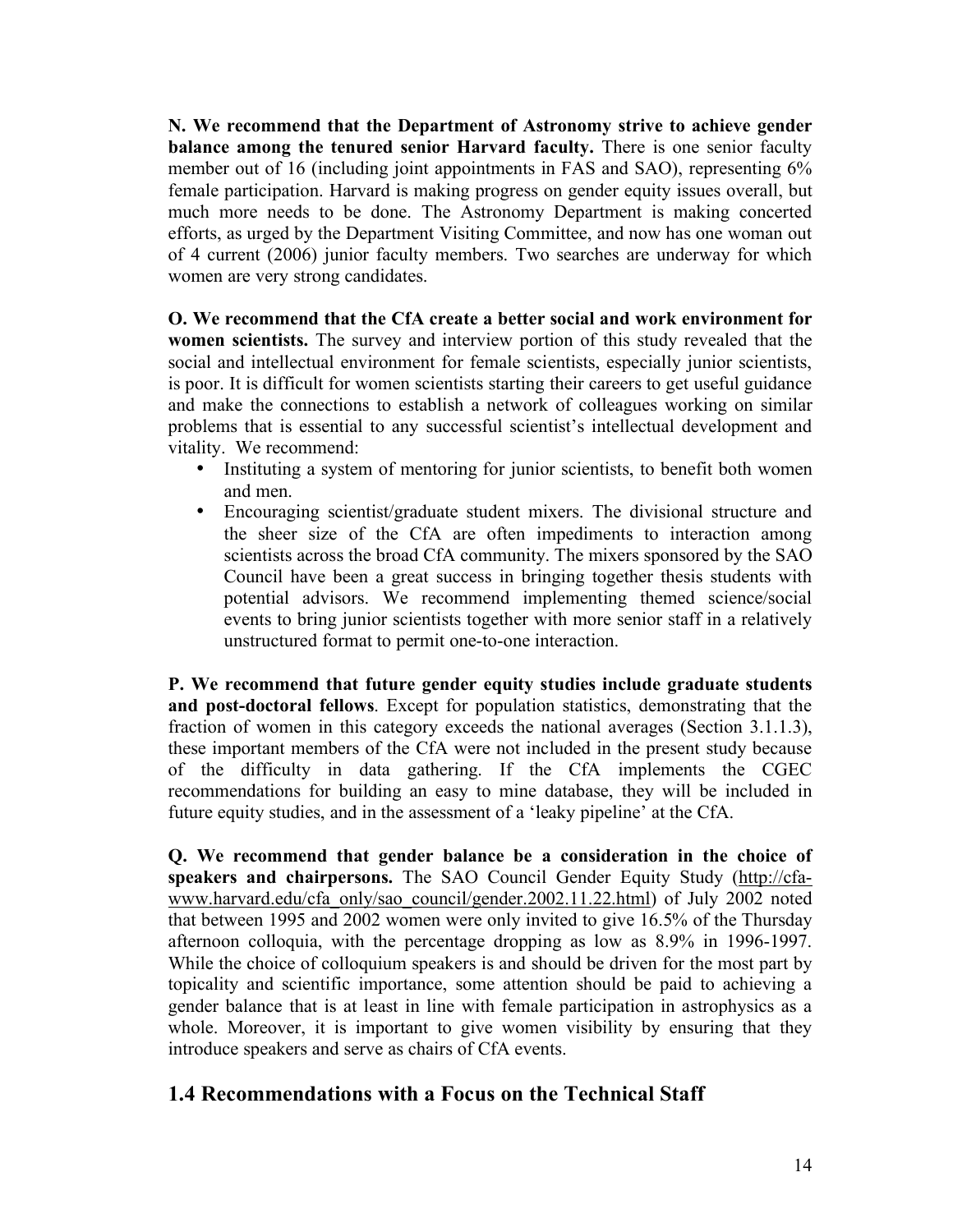**N. We recommend that the Department of Astronomy strive to achieve gender balance among the tenured senior Harvard faculty.** There is one senior faculty member out of 16 (including joint appointments in FAS and SAO), representing 6% female participation. Harvard is making progress on gender equity issues overall, but much more needs to be done. The Astronomy Department is making concerted efforts, as urged by the Department Visiting Committee, and now has one woman out of 4 current (2006) junior faculty members. Two searches are underway for which women are very strong candidates.

**O. We recommend that the CfA create a better social and work environment for women scientists.** The survey and interview portion of this study revealed that the social and intellectual environment for female scientists, especially junior scientists, is poor. It is difficult for women scientists starting their careers to get useful guidance and make the connections to establish a network of colleagues working on similar problems that is essential to any successful scientist's intellectual development and vitality. We recommend:

- Instituting a system of mentoring for junior scientists, to benefit both women and men.
- Encouraging scientist/graduate student mixers. The divisional structure and the sheer size of the CfA are often impediments to interaction among scientists across the broad CfA community. The mixers sponsored by the SAO Council have been a great success in bringing together thesis students with potential advisors. We recommend implementing themed science/social events to bring junior scientists together with more senior staff in a relatively unstructured format to permit one-to-one interaction.

**P. We recommend that future gender equity studies include graduate students and post-doctoral fellows**. Except for population statistics, demonstrating that the fraction of women in this category exceeds the national averages (Section 3.1.1.3), these important members of the CfA were not included in the present study because of the difficulty in data gathering. If the CfA implements the CGEC recommendations for building an easy to mine database, they will be included in future equity studies, and in the assessment of a 'leaky pipeline' at the CfA.

**Q. We recommend that gender balance be a consideration in the choice of speakers and chairpersons.** The SAO Council Gender Equity Study (http://cfawww.harvard.edu/cfa\_only/sao\_council/gender.2002.11.22.html) of July 2002 noted that between 1995 and 2002 women were only invited to give 16.5% of the Thursday afternoon colloquia, with the percentage dropping as low as 8.9% in 1996-1997. While the choice of colloquium speakers is and should be driven for the most part by topicality and scientific importance, some attention should be paid to achieving a gender balance that is at least in line with female participation in astrophysics as a whole. Moreover, it is important to give women visibility by ensuring that they introduce speakers and serve as chairs of CfA events.

## **1.4 Recommendations with a Focus on the Technical Staff**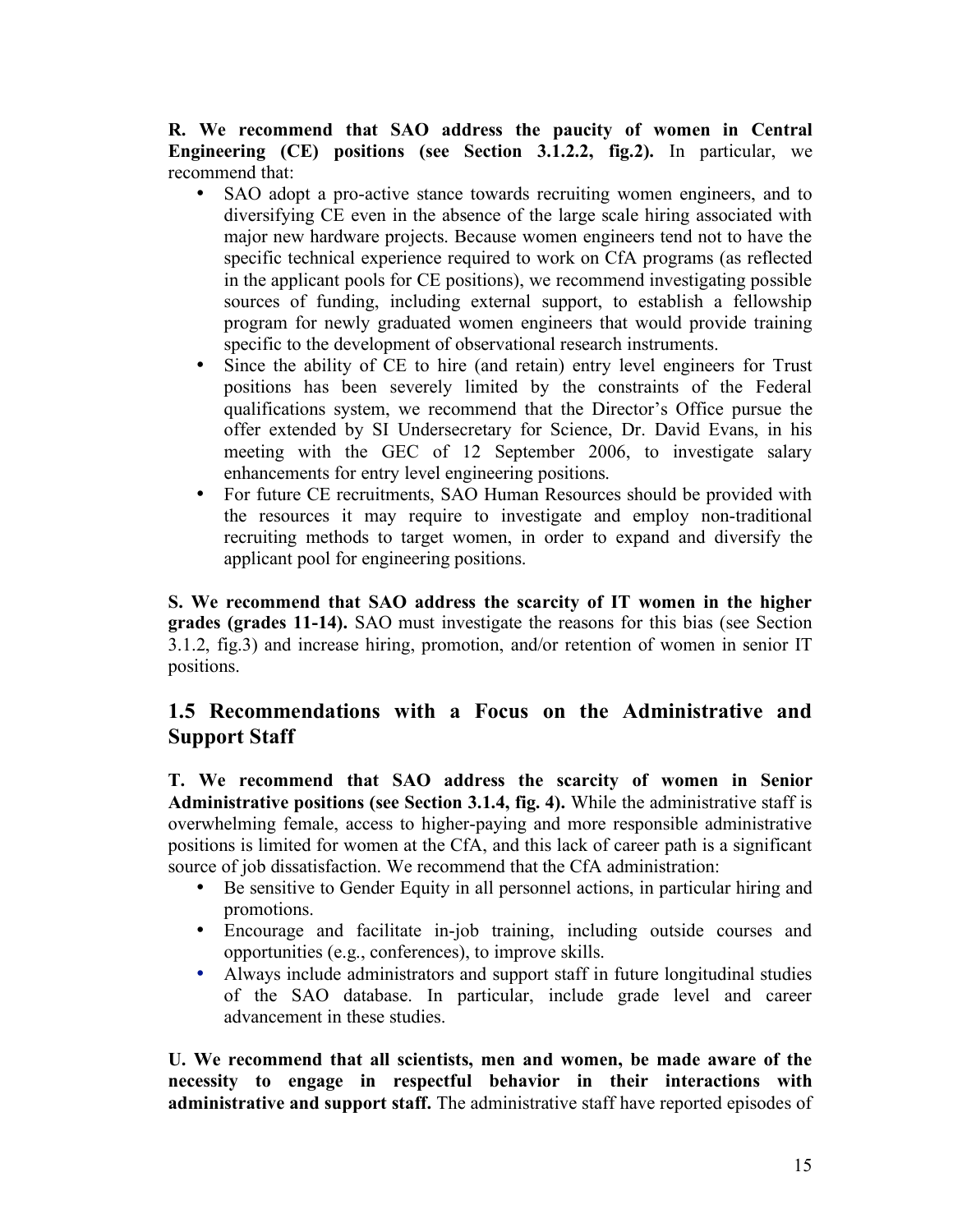**R. We recommend that SAO address the paucity of women in Central Engineering (CE) positions (see Section 3.1.2.2, fig.2).** In particular, we recommend that:

- SAO adopt a pro-active stance towards recruiting women engineers, and to diversifying CE even in the absence of the large scale hiring associated with major new hardware projects. Because women engineers tend not to have the specific technical experience required to work on CfA programs (as reflected in the applicant pools for CE positions), we recommend investigating possible sources of funding, including external support, to establish a fellowship program for newly graduated women engineers that would provide training specific to the development of observational research instruments.
- Since the ability of CE to hire (and retain) entry level engineers for Trust positions has been severely limited by the constraints of the Federal qualifications system, we recommend that the Director's Office pursue the offer extended by SI Undersecretary for Science, Dr. David Evans, in his meeting with the GEC of 12 September 2006, to investigate salary enhancements for entry level engineering positions.
- For future CE recruitments, SAO Human Resources should be provided with the resources it may require to investigate and employ non-traditional recruiting methods to target women, in order to expand and diversify the applicant pool for engineering positions.

**S. We recommend that SAO address the scarcity of IT women in the higher grades (grades 11-14).** SAO must investigate the reasons for this bias (see Section 3.1.2, fig.3) and increase hiring, promotion, and/or retention of women in senior IT positions.

## **1.5 Recommendations with a Focus on the Administrative and Support Staff**

**T. We recommend that SAO address the scarcity of women in Senior Administrative positions (see Section 3.1.4, fig. 4).** While the administrative staff is overwhelming female, access to higher-paying and more responsible administrative positions is limited for women at the CfA, and this lack of career path is a significant source of job dissatisfaction. We recommend that the CfA administration:

- Be sensitive to Gender Equity in all personnel actions, in particular hiring and promotions.
- Encourage and facilitate in-job training, including outside courses and opportunities (e.g., conferences), to improve skills.
- Always include administrators and support staff in future longitudinal studies of the SAO database. In particular, include grade level and career advancement in these studies.

**U. We recommend that all scientists, men and women, be made aware of the necessity to engage in respectful behavior in their interactions with administrative and support staff.** The administrative staff have reported episodes of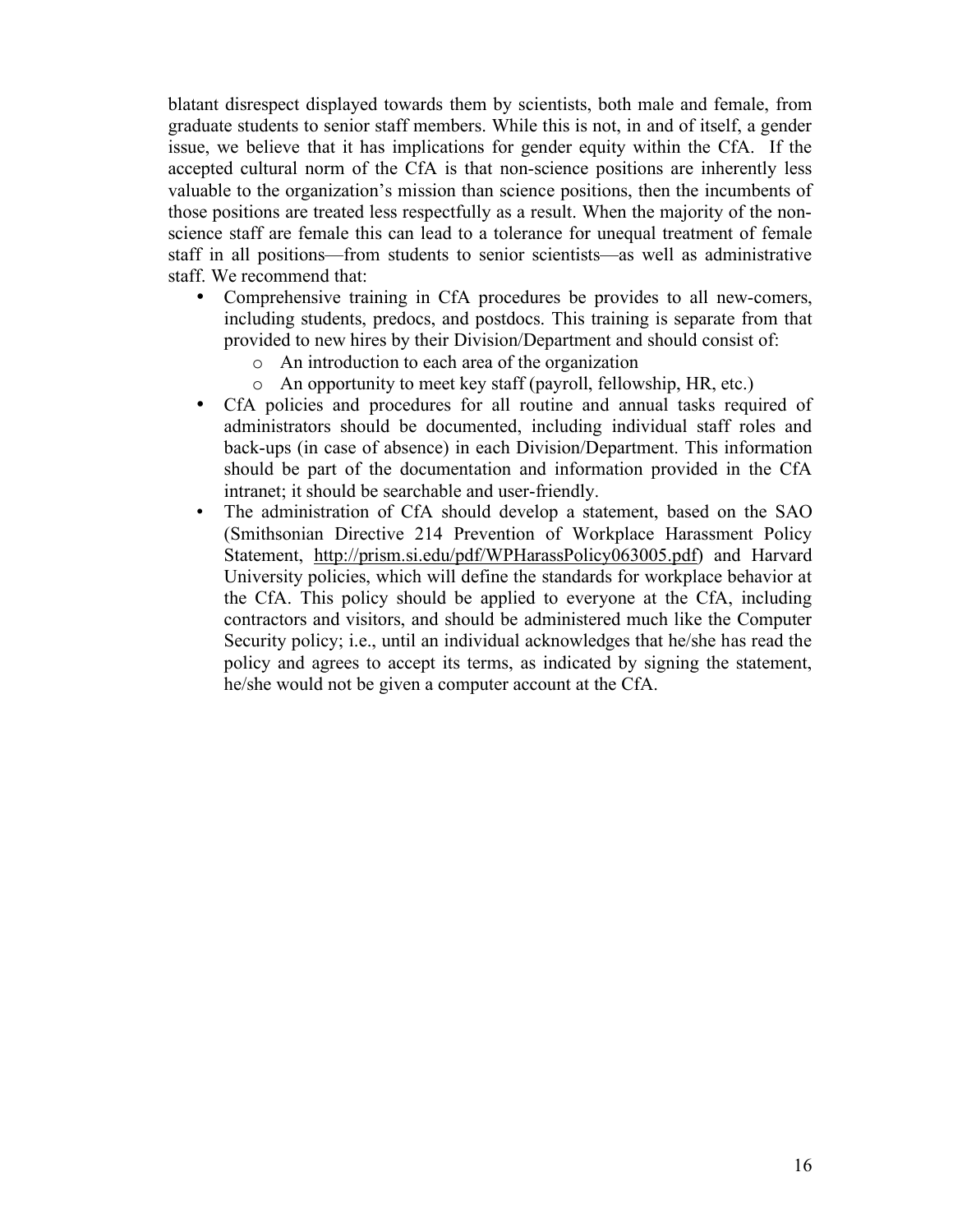blatant disrespect displayed towards them by scientists, both male and female, from graduate students to senior staff members. While this is not, in and of itself, a gender issue, we believe that it has implications for gender equity within the CfA. If the accepted cultural norm of the CfA is that non-science positions are inherently less valuable to the organization's mission than science positions, then the incumbents of those positions are treated less respectfully as a result. When the majority of the nonscience staff are female this can lead to a tolerance for unequal treatment of female staff in all positions—from students to senior scientists—as well as administrative staff. We recommend that:

- Comprehensive training in CfA procedures be provides to all new-comers, including students, predocs, and postdocs. This training is separate from that provided to new hires by their Division/Department and should consist of:
	- o An introduction to each area of the organization
	- o An opportunity to meet key staff (payroll, fellowship, HR, etc.)
- CfA policies and procedures for all routine and annual tasks required of administrators should be documented, including individual staff roles and back-ups (in case of absence) in each Division/Department. This information should be part of the documentation and information provided in the CfA intranet; it should be searchable and user-friendly.
- The administration of CfA should develop a statement, based on the SAO (Smithsonian Directive 214 Prevention of Workplace Harassment Policy Statement, http://prism.si.edu/pdf/WPHarassPolicy063005.pdf) and Harvard University policies, which will define the standards for workplace behavior at the CfA. This policy should be applied to everyone at the CfA, including contractors and visitors, and should be administered much like the Computer Security policy; i.e., until an individual acknowledges that he/she has read the policy and agrees to accept its terms, as indicated by signing the statement, he/she would not be given a computer account at the CfA.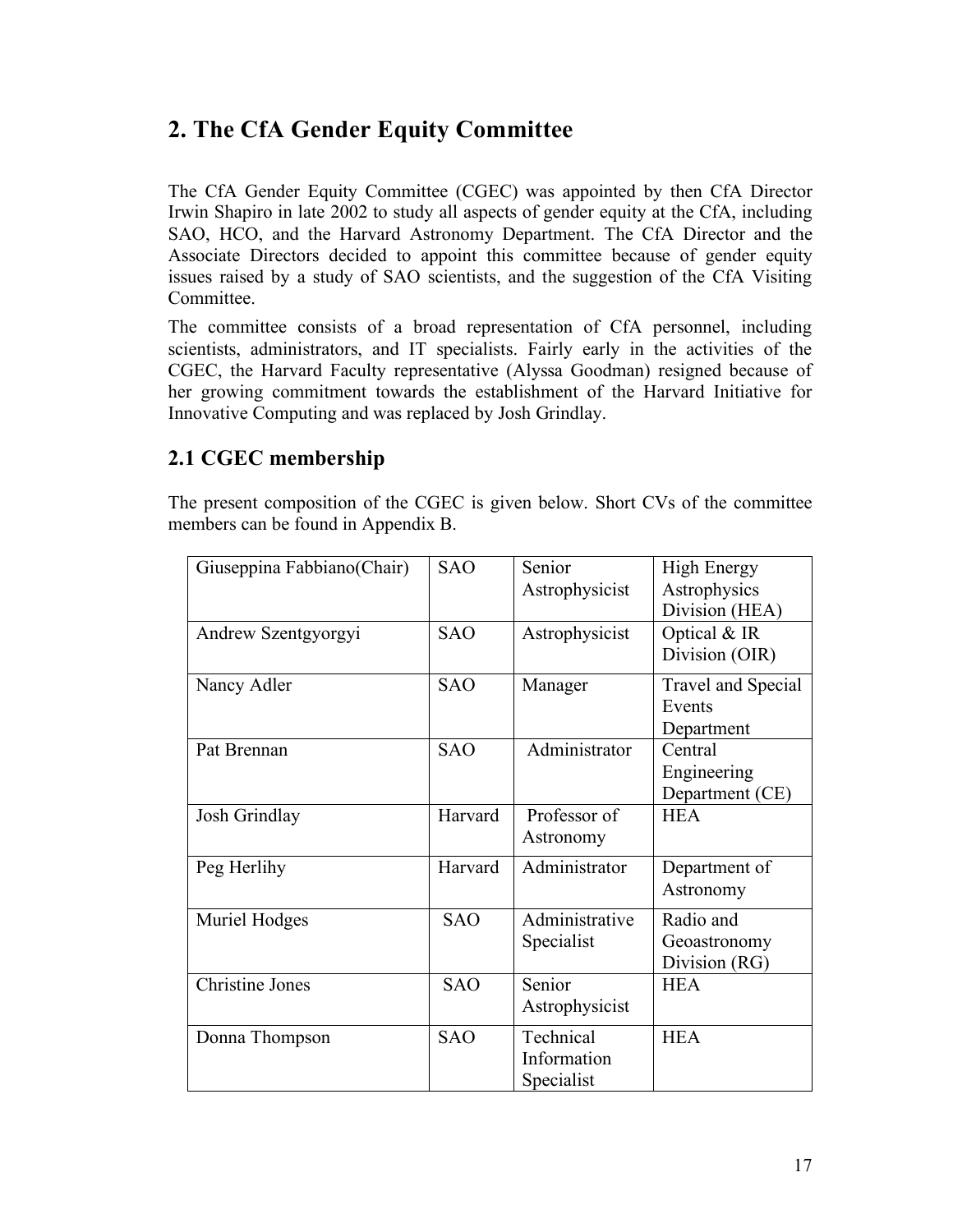# **2. The CfA Gender Equity Committee**

The CfA Gender Equity Committee (CGEC) was appointed by then CfA Director Irwin Shapiro in late 2002 to study all aspects of gender equity at the CfA, including SAO, HCO, and the Harvard Astronomy Department. The CfA Director and the Associate Directors decided to appoint this committee because of gender equity issues raised by a study of SAO scientists, and the suggestion of the CfA Visiting Committee.

The committee consists of a broad representation of CfA personnel, including scientists, administrators, and IT specialists. Fairly early in the activities of the CGEC, the Harvard Faculty representative (Alyssa Goodman) resigned because of her growing commitment towards the establishment of the Harvard Initiative for Innovative Computing and was replaced by Josh Grindlay.

## **2.1 CGEC membership**

The present composition of the CGEC is given below. Short CVs of the committee members can be found in Appendix B.

| Giuseppina Fabbiano(Chair) | <b>SAO</b> | Senior         | <b>High Energy</b> |
|----------------------------|------------|----------------|--------------------|
|                            |            | Astrophysicist | Astrophysics       |
|                            |            |                | Division (HEA)     |
| Andrew Szentgyorgyi        | <b>SAO</b> | Astrophysicist | Optical & IR       |
|                            |            |                | Division (OIR)     |
| Nancy Adler                | <b>SAO</b> | Manager        | Travel and Special |
|                            |            |                | Events             |
|                            |            |                | Department         |
| Pat Brennan                | <b>SAO</b> | Administrator  | Central            |
|                            |            |                | Engineering        |
|                            |            |                | Department (CE)    |
| Josh Grindlay              | Harvard    | Professor of   | <b>HEA</b>         |
|                            |            | Astronomy      |                    |
| Peg Herlihy                | Harvard    | Administrator  | Department of      |
|                            |            |                | Astronomy          |
| Muriel Hodges              | <b>SAO</b> | Administrative | Radio and          |
|                            |            | Specialist     | Geoastronomy       |
|                            |            |                | Division (RG)      |
| <b>Christine Jones</b>     | <b>SAO</b> | Senior         | <b>HEA</b>         |
|                            |            | Astrophysicist |                    |
| Donna Thompson             | <b>SAO</b> | Technical      | <b>HEA</b>         |
|                            |            | Information    |                    |
|                            |            | Specialist     |                    |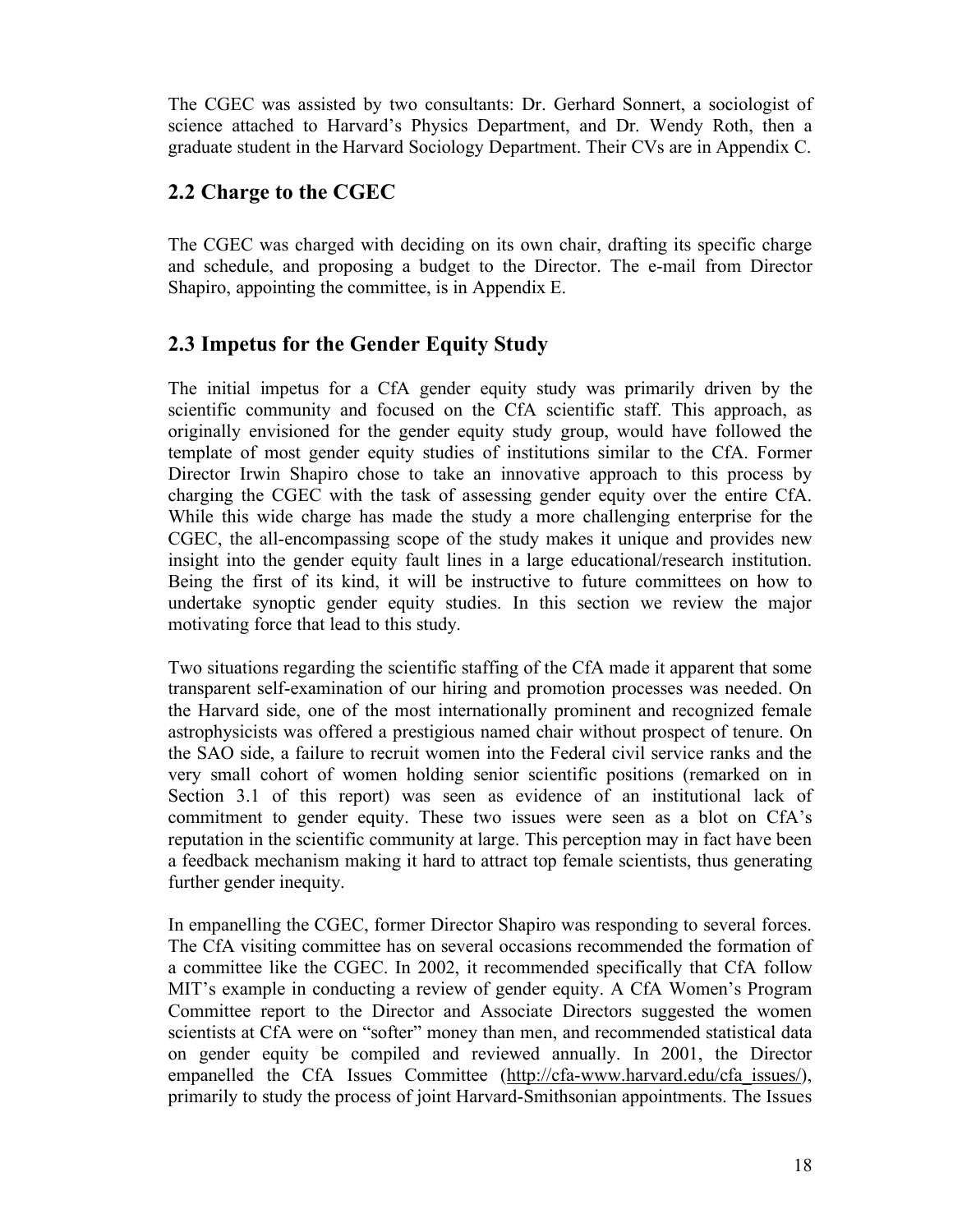The CGEC was assisted by two consultants: Dr. Gerhard Sonnert, a sociologist of science attached to Harvard's Physics Department, and Dr. Wendy Roth, then a graduate student in the Harvard Sociology Department. Their CVs are in Appendix C.

## **2.2 Charge to the CGEC**

The CGEC was charged with deciding on its own chair, drafting its specific charge and schedule, and proposing a budget to the Director. The e-mail from Director Shapiro, appointing the committee, is in Appendix E.

## **2.3 Impetus for the Gender Equity Study**

The initial impetus for a CfA gender equity study was primarily driven by the scientific community and focused on the CfA scientific staff. This approach, as originally envisioned for the gender equity study group, would have followed the template of most gender equity studies of institutions similar to the CfA. Former Director Irwin Shapiro chose to take an innovative approach to this process by charging the CGEC with the task of assessing gender equity over the entire CfA. While this wide charge has made the study a more challenging enterprise for the CGEC, the all-encompassing scope of the study makes it unique and provides new insight into the gender equity fault lines in a large educational/research institution. Being the first of its kind, it will be instructive to future committees on how to undertake synoptic gender equity studies. In this section we review the major motivating force that lead to this study.

Two situations regarding the scientific staffing of the CfA made it apparent that some transparent self-examination of our hiring and promotion processes was needed. On the Harvard side, one of the most internationally prominent and recognized female astrophysicists was offered a prestigious named chair without prospect of tenure. On the SAO side, a failure to recruit women into the Federal civil service ranks and the very small cohort of women holding senior scientific positions (remarked on in Section 3.1 of this report) was seen as evidence of an institutional lack of commitment to gender equity. These two issues were seen as a blot on CfA's reputation in the scientific community at large. This perception may in fact have been a feedback mechanism making it hard to attract top female scientists, thus generating further gender inequity.

In empanelling the CGEC, former Director Shapiro was responding to several forces. The CfA visiting committee has on several occasions recommended the formation of a committee like the CGEC. In 2002, it recommended specifically that CfA follow MIT's example in conducting a review of gender equity. A CfA Women's Program Committee report to the Director and Associate Directors suggested the women scientists at CfA were on "softer" money than men, and recommended statistical data on gender equity be compiled and reviewed annually. In 2001, the Director empanelled the CfA Issues Committee (http://cfa-www.harvard.edu/cfa\_issues/), primarily to study the process of joint Harvard-Smithsonian appointments. The Issues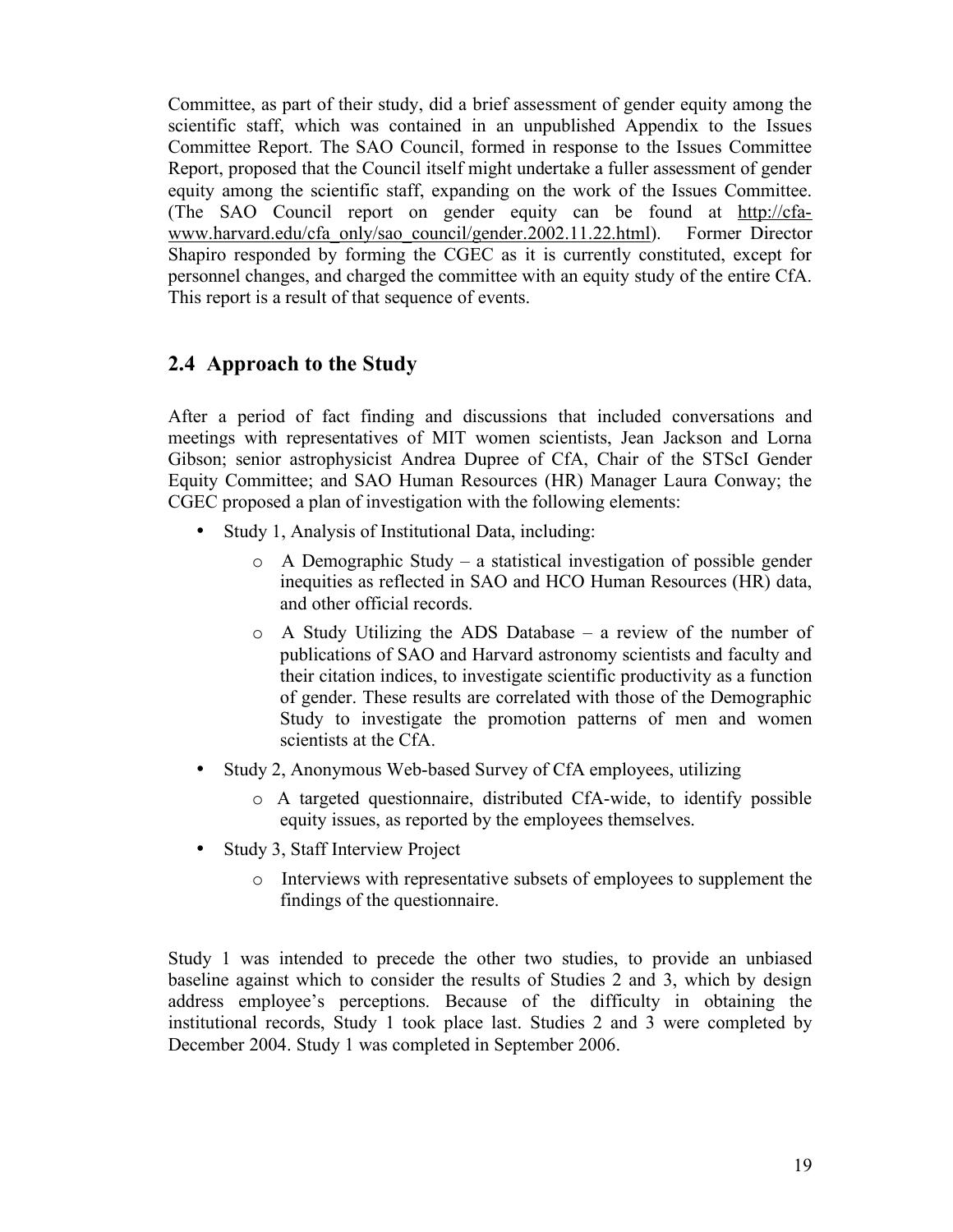Committee, as part of their study, did a brief assessment of gender equity among the scientific staff, which was contained in an unpublished Appendix to the Issues Committee Report. The SAO Council, formed in response to the Issues Committee Report, proposed that the Council itself might undertake a fuller assessment of gender equity among the scientific staff, expanding on the work of the Issues Committee. (The SAO Council report on gender equity can be found at http://cfawww.harvard.edu/cfa\_only/sao\_council/gender.2002.11.22.html). Former Director Shapiro responded by forming the CGEC as it is currently constituted, except for personnel changes, and charged the committee with an equity study of the entire CfA. This report is a result of that sequence of events.

## **2.4 Approach to the Study**

After a period of fact finding and discussions that included conversations and meetings with representatives of MIT women scientists, Jean Jackson and Lorna Gibson; senior astrophysicist Andrea Dupree of CfA, Chair of the STScI Gender Equity Committee; and SAO Human Resources (HR) Manager Laura Conway; the CGEC proposed a plan of investigation with the following elements:

- Study 1, Analysis of Institutional Data, including:
	- o A Demographic Study a statistical investigation of possible gender inequities as reflected in SAO and HCO Human Resources (HR) data, and other official records.
	- o A Study Utilizing the ADS Database a review of the number of publications of SAO and Harvard astronomy scientists and faculty and their citation indices, to investigate scientific productivity as a function of gender. These results are correlated with those of the Demographic Study to investigate the promotion patterns of men and women scientists at the CfA.
- Study 2, Anonymous Web-based Survey of CfA employees, utilizing
	- o A targeted questionnaire, distributed CfA-wide, to identify possible equity issues, as reported by the employees themselves.
- Study 3, Staff Interview Project
	- o Interviews with representative subsets of employees to supplement the findings of the questionnaire.

Study 1 was intended to precede the other two studies, to provide an unbiased baseline against which to consider the results of Studies 2 and 3, which by design address employee's perceptions. Because of the difficulty in obtaining the institutional records, Study 1 took place last. Studies 2 and 3 were completed by December 2004. Study 1 was completed in September 2006.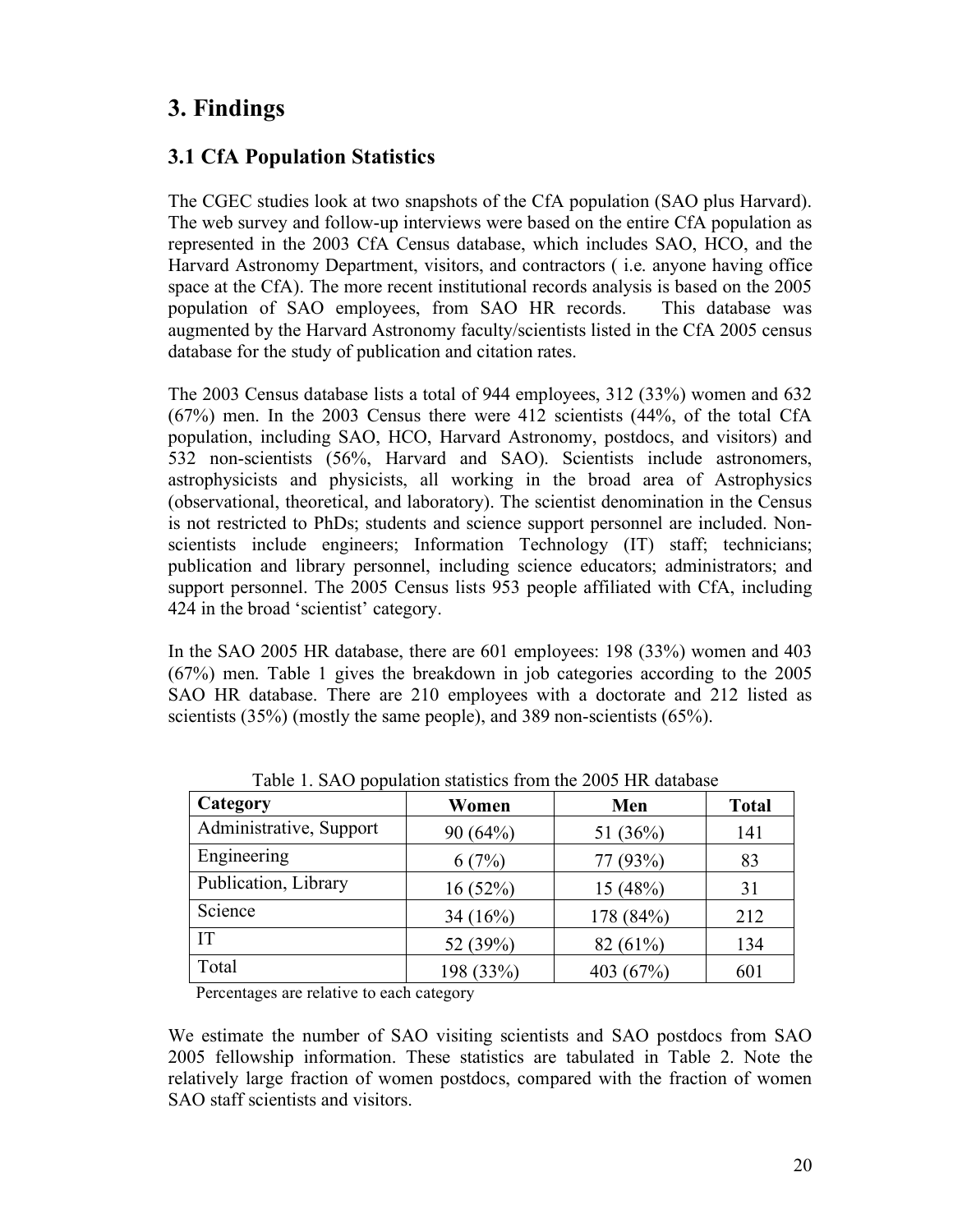# **3. Findings**

## **3.1 CfA Population Statistics**

The CGEC studies look at two snapshots of the CfA population (SAO plus Harvard). The web survey and follow-up interviews were based on the entire CfA population as represented in the 2003 CfA Census database, which includes SAO, HCO, and the Harvard Astronomy Department, visitors, and contractors ( i.e. anyone having office space at the CfA). The more recent institutional records analysis is based on the 2005 population of SAO employees, from SAO HR records. This database was augmented by the Harvard Astronomy faculty/scientists listed in the CfA 2005 census database for the study of publication and citation rates.

The 2003 Census database lists a total of 944 employees, 312 (33%) women and 632 (67%) men. In the 2003 Census there were 412 scientists (44%, of the total CfA population, including SAO, HCO, Harvard Astronomy, postdocs, and visitors) and 532 non-scientists (56%, Harvard and SAO). Scientists include astronomers, astrophysicists and physicists, all working in the broad area of Astrophysics (observational, theoretical, and laboratory). The scientist denomination in the Census is not restricted to PhDs; students and science support personnel are included. Nonscientists include engineers; Information Technology (IT) staff; technicians; publication and library personnel, including science educators; administrators; and support personnel. The 2005 Census lists 953 people affiliated with CfA, including 424 in the broad 'scientist' category.

In the SAO 2005 HR database, there are 601 employees: 198 (33%) women and 403 (67%) men. Table 1 gives the breakdown in job categories according to the 2005 SAO HR database. There are 210 employees with a doctorate and 212 listed as scientists (35%) (mostly the same people), and 389 non-scientists (65%).

| Category                | Women      | Men         | <b>Total</b> |
|-------------------------|------------|-------------|--------------|
| Administrative, Support | 90(64%)    | 51 $(36\%)$ | 141          |
| Engineering             | 6(7%)      | 77 (93%)    | 83           |
| Publication, Library    | 16(52%)    | 15(48%)     | 31           |
| Science                 | 34 $(16%)$ | 178 (84%)   | 212          |
| <b>IT</b>               | 52 (39%)   | 82(61%)     | 134          |
| Total                   | 198 (33%)  | 403 (67%)   | 601          |

Table 1. SAO population statistics from the 2005 HR database

Percentages are relative to each category

We estimate the number of SAO visiting scientists and SAO postdocs from SAO 2005 fellowship information. These statistics are tabulated in Table 2. Note the relatively large fraction of women postdocs, compared with the fraction of women SAO staff scientists and visitors.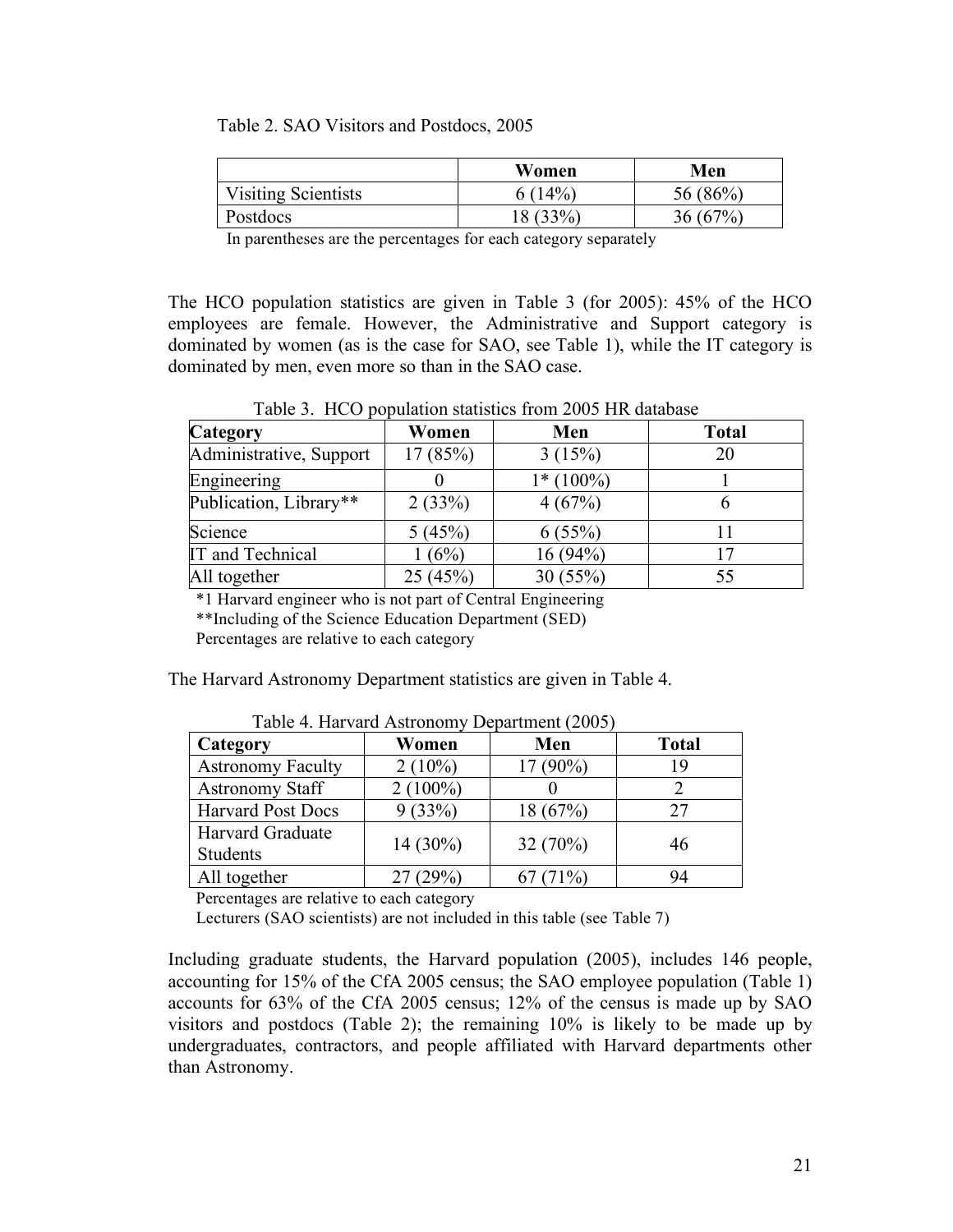Table 2. SAO Visitors and Postdocs, 2005

|                            | Women    | Men     |
|----------------------------|----------|---------|
| <b>Visiting Scientists</b> | 6(14%)   | 56(86%) |
| Postdocs                   | 18 (33%) | 36(67%) |

In parentheses are the percentages for each category separately

The HCO population statistics are given in Table 3 (for 2005): 45% of the HCO employees are female. However, the Administrative and Support category is dominated by women (as is the case for SAO, see Table 1), while the IT category is dominated by men, even more so than in the SAO case.

Table 3. HCO population statistics from 2005 HR database

| <b>Category</b>         | Women   | Men         | <b>Total</b> |
|-------------------------|---------|-------------|--------------|
| Administrative, Support | 17(85%) | 3(15%)      | 20           |
| Engineering             |         | $1*(100\%)$ |              |
| Publication, Library**  | 2(33%)  | 4(67%)      |              |
| Science                 | 5(45%)  | 6(55%)      |              |
| IT and Technical        | (6%)    | 16(94%)     |              |
| All together            | 25(45%) | 30(55%)     | 55           |

\*1 Harvard engineer who is not part of Central Engineering

\*\*Including of the Science Education Department (SED)

Percentages are relative to each category

The Harvard Astronomy Department statistics are given in Table 4.

| Category                            | Women      | Men        | <b>Total</b> |
|-------------------------------------|------------|------------|--------------|
| <b>Astronomy Faculty</b>            | $2(10\%)$  | $17(90\%)$ | 19           |
| <b>Astronomy Staff</b>              | $2(100\%)$ |            |              |
| <b>Harvard Post Docs</b>            | 9(33%)     | 18 (67%)   | 27           |
| <b>Harvard Graduate</b><br>Students | $14(30\%)$ | 32(70%)    | 46           |
| All together                        | 27(29%)    | $67(71\%)$ | 94           |

Table 4. Harvard Astronomy Department (2005)

Percentages are relative to each category

Lecturers (SAO scientists) are not included in this table (see Table 7)

Including graduate students, the Harvard population (2005), includes 146 people, accounting for 15% of the CfA 2005 census; the SAO employee population (Table 1) accounts for 63% of the CfA 2005 census; 12% of the census is made up by SAO visitors and postdocs (Table 2); the remaining 10% is likely to be made up by undergraduates, contractors, and people affiliated with Harvard departments other than Astronomy.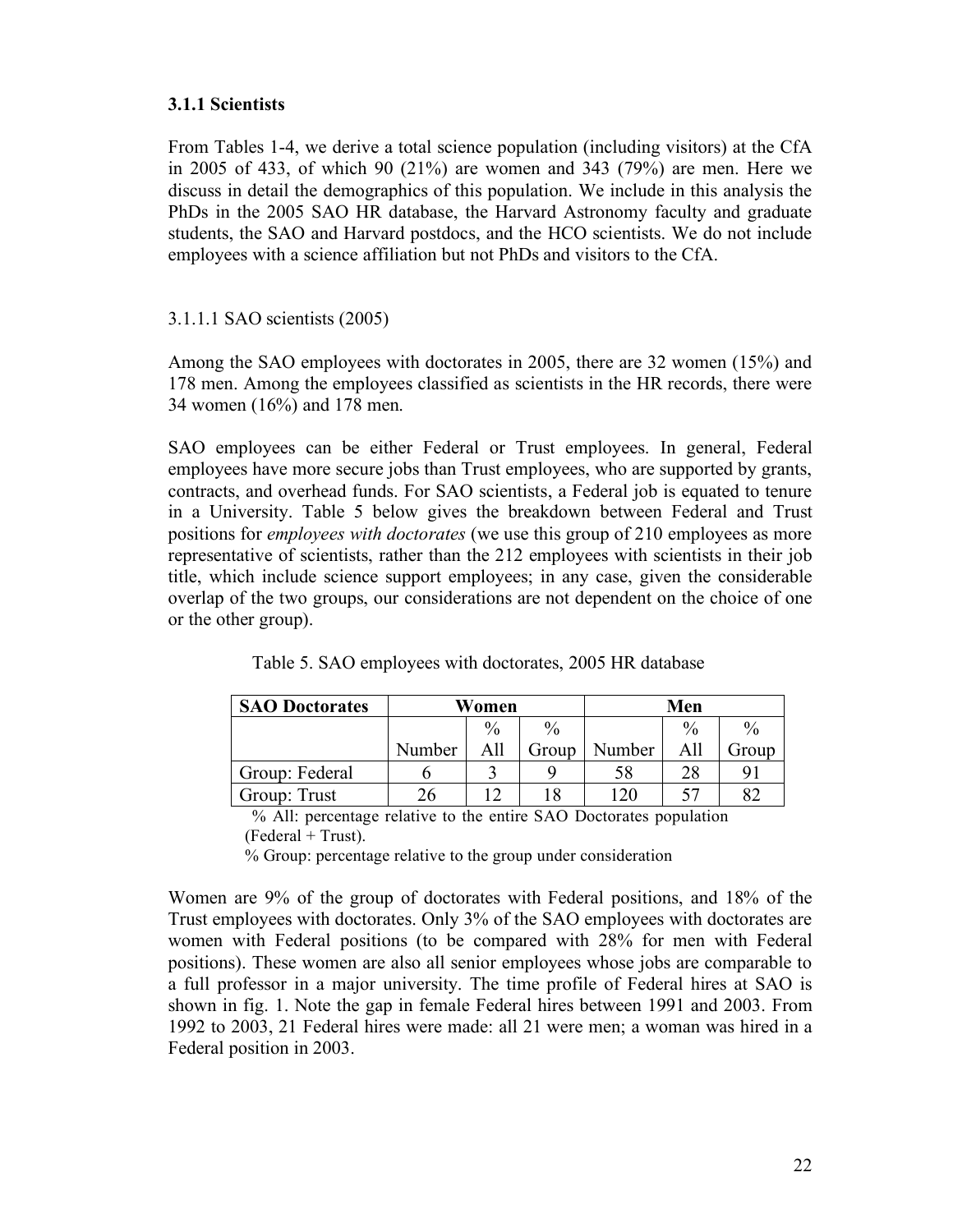### **3.1.1 Scientists**

From Tables 1-4, we derive a total science population (including visitors) at the CfA in 2005 of 433, of which 90 (21%) are women and 343 (79%) are men. Here we discuss in detail the demographics of this population. We include in this analysis the PhDs in the 2005 SAO HR database, the Harvard Astronomy faculty and graduate students, the SAO and Harvard postdocs, and the HCO scientists. We do not include employees with a science affiliation but not PhDs and visitors to the CfA.

#### 3.1.1.1 SAO scientists (2005)

Among the SAO employees with doctorates in 2005, there are 32 women (15%) and 178 men. Among the employees classified as scientists in the HR records, there were 34 women (16%) and 178 men.

SAO employees can be either Federal or Trust employees. In general, Federal employees have more secure jobs than Trust employees, who are supported by grants, contracts, and overhead funds. For SAO scientists, a Federal job is equated to tenure in a University. Table 5 below gives the breakdown between Federal and Trust positions for *employees with doctorates* (we use this group of 210 employees as more representative of scientists, rather than the 212 employees with scientists in their job title, which include science support employees; in any case, given the considerable overlap of the two groups, our considerations are not dependent on the choice of one or the other group).

| <b>SAO Doctorates</b> | Women  |      |               |        | Men           |                      |
|-----------------------|--------|------|---------------|--------|---------------|----------------------|
|                       |        | $\%$ | $\frac{0}{0}$ |        | $\frac{0}{0}$ | $\frac{0}{0}$        |
|                       | Number | All  | Group         | Number | All           | Group                |
| Group: Federal        |        |      |               | 58     | 28            | $\mathbf{Q}^{\cdot}$ |
| Group: Trust          | 26     |      | 18            |        |               |                      |

Table 5. SAO employees with doctorates, 2005 HR database

% All: percentage relative to the entire SAO Doctorates population  $(Federal + Trust).$ 

% Group: percentage relative to the group under consideration

Women are 9% of the group of doctorates with Federal positions, and 18% of the Trust employees with doctorates. Only 3% of the SAO employees with doctorates are women with Federal positions (to be compared with 28% for men with Federal positions). These women are also all senior employees whose jobs are comparable to a full professor in a major university. The time profile of Federal hires at SAO is shown in fig. 1. Note the gap in female Federal hires between 1991 and 2003. From 1992 to 2003, 21 Federal hires were made: all 21 were men; a woman was hired in a Federal position in 2003.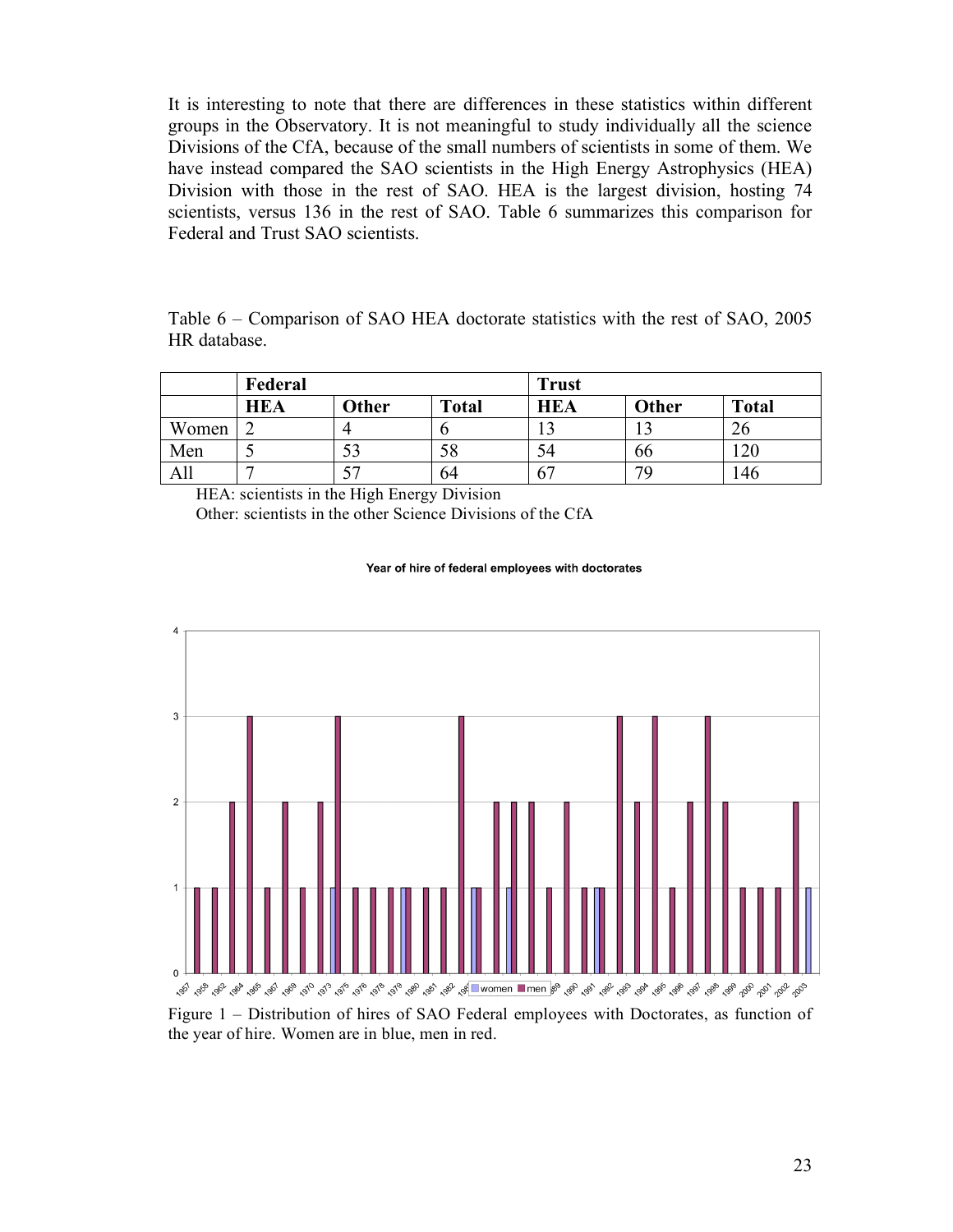It is interesting to note that there are differences in these statistics within different groups in the Observatory. It is not meaningful to study individually all the science Divisions of the CfA, because of the small numbers of scientists in some of them. We have instead compared the SAO scientists in the High Energy Astrophysics (HEA) Division with those in the rest of SAO. HEA is the largest division, hosting 74 scientists, versus 136 in the rest of SAO. Table 6 summarizes this comparison for Federal and Trust SAO scientists.

Table 6 – Comparison of SAO HEA doctorate statistics with the rest of SAO, 2005 HR database.

|       | Federal    |       |              | <b>Trust</b> |       |              |
|-------|------------|-------|--------------|--------------|-------|--------------|
|       | <b>HEA</b> | Other | <b>Total</b> | <b>HEA</b>   | Other | <b>Total</b> |
| Women |            |       |              |              |       | 20           |
| Men   |            |       | 58           |              | 66    | 20           |
| All   |            |       | 64           | O.           | 70    | l 46         |

HEA: scientists in the High Energy Division Other: scientists in the other Science Divisions of the CfA

#### Year of hire of federal employees with doctorates



Figure 1 – Distribution of hires of SAO Federal employees with Doctorates, as function of the year of hire. Women are in blue, men in red.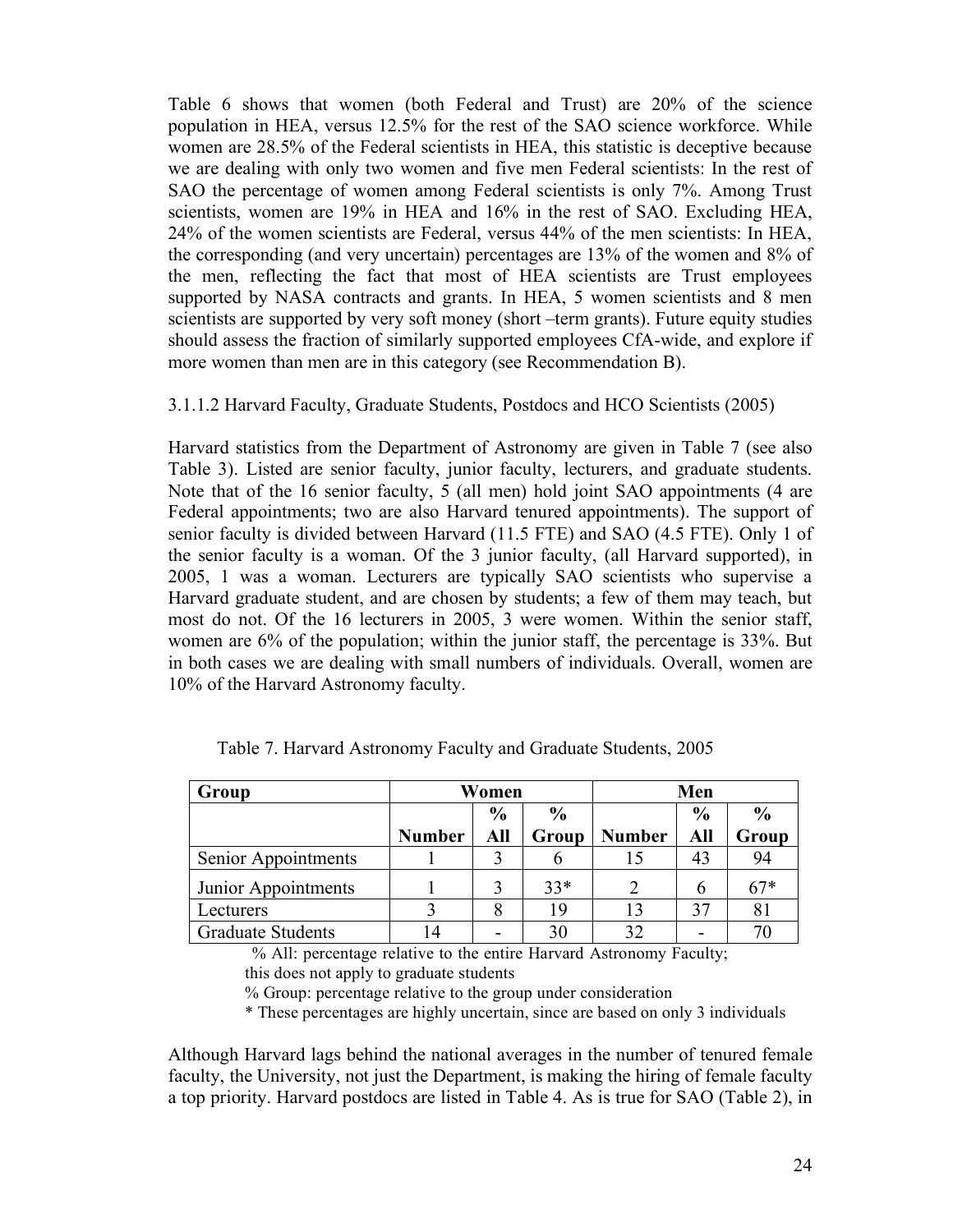Table 6 shows that women (both Federal and Trust) are 20% of the science population in HEA, versus 12.5% for the rest of the SAO science workforce. While women are 28.5% of the Federal scientists in HEA, this statistic is deceptive because we are dealing with only two women and five men Federal scientists: In the rest of SAO the percentage of women among Federal scientists is only 7%. Among Trust scientists, women are 19% in HEA and 16% in the rest of SAO. Excluding HEA, 24% of the women scientists are Federal, versus 44% of the men scientists: In HEA, the corresponding (and very uncertain) percentages are 13% of the women and 8% of the men, reflecting the fact that most of HEA scientists are Trust employees supported by NASA contracts and grants. In HEA, 5 women scientists and 8 men scientists are supported by very soft money (short –term grants). Future equity studies should assess the fraction of similarly supported employees CfA-wide, and explore if more women than men are in this category (see Recommendation B).

#### 3.1.1.2 Harvard Faculty, Graduate Students, Postdocs and HCO Scientists (2005)

Harvard statistics from the Department of Astronomy are given in Table 7 (see also Table 3). Listed are senior faculty, junior faculty, lecturers, and graduate students. Note that of the 16 senior faculty, 5 (all men) hold joint SAO appointments (4 are Federal appointments; two are also Harvard tenured appointments). The support of senior faculty is divided between Harvard (11.5 FTE) and SAO (4.5 FTE). Only 1 of the senior faculty is a woman. Of the 3 junior faculty, (all Harvard supported), in 2005, 1 was a woman. Lecturers are typically SAO scientists who supervise a Harvard graduate student, and are chosen by students; a few of them may teach, but most do not. Of the 16 lecturers in 2005, 3 were women. Within the senior staff, women are 6% of the population; within the junior staff, the percentage is 33%. But in both cases we are dealing with small numbers of individuals. Overall, women are 10% of the Harvard Astronomy faculty.

| Group                    | Women                          |     |       |                | Men           |       |
|--------------------------|--------------------------------|-----|-------|----------------|---------------|-------|
|                          | $\frac{6}{6}$<br>$\frac{0}{0}$ |     |       | $\frac{0}{0}$  | $\frac{0}{0}$ |       |
|                          | <b>Number</b>                  | All | Group | <b>Number</b>  | All           | Group |
| Senior Appointments      |                                |     |       | 15             | 43            | 94    |
| Junior Appointments      |                                |     | $33*$ | $\overline{2}$ | 6             | $67*$ |
| Lecturers                |                                |     | 19    | 13             | 37            | 81    |
| <b>Graduate Students</b> | 14                             |     |       | 32             | -             | 70    |

Table 7. Harvard Astronomy Faculty and Graduate Students, 2005

% All: percentage relative to the entire Harvard Astronomy Faculty; this does not apply to graduate students

% Group: percentage relative to the group under consideration

\* These percentages are highly uncertain, since are based on only 3 individuals

Although Harvard lags behind the national averages in the number of tenured female faculty, the University, not just the Department, is making the hiring of female faculty a top priority. Harvard postdocs are listed in Table 4. As is true for SAO (Table 2), in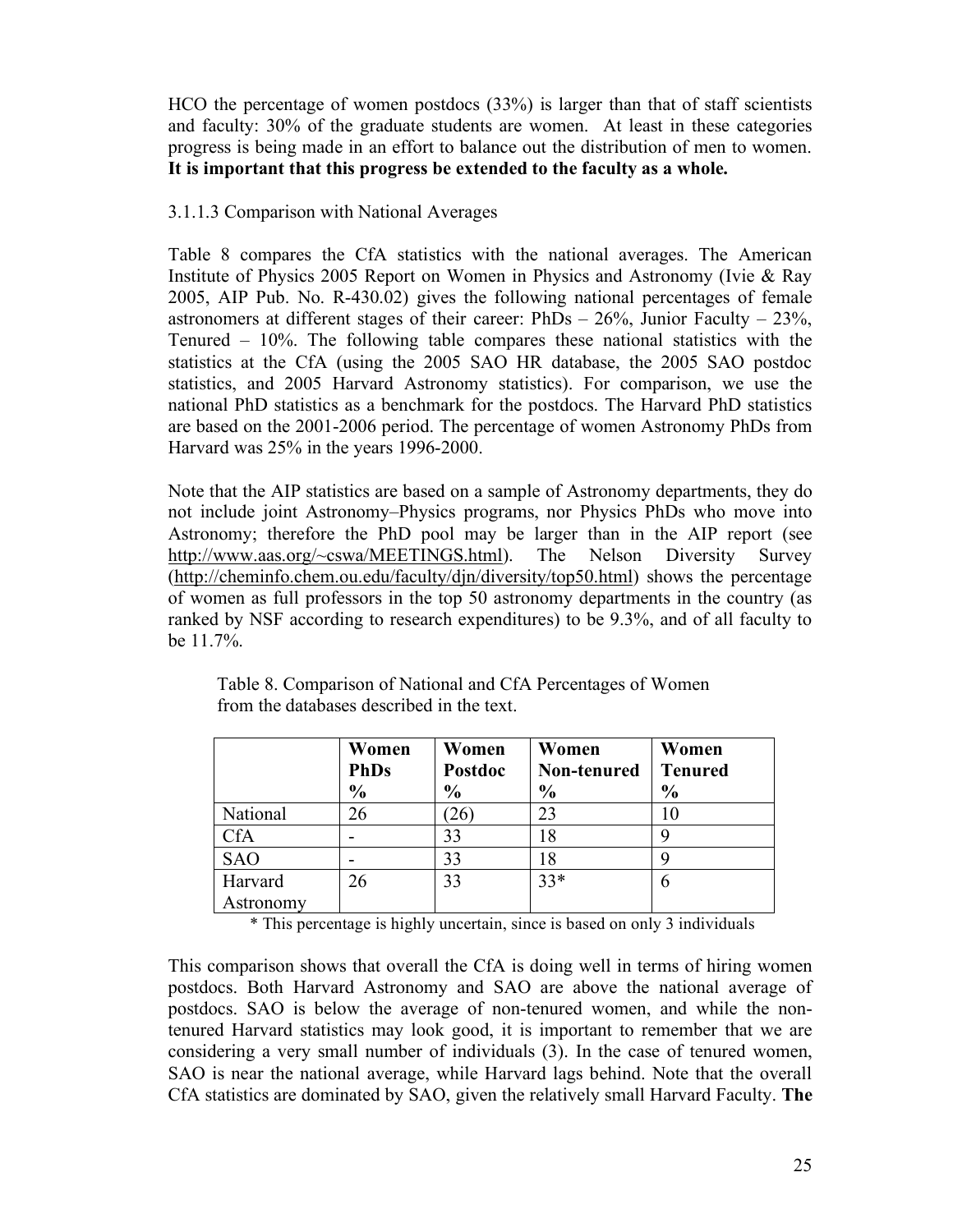HCO the percentage of women postdocs (33%) is larger than that of staff scientists and faculty: 30% of the graduate students are women. At least in these categories progress is being made in an effort to balance out the distribution of men to women. **It is important that this progress be extended to the faculty as a whole.**

#### 3.1.1.3 Comparison with National Averages

Table 8 compares the CfA statistics with the national averages. The American Institute of Physics 2005 Report on Women in Physics and Astronomy (Ivie & Ray 2005, AIP Pub. No. R-430.02) gives the following national percentages of female astronomers at different stages of their career:  $PhDs - 26\%$ , Junior Faculty – 23%, Tenured – 10%. The following table compares these national statistics with the statistics at the CfA (using the 2005 SAO HR database, the 2005 SAO postdoc statistics, and 2005 Harvard Astronomy statistics). For comparison, we use the national PhD statistics as a benchmark for the postdocs. The Harvard PhD statistics are based on the 2001-2006 period. The percentage of women Astronomy PhDs from Harvard was 25% in the years 1996-2000.

Note that the AIP statistics are based on a sample of Astronomy departments, they do not include joint Astronomy–Physics programs, nor Physics PhDs who move into Astronomy; therefore the PhD pool may be larger than in the AIP report (see http://www.aas.org/~cswa/MEETINGS.html). The Nelson Diversity Survey (http://cheminfo.chem.ou.edu/faculty/djn/diversity/top50.html) shows the percentage of women as full professors in the top 50 astronomy departments in the country (as ranked by NSF according to research expenditures) to be 9.3%, and of all faculty to be 11.7%.

|            | Women<br><b>PhDs</b><br>$\frac{6}{6}$ | Women<br>Postdoc<br>$\frac{6}{6}$ | Women<br>Non-tenured<br>$\frac{6}{6}$ | Women<br><b>Tenured</b><br>$\frac{0}{0}$ |
|------------|---------------------------------------|-----------------------------------|---------------------------------------|------------------------------------------|
| National   | 26                                    | 26                                | 23                                    |                                          |
| CfA        |                                       | 33                                | 18                                    |                                          |
| <b>SAO</b> |                                       | 33                                | 18                                    |                                          |
| Harvard    | 26                                    | 33                                | $33*$                                 | 6                                        |
| Astronomy  |                                       |                                   |                                       |                                          |

Table 8. Comparison of National and CfA Percentages of Women from the databases described in the text.

\* This percentage is highly uncertain, since is based on only 3 individuals

This comparison shows that overall the CfA is doing well in terms of hiring women postdocs. Both Harvard Astronomy and SAO are above the national average of postdocs. SAO is below the average of non-tenured women, and while the nontenured Harvard statistics may look good, it is important to remember that we are considering a very small number of individuals (3). In the case of tenured women, SAO is near the national average, while Harvard lags behind. Note that the overall CfA statistics are dominated by SAO, given the relatively small Harvard Faculty. **The**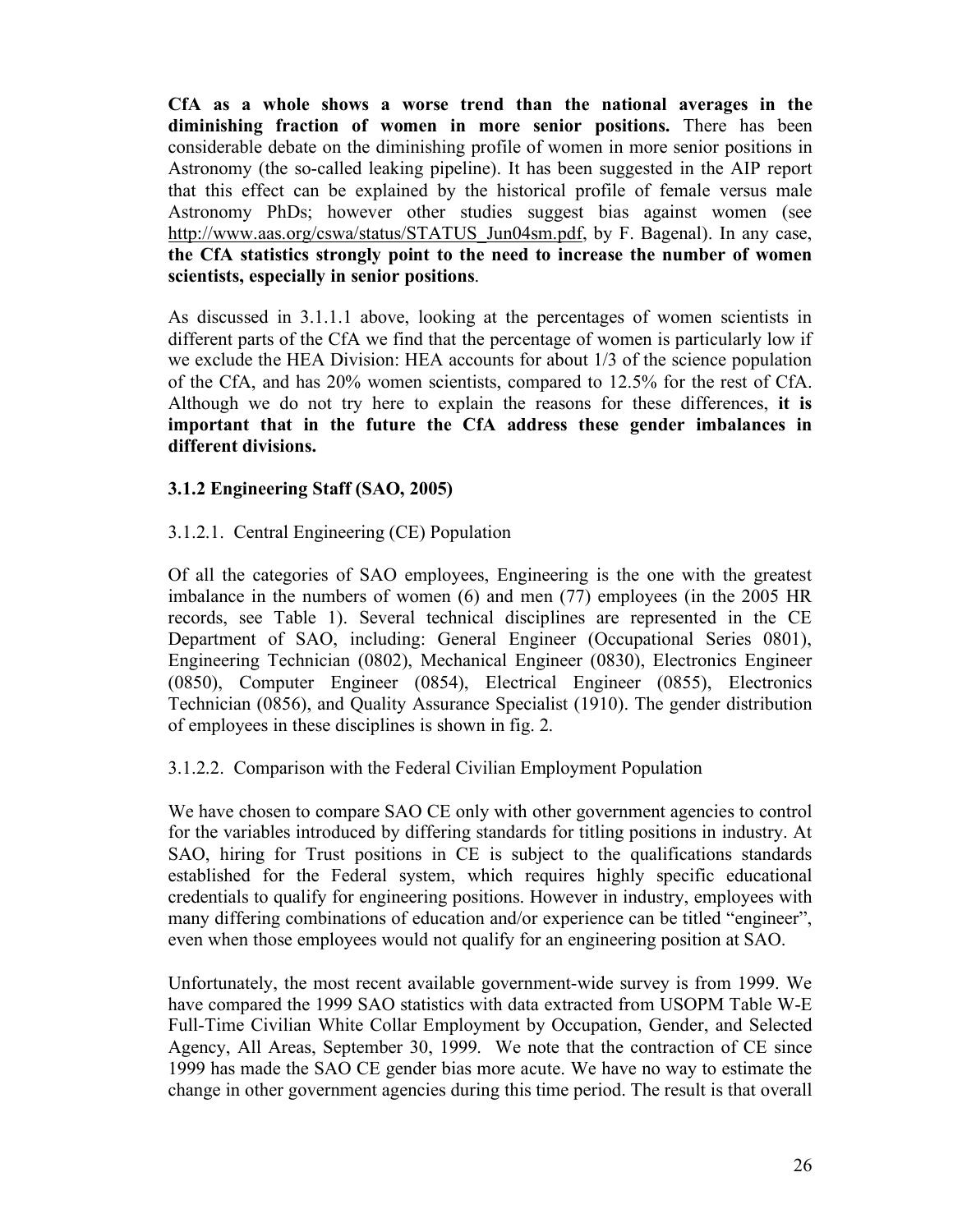**CfA as a whole shows a worse trend than the national averages in the diminishing fraction of women in more senior positions.** There has been considerable debate on the diminishing profile of women in more senior positions in Astronomy (the so-called leaking pipeline). It has been suggested in the AIP report that this effect can be explained by the historical profile of female versus male Astronomy PhDs; however other studies suggest bias against women (see http://www.aas.org/cswa/status/STATUS Jun04sm.pdf, by F. Bagenal). In any case, **the CfA statistics strongly point to the need to increase the number of women scientists, especially in senior positions**.

As discussed in 3.1.1.1 above, looking at the percentages of women scientists in different parts of the CfA we find that the percentage of women is particularly low if we exclude the HEA Division: HEA accounts for about 1/3 of the science population of the CfA, and has 20% women scientists, compared to 12.5% for the rest of CfA. Although we do not try here to explain the reasons for these differences, **it is important that in the future the CfA address these gender imbalances in different divisions.**

#### **3.1.2 Engineering Staff (SAO, 2005)**

### 3.1.2.1. Central Engineering (CE) Population

Of all the categories of SAO employees, Engineering is the one with the greatest imbalance in the numbers of women (6) and men (77) employees (in the 2005 HR records, see Table 1). Several technical disciplines are represented in the CE Department of SAO, including: General Engineer (Occupational Series 0801), Engineering Technician (0802), Mechanical Engineer (0830), Electronics Engineer (0850), Computer Engineer (0854), Electrical Engineer (0855), Electronics Technician (0856), and Quality Assurance Specialist (1910). The gender distribution of employees in these disciplines is shown in fig. 2.

#### 3.1.2.2. Comparison with the Federal Civilian Employment Population

We have chosen to compare SAO CE only with other government agencies to control for the variables introduced by differing standards for titling positions in industry. At SAO, hiring for Trust positions in CE is subject to the qualifications standards established for the Federal system, which requires highly specific educational credentials to qualify for engineering positions. However in industry, employees with many differing combinations of education and/or experience can be titled "engineer", even when those employees would not qualify for an engineering position at SAO.

Unfortunately, the most recent available government-wide survey is from 1999. We have compared the 1999 SAO statistics with data extracted from USOPM Table W-E Full-Time Civilian White Collar Employment by Occupation, Gender, and Selected Agency, All Areas, September 30, 1999. We note that the contraction of CE since 1999 has made the SAO CE gender bias more acute. We have no way to estimate the change in other government agencies during this time period. The result is that overall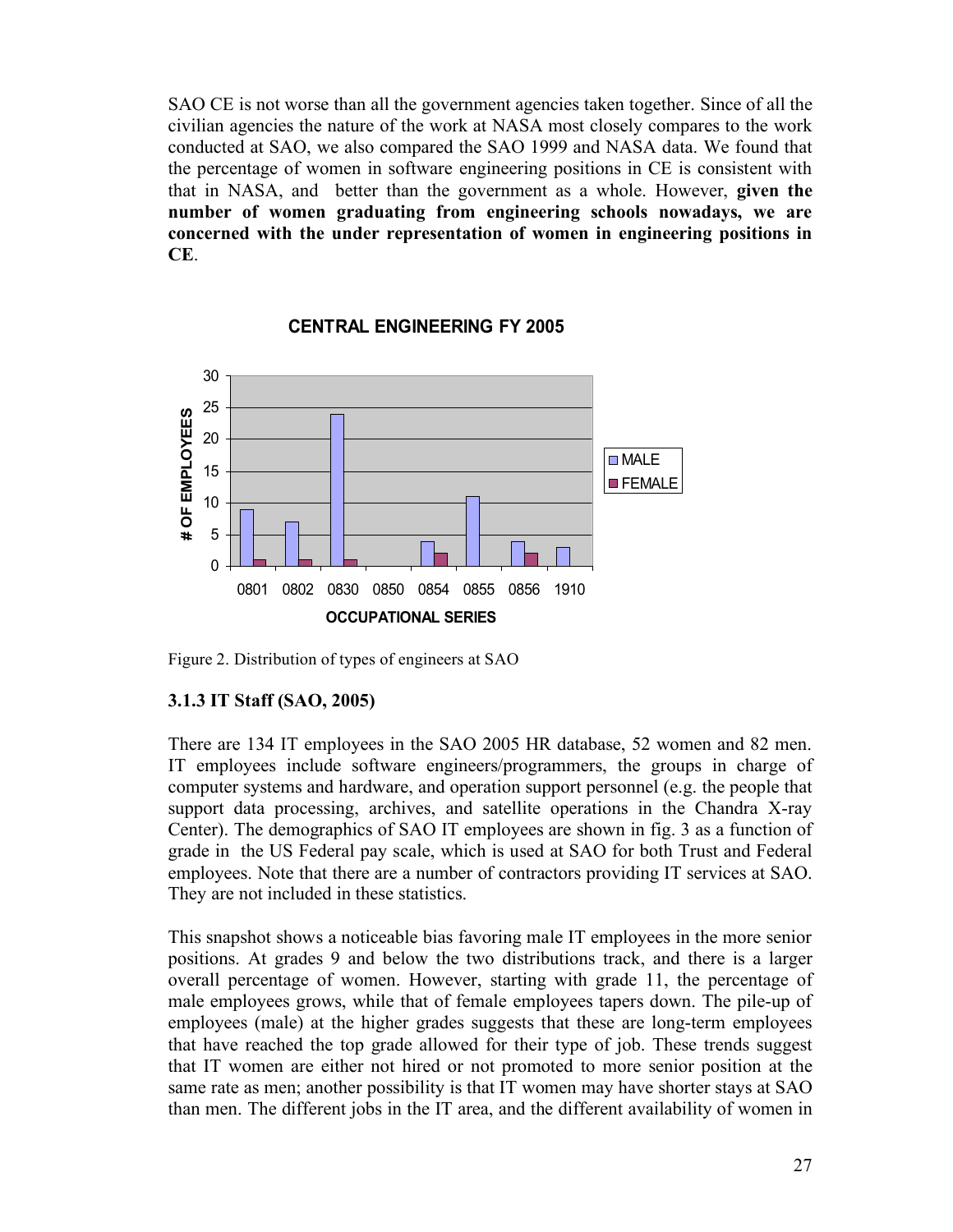SAO CE is not worse than all the government agencies taken together. Since of all the civilian agencies the nature of the work at NASA most closely compares to the work conducted at SAO, we also compared the SAO 1999 and NASA data. We found that the percentage of women in software engineering positions in CE is consistent with that in NASA, and better than the government as a whole. However, **given the number of women graduating from engineering schools nowadays, we are concerned with the under representation of women in engineering positions in CE**.



#### **CENTRAL ENGINEERING FY 2005**

Figure 2. Distribution of types of engineers at SAO

#### **3.1.3 IT Staff (SAO, 2005)**

There are 134 IT employees in the SAO 2005 HR database, 52 women and 82 men. IT employees include software engineers/programmers, the groups in charge of computer systems and hardware, and operation support personnel (e.g. the people that support data processing, archives, and satellite operations in the Chandra X-ray Center). The demographics of SAO IT employees are shown in fig. 3 as a function of grade in the US Federal pay scale, which is used at SAO for both Trust and Federal employees. Note that there are a number of contractors providing IT services at SAO. They are not included in these statistics.

This snapshot shows a noticeable bias favoring male IT employees in the more senior positions. At grades 9 and below the two distributions track, and there is a larger overall percentage of women. However, starting with grade 11, the percentage of male employees grows, while that of female employees tapers down. The pile-up of employees (male) at the higher grades suggests that these are long-term employees that have reached the top grade allowed for their type of job. These trends suggest that IT women are either not hired or not promoted to more senior position at the same rate as men; another possibility is that IT women may have shorter stays at SAO than men. The different jobs in the IT area, and the different availability of women in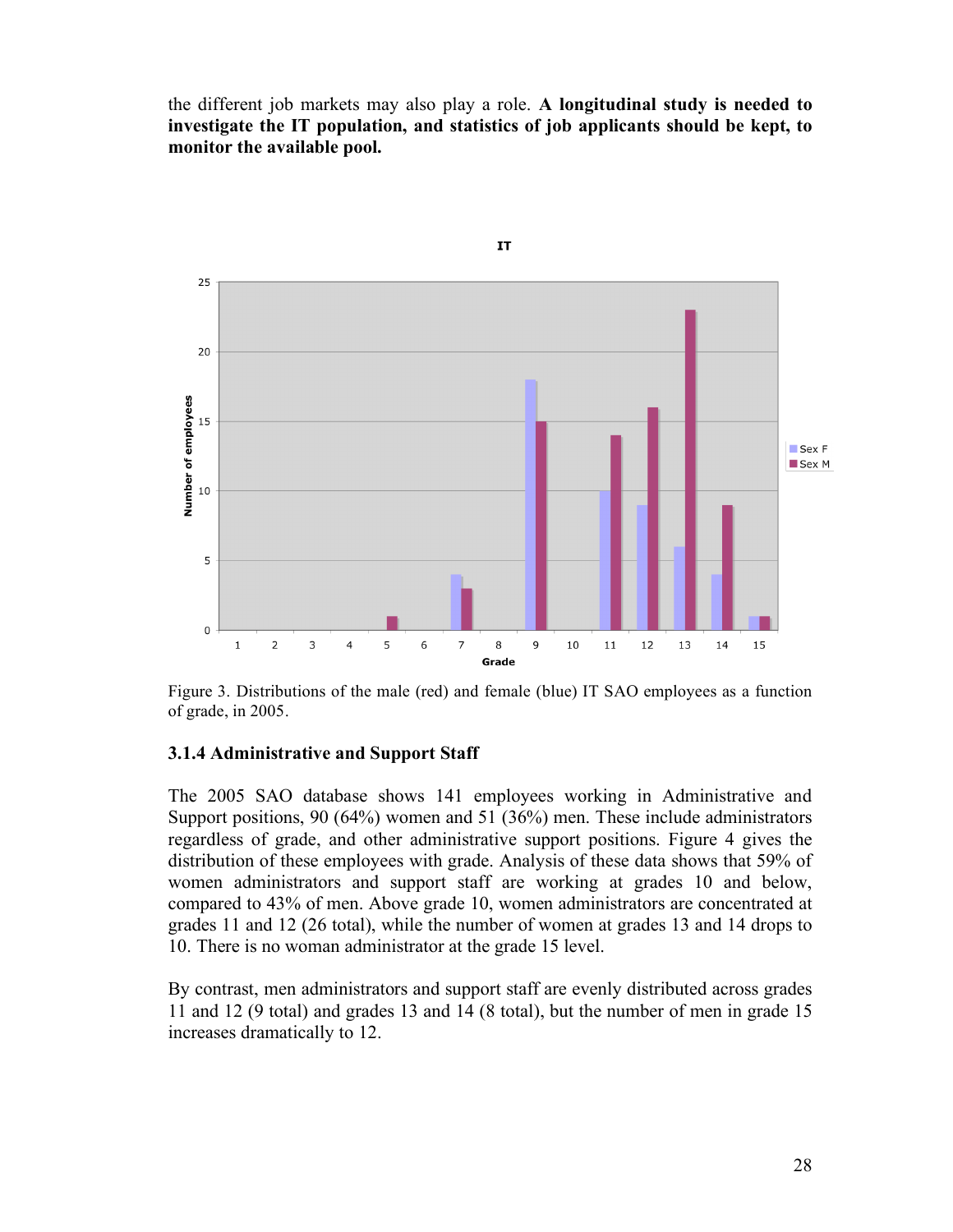the different job markets may also play a role. **A longitudinal study is needed to investigate the IT population, and statistics of job applicants should be kept, to monitor the available pool.**



Figure 3. Distributions of the male (red) and female (blue) IT SAO employees as a function of grade, in 2005.

#### **3.1.4 Administrative and Support Staff**

The 2005 SAO database shows 141 employees working in Administrative and Support positions, 90 (64%) women and 51 (36%) men. These include administrators regardless of grade, and other administrative support positions. Figure 4 gives the distribution of these employees with grade. Analysis of these data shows that 59% of women administrators and support staff are working at grades 10 and below, compared to 43% of men. Above grade 10, women administrators are concentrated at grades 11 and 12 (26 total), while the number of women at grades 13 and 14 drops to 10. There is no woman administrator at the grade 15 level.

By contrast, men administrators and support staff are evenly distributed across grades 11 and 12 (9 total) and grades 13 and 14 (8 total), but the number of men in grade 15 increases dramatically to 12.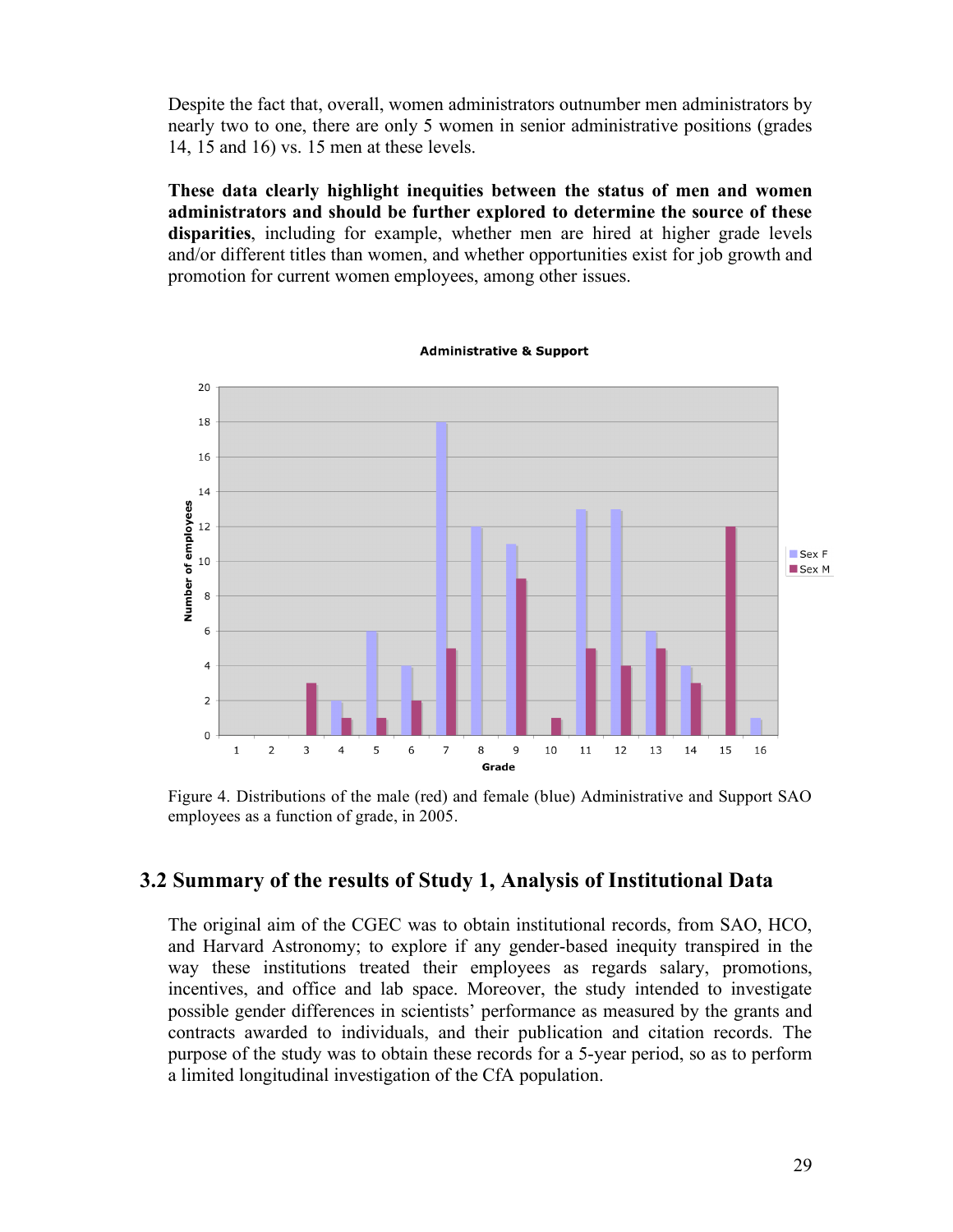Despite the fact that, overall, women administrators outnumber men administrators by nearly two to one, there are only 5 women in senior administrative positions (grades 14, 15 and 16) vs. 15 men at these levels.

**These data clearly highlight inequities between the status of men and women administrators and should be further explored to determine the source of these disparities**, including for example, whether men are hired at higher grade levels and/or different titles than women, and whether opportunities exist for job growth and promotion for current women employees, among other issues.

20 18 16 14 Number of employees  $12$  $SexF$ 10 Sex M  $\,8\,$  $\,$  6  $\,$  $\overline{\mathbf{4}}$  $\overline{2}$  $\mathbf 0$  $\overline{7}$  $\mathbf{1}$  $\overline{2}$ 3  $\overline{4}$ 5 6  $\mathbf{8}$  $\overline{9}$ 10  $11$  $12$  $13$ 14 15 16 Grade

**Administrative & Support** 

Figure 4. Distributions of the male (red) and female (blue) Administrative and Support SAO employees as a function of grade, in 2005.

#### **3.2 Summary of the results of Study 1, Analysis of Institutional Data**

The original aim of the CGEC was to obtain institutional records, from SAO, HCO, and Harvard Astronomy; to explore if any gender-based inequity transpired in the way these institutions treated their employees as regards salary, promotions, incentives, and office and lab space. Moreover, the study intended to investigate possible gender differences in scientists' performance as measured by the grants and contracts awarded to individuals, and their publication and citation records. The purpose of the study was to obtain these records for a 5-year period, so as to perform a limited longitudinal investigation of the CfA population.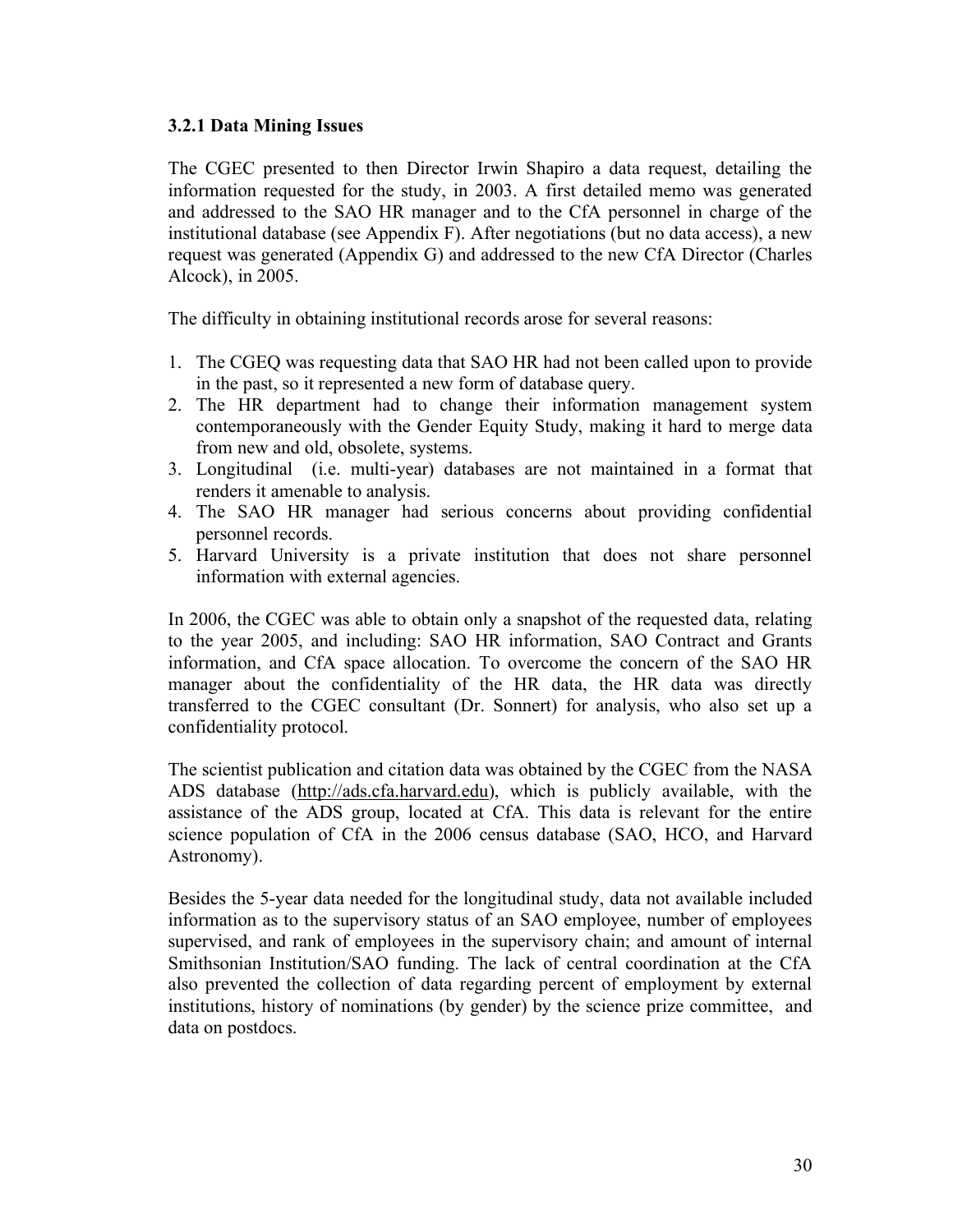#### **3.2.1 Data Mining Issues**

The CGEC presented to then Director Irwin Shapiro a data request, detailing the information requested for the study, in 2003. A first detailed memo was generated and addressed to the SAO HR manager and to the CfA personnel in charge of the institutional database (see Appendix F). After negotiations (but no data access), a new request was generated (Appendix G) and addressed to the new CfA Director (Charles Alcock), in 2005.

The difficulty in obtaining institutional records arose for several reasons:

- 1. The CGEQ was requesting data that SAO HR had not been called upon to provide in the past, so it represented a new form of database query.
- 2. The HR department had to change their information management system contemporaneously with the Gender Equity Study, making it hard to merge data from new and old, obsolete, systems.
- 3. Longitudinal (i.e. multi-year) databases are not maintained in a format that renders it amenable to analysis.
- 4. The SAO HR manager had serious concerns about providing confidential personnel records.
- 5. Harvard University is a private institution that does not share personnel information with external agencies.

In 2006, the CGEC was able to obtain only a snapshot of the requested data, relating to the year 2005, and including: SAO HR information, SAO Contract and Grants information, and CfA space allocation. To overcome the concern of the SAO HR manager about the confidentiality of the HR data, the HR data was directly transferred to the CGEC consultant (Dr. Sonnert) for analysis, who also set up a confidentiality protocol.

The scientist publication and citation data was obtained by the CGEC from the NASA ADS database (http://ads.cfa.harvard.edu), which is publicly available, with the assistance of the ADS group, located at CfA. This data is relevant for the entire science population of CfA in the 2006 census database (SAO, HCO, and Harvard Astronomy).

Besides the 5-year data needed for the longitudinal study, data not available included information as to the supervisory status of an SAO employee, number of employees supervised, and rank of employees in the supervisory chain; and amount of internal Smithsonian Institution/SAO funding. The lack of central coordination at the CfA also prevented the collection of data regarding percent of employment by external institutions, history of nominations (by gender) by the science prize committee, and data on postdocs.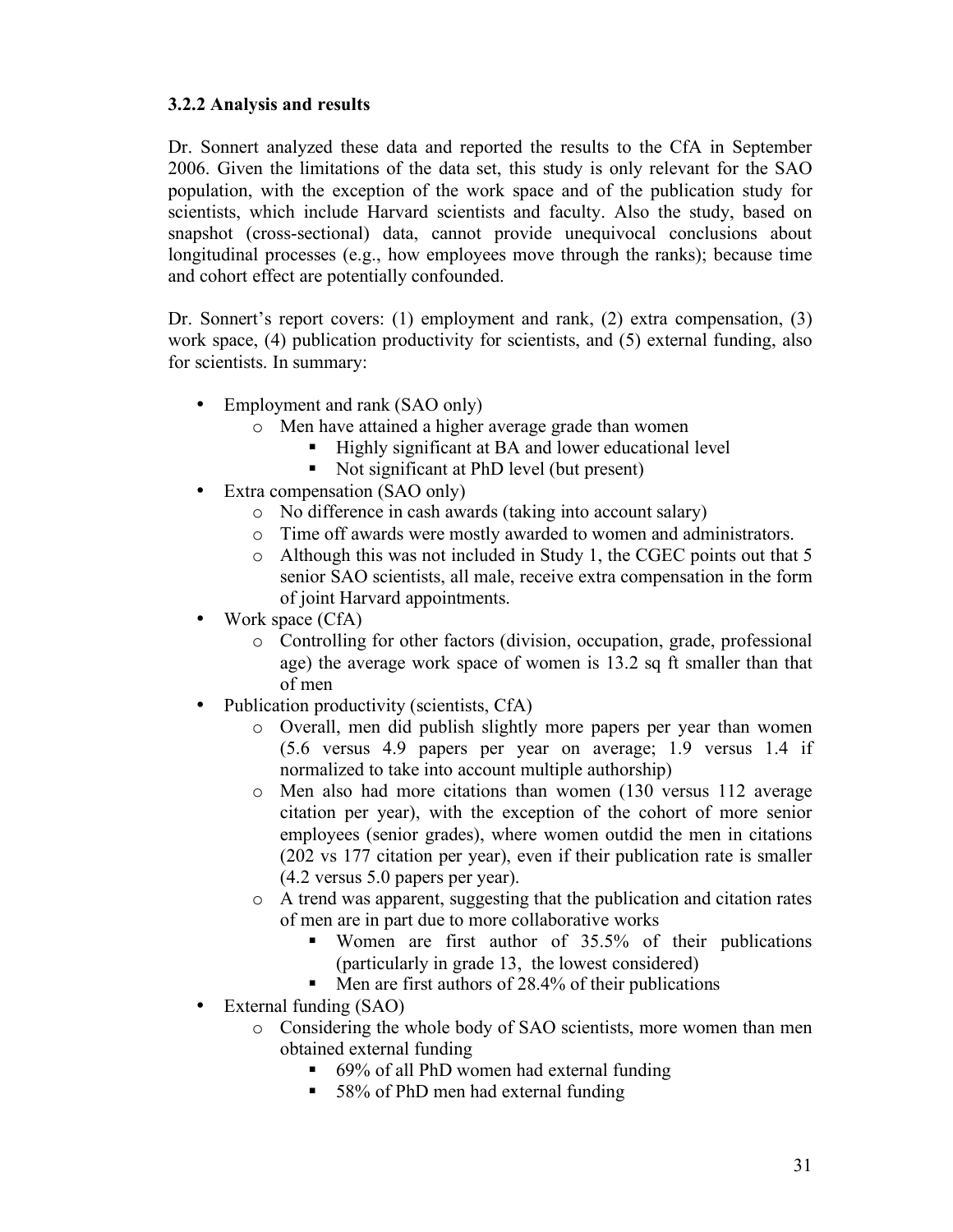### **3.2.2 Analysis and results**

Dr. Sonnert analyzed these data and reported the results to the CfA in September 2006. Given the limitations of the data set, this study is only relevant for the SAO population, with the exception of the work space and of the publication study for scientists, which include Harvard scientists and faculty. Also the study, based on snapshot (cross-sectional) data, cannot provide unequivocal conclusions about longitudinal processes (e.g., how employees move through the ranks); because time and cohort effect are potentially confounded.

Dr. Sonnert's report covers: (1) employment and rank, (2) extra compensation, (3) work space, (4) publication productivity for scientists, and (5) external funding, also for scientists. In summary:

- Employment and rank (SAO only)
	- o Men have attained a higher average grade than women
		- Highly significant at BA and lower educational level
		- Not significant at PhD level (but present)
- Extra compensation (SAO only)
	- o No difference in cash awards (taking into account salary)
	- o Time off awards were mostly awarded to women and administrators.
	- o Although this was not included in Study 1, the CGEC points out that 5 senior SAO scientists, all male, receive extra compensation in the form of joint Harvard appointments.
- Work space (CfA)
	- o Controlling for other factors (division, occupation, grade, professional age) the average work space of women is 13.2 sq ft smaller than that of men
- Publication productivity (scientists, CfA)
	- o Overall, men did publish slightly more papers per year than women (5.6 versus 4.9 papers per year on average; 1.9 versus 1.4 if normalized to take into account multiple authorship)
	- o Men also had more citations than women (130 versus 112 average citation per year), with the exception of the cohort of more senior employees (senior grades), where women outdid the men in citations (202 vs 177 citation per year), even if their publication rate is smaller (4.2 versus 5.0 papers per year).
	- o A trend was apparent, suggesting that the publication and citation rates of men are in part due to more collaborative works
		- Women are first author of 35.5% of their publications (particularly in grade 13, the lowest considered)
		- $\blacksquare$  Men are first authors of 28.4% of their publications
- External funding (SAO)
	- o Considering the whole body of SAO scientists, more women than men obtained external funding
		- 69% of all PhD women had external funding
		- 58% of PhD men had external funding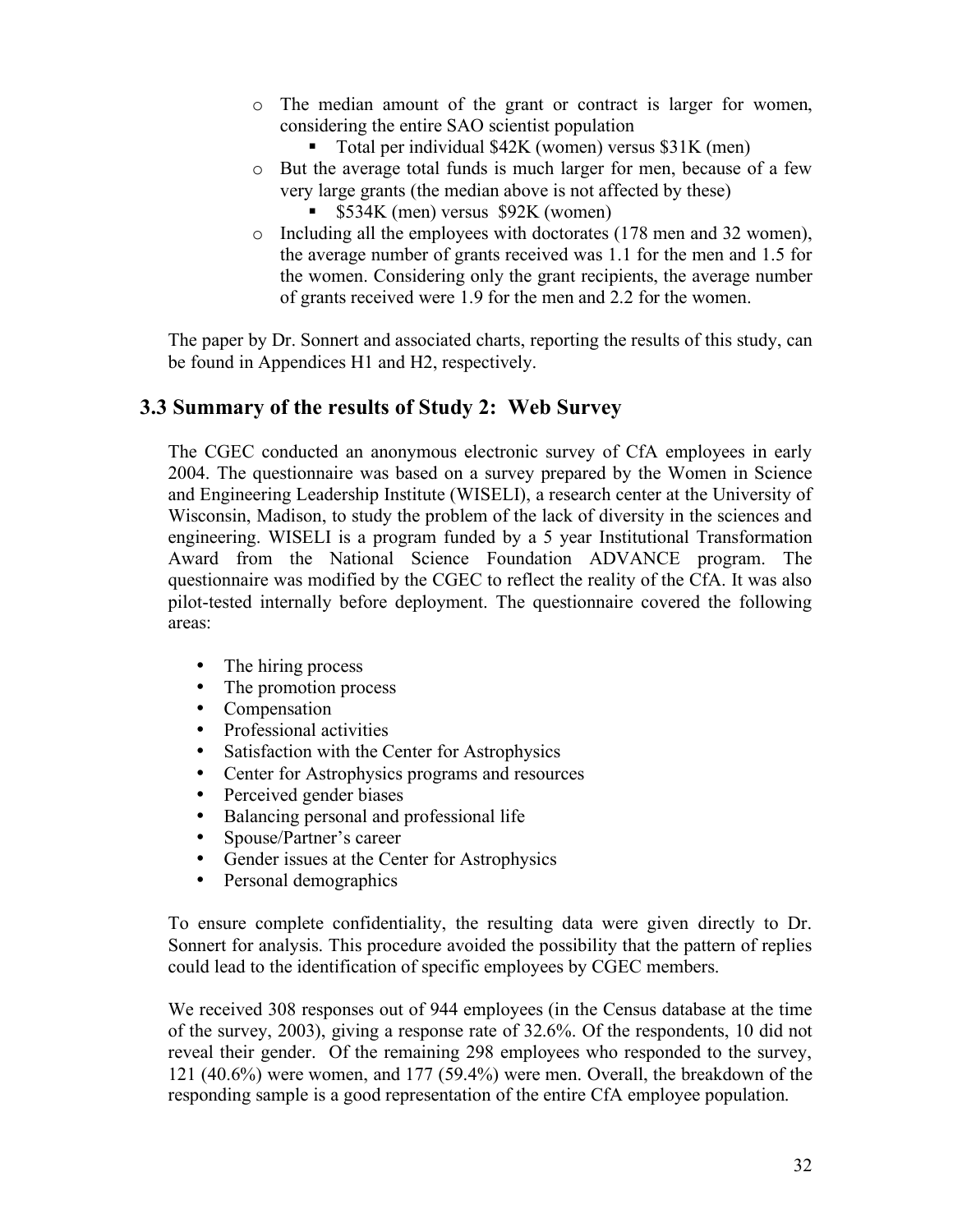- o The median amount of the grant or contract is larger for women, considering the entire SAO scientist population
	- Total per individual \$42K (women) versus \$31K (men)
- o But the average total funds is much larger for men, because of a few very large grants (the median above is not affected by these)
	- \$534K (men) versus \$92K (women)
- o Including all the employees with doctorates (178 men and 32 women), the average number of grants received was 1.1 for the men and 1.5 for the women. Considering only the grant recipients, the average number of grants received were 1.9 for the men and 2.2 for the women.

The paper by Dr. Sonnert and associated charts, reporting the results of this study, can be found in Appendices H1 and H2, respectively.

### **3.3 Summary of the results of Study 2: Web Survey**

The CGEC conducted an anonymous electronic survey of CfA employees in early 2004. The questionnaire was based on a survey prepared by the Women in Science and Engineering Leadership Institute (WISELI), a research center at the University of Wisconsin, Madison, to study the problem of the lack of diversity in the sciences and engineering. WISELI is a program funded by a 5 year Institutional Transformation Award from the National Science Foundation ADVANCE program. The questionnaire was modified by the CGEC to reflect the reality of the CfA. It was also pilot-tested internally before deployment. The questionnaire covered the following areas:

- The hiring process
- The promotion process
- Compensation
- Professional activities
- Satisfaction with the Center for Astrophysics
- Center for Astrophysics programs and resources
- Perceived gender biases<br>• Balancing personal and u
- Balancing personal and professional life
- Spouse/Partner's career
- Gender issues at the Center for Astrophysics
- Personal demographics

To ensure complete confidentiality, the resulting data were given directly to Dr. Sonnert for analysis. This procedure avoided the possibility that the pattern of replies could lead to the identification of specific employees by CGEC members.

We received 308 responses out of 944 employees (in the Census database at the time of the survey, 2003), giving a response rate of 32.6%. Of the respondents, 10 did not reveal their gender. Of the remaining 298 employees who responded to the survey, 121 (40.6%) were women, and 177 (59.4%) were men. Overall, the breakdown of the responding sample is a good representation of the entire CfA employee population.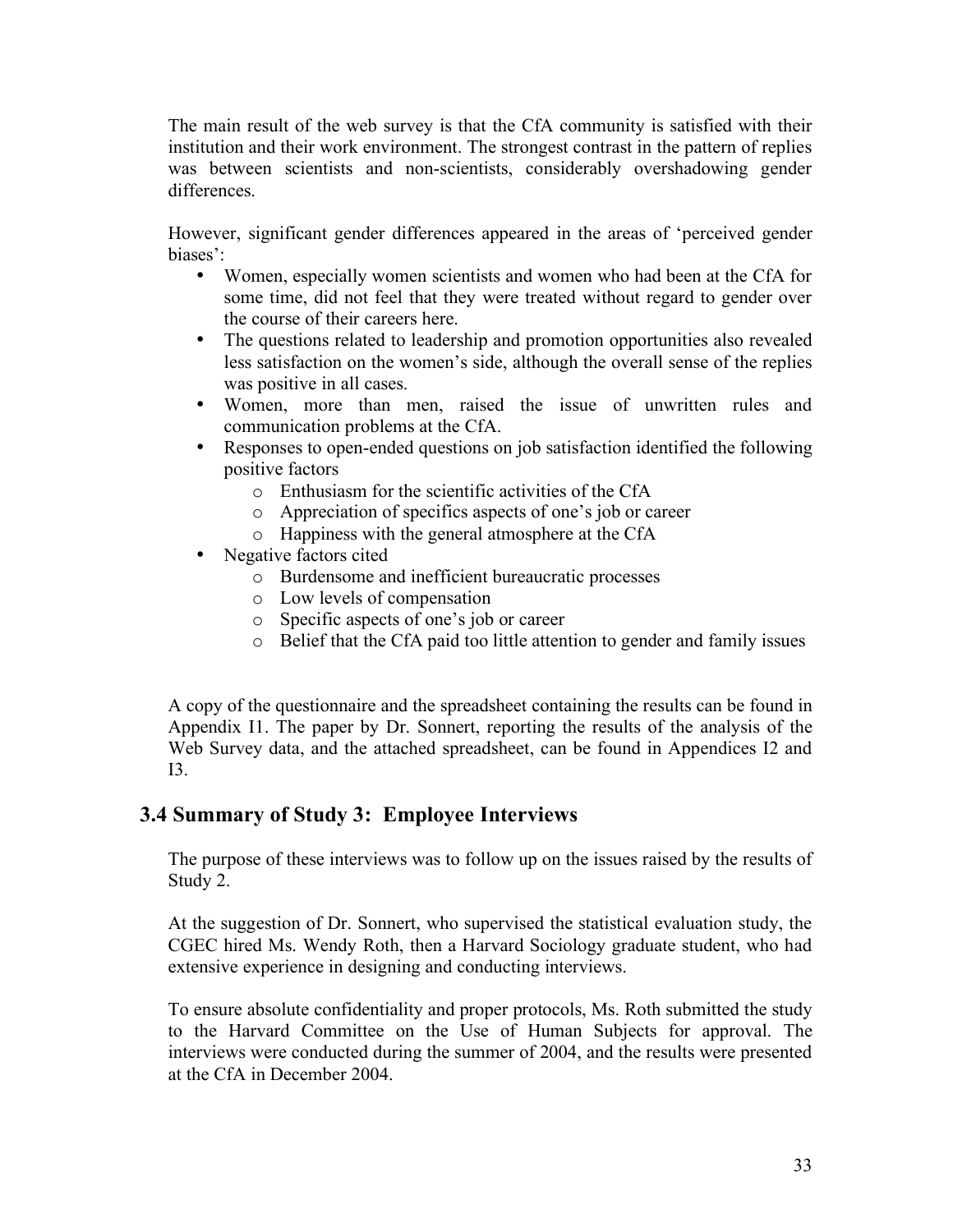The main result of the web survey is that the CfA community is satisfied with their institution and their work environment. The strongest contrast in the pattern of replies was between scientists and non-scientists, considerably overshadowing gender differences.

However, significant gender differences appeared in the areas of 'perceived gender biases':

- Women, especially women scientists and women who had been at the CfA for some time, did not feel that they were treated without regard to gender over the course of their careers here.
- The questions related to leadership and promotion opportunities also revealed less satisfaction on the women's side, although the overall sense of the replies was positive in all cases.
- Women, more than men, raised the issue of unwritten rules and communication problems at the CfA.
- Responses to open-ended questions on job satisfaction identified the following positive factors
	- o Enthusiasm for the scientific activities of the CfA
	- o Appreciation of specifics aspects of one's job or career
	- o Happiness with the general atmosphere at the CfA
- Negative factors cited
	- o Burdensome and inefficient bureaucratic processes
	- o Low levels of compensation
	- o Specific aspects of one's job or career
	- o Belief that the CfA paid too little attention to gender and family issues

A copy of the questionnaire and the spreadsheet containing the results can be found in Appendix I1. The paper by Dr. Sonnert, reporting the results of the analysis of the Web Survey data, and the attached spreadsheet, can be found in Appendices I2 and I3.

### **3.4 Summary of Study 3: Employee Interviews**

The purpose of these interviews was to follow up on the issues raised by the results of Study 2.

At the suggestion of Dr. Sonnert, who supervised the statistical evaluation study, the CGEC hired Ms. Wendy Roth, then a Harvard Sociology graduate student, who had extensive experience in designing and conducting interviews.

To ensure absolute confidentiality and proper protocols, Ms. Roth submitted the study to the Harvard Committee on the Use of Human Subjects for approval. The interviews were conducted during the summer of 2004, and the results were presented at the CfA in December 2004.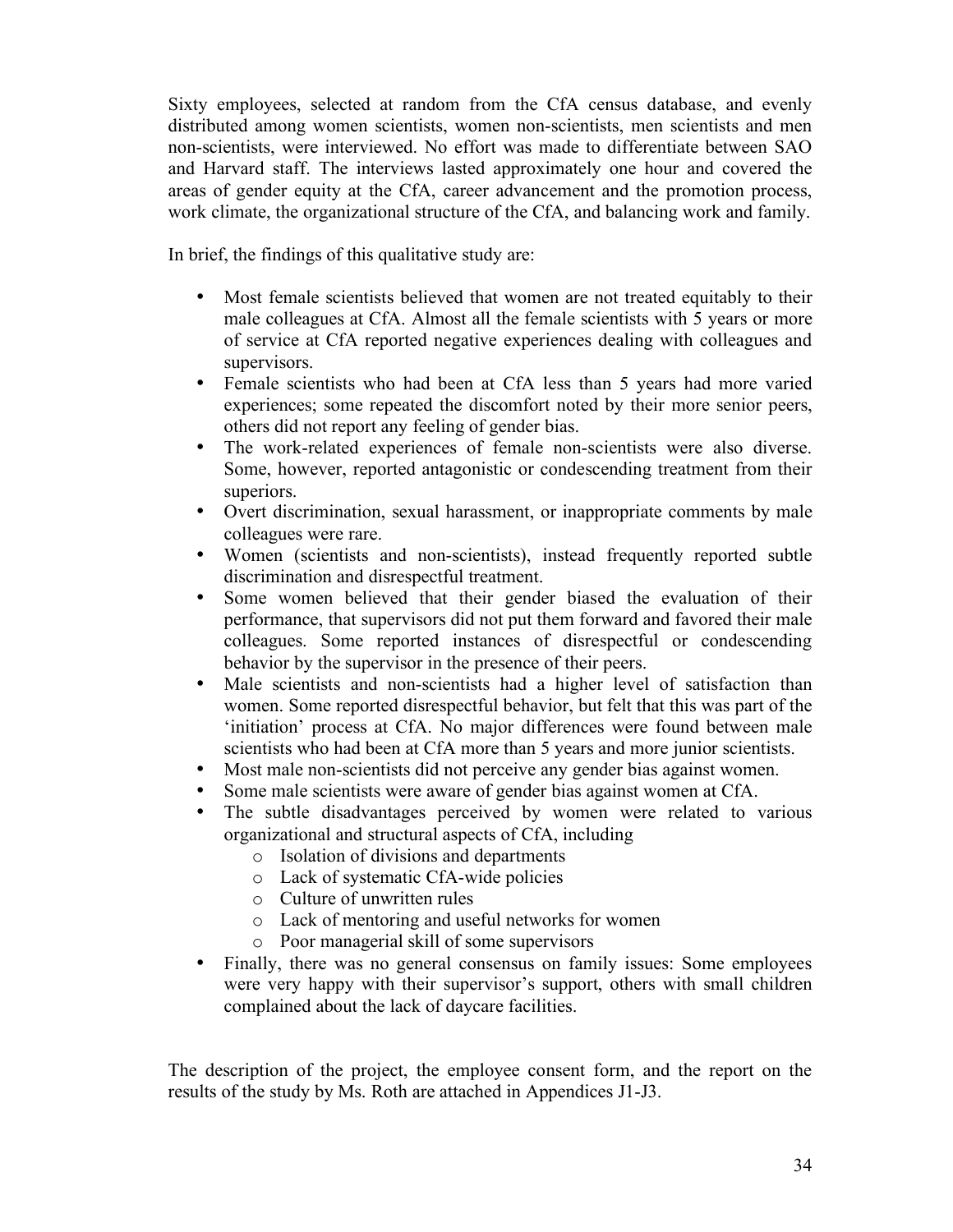Sixty employees, selected at random from the CfA census database, and evenly distributed among women scientists, women non-scientists, men scientists and men non-scientists, were interviewed. No effort was made to differentiate between SAO and Harvard staff. The interviews lasted approximately one hour and covered the areas of gender equity at the CfA, career advancement and the promotion process, work climate, the organizational structure of the CfA, and balancing work and family.

In brief, the findings of this qualitative study are:

- Most female scientists believed that women are not treated equitably to their male colleagues at CfA. Almost all the female scientists with 5 years or more of service at CfA reported negative experiences dealing with colleagues and supervisors.
- Female scientists who had been at CfA less than 5 years had more varied experiences; some repeated the discomfort noted by their more senior peers, others did not report any feeling of gender bias.
- The work-related experiences of female non-scientists were also diverse. Some, however, reported antagonistic or condescending treatment from their superiors.
- Overt discrimination, sexual harassment, or inappropriate comments by male colleagues were rare.
- Women (scientists and non-scientists), instead frequently reported subtle discrimination and disrespectful treatment.
- Some women believed that their gender biased the evaluation of their performance, that supervisors did not put them forward and favored their male colleagues. Some reported instances of disrespectful or condescending behavior by the supervisor in the presence of their peers.
- Male scientists and non-scientists had a higher level of satisfaction than women. Some reported disrespectful behavior, but felt that this was part of the 'initiation' process at CfA. No major differences were found between male scientists who had been at CfA more than 5 years and more junior scientists.
- Most male non-scientists did not perceive any gender bias against women.
- Some male scientists were aware of gender bias against women at CfA.<br>• The subtle disadvantages perceived by women were related to
- The subtle disadvantages perceived by women were related to various organizational and structural aspects of CfA, including
	- o Isolation of divisions and departments
	- o Lack of systematic CfA-wide policies
	- o Culture of unwritten rules
	- o Lack of mentoring and useful networks for women
	- o Poor managerial skill of some supervisors
- Finally, there was no general consensus on family issues: Some employees were very happy with their supervisor's support, others with small children complained about the lack of daycare facilities.

The description of the project, the employee consent form, and the report on the results of the study by Ms. Roth are attached in Appendices J1-J3.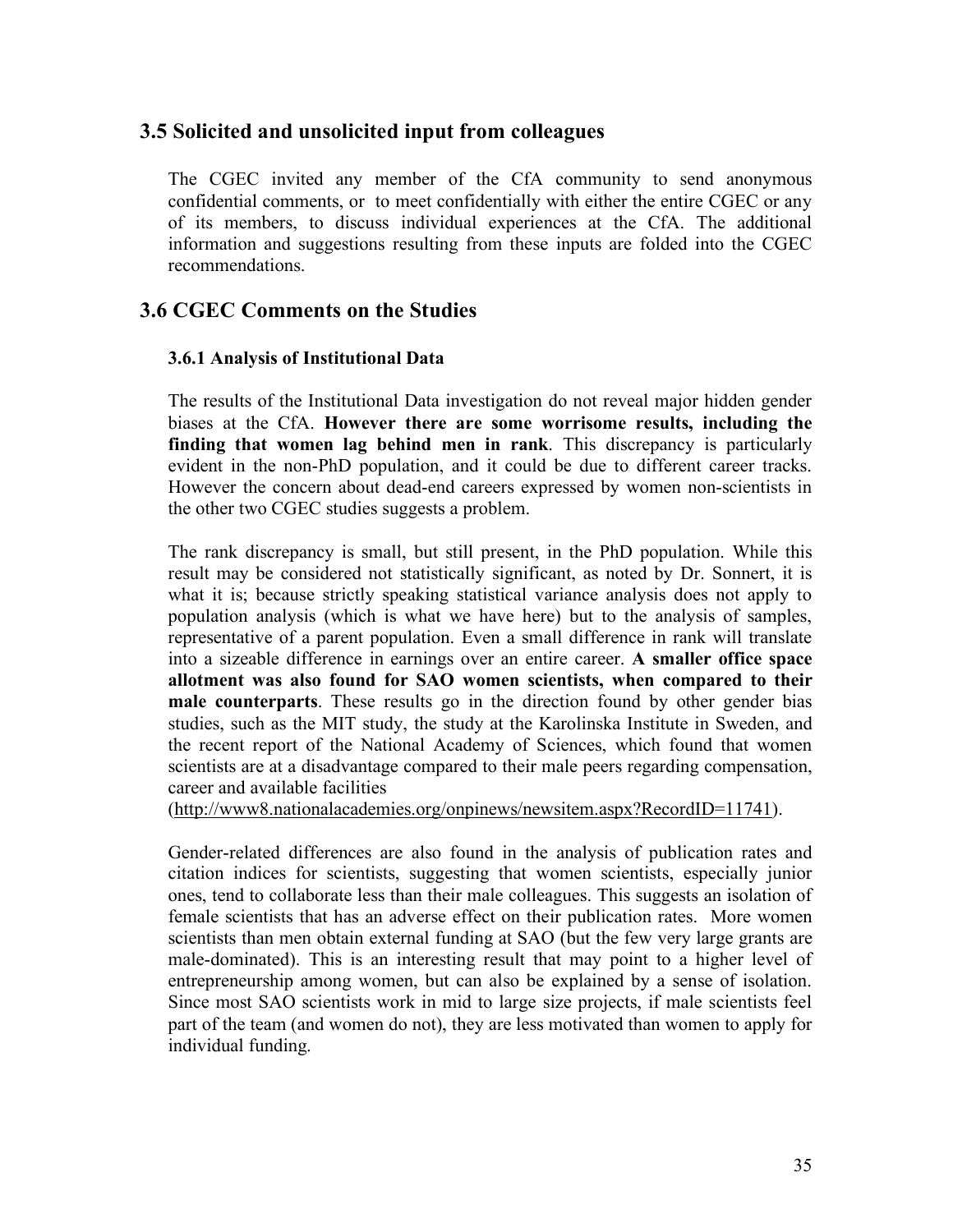### **3.5 Solicited and unsolicited input from colleagues**

The CGEC invited any member of the CfA community to send anonymous confidential comments, or to meet confidentially with either the entire CGEC or any of its members, to discuss individual experiences at the CfA. The additional information and suggestions resulting from these inputs are folded into the CGEC recommendations.

### **3.6 CGEC Comments on the Studies**

#### **3.6.1 Analysis of Institutional Data**

The results of the Institutional Data investigation do not reveal major hidden gender biases at the CfA. **However there are some worrisome results, including the finding that women lag behind men in rank**. This discrepancy is particularly evident in the non-PhD population, and it could be due to different career tracks. However the concern about dead-end careers expressed by women non-scientists in the other two CGEC studies suggests a problem.

The rank discrepancy is small, but still present, in the PhD population. While this result may be considered not statistically significant, as noted by Dr. Sonnert, it is what it is; because strictly speaking statistical variance analysis does not apply to population analysis (which is what we have here) but to the analysis of samples, representative of a parent population. Even a small difference in rank will translate into a sizeable difference in earnings over an entire career. **A smaller office space allotment was also found for SAO women scientists, when compared to their male counterparts**. These results go in the direction found by other gender bias studies, such as the MIT study, the study at the Karolinska Institute in Sweden, and the recent report of the National Academy of Sciences, which found that women scientists are at a disadvantage compared to their male peers regarding compensation, career and available facilities

(http://www8.nationalacademies.org/onpinews/newsitem.aspx?RecordID=11741).

Gender-related differences are also found in the analysis of publication rates and citation indices for scientists, suggesting that women scientists, especially junior ones, tend to collaborate less than their male colleagues. This suggests an isolation of female scientists that has an adverse effect on their publication rates. More women scientists than men obtain external funding at SAO (but the few very large grants are male-dominated). This is an interesting result that may point to a higher level of entrepreneurship among women, but can also be explained by a sense of isolation. Since most SAO scientists work in mid to large size projects, if male scientists feel part of the team (and women do not), they are less motivated than women to apply for individual funding.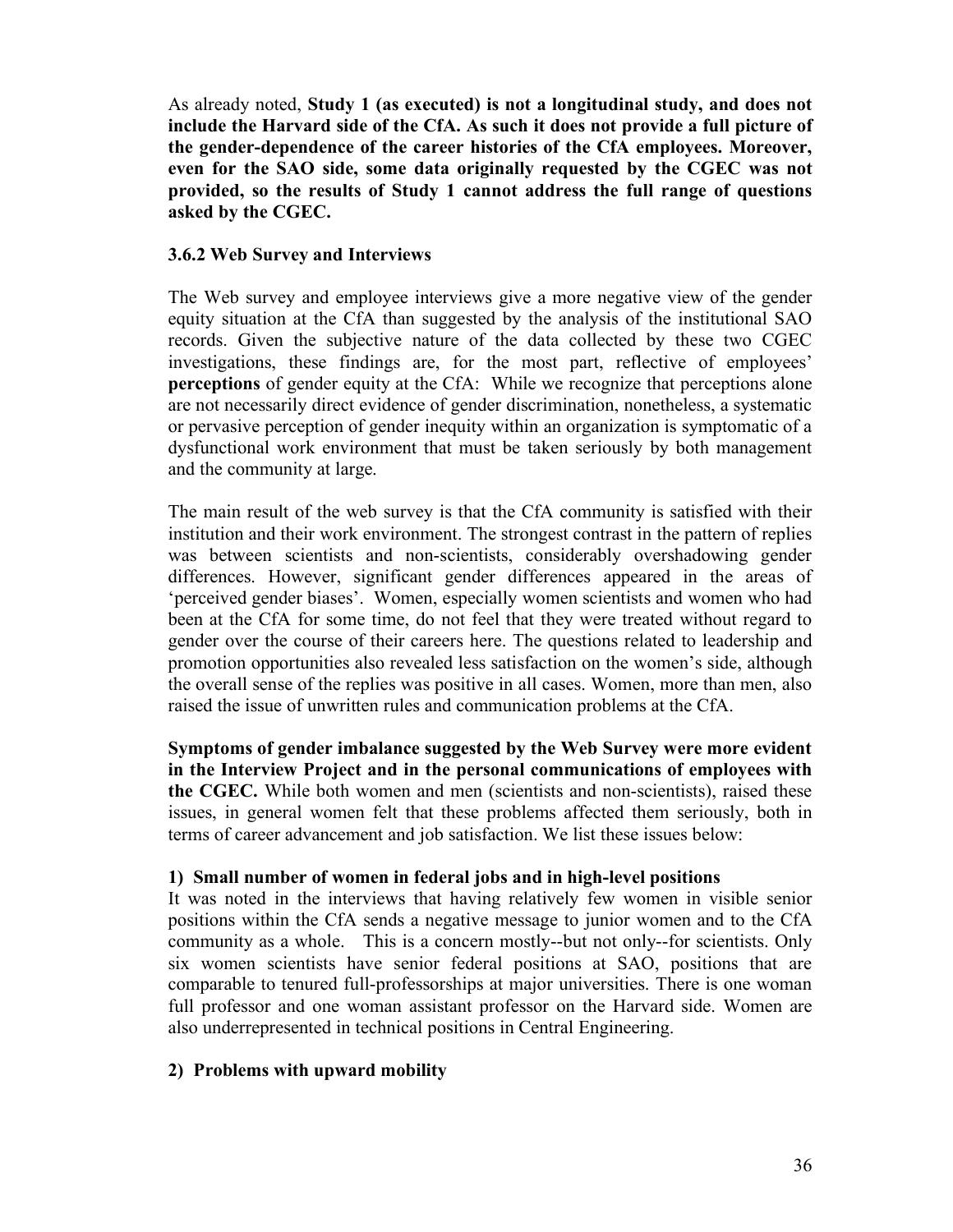As already noted, **Study 1 (as executed) is not a longitudinal study, and does not include the Harvard side of the CfA. As such it does not provide a full picture of the gender-dependence of the career histories of the CfA employees. Moreover, even for the SAO side, some data originally requested by the CGEC was not provided, so the results of Study 1 cannot address the full range of questions asked by the CGEC.**

#### **3.6.2 Web Survey and Interviews**

The Web survey and employee interviews give a more negative view of the gender equity situation at the CfA than suggested by the analysis of the institutional SAO records. Given the subjective nature of the data collected by these two CGEC investigations, these findings are, for the most part, reflective of employees' **perceptions** of gender equity at the CfA: While we recognize that perceptions alone are not necessarily direct evidence of gender discrimination, nonetheless, a systematic or pervasive perception of gender inequity within an organization is symptomatic of a dysfunctional work environment that must be taken seriously by both management and the community at large.

The main result of the web survey is that the CfA community is satisfied with their institution and their work environment. The strongest contrast in the pattern of replies was between scientists and non-scientists, considerably overshadowing gender differences. However, significant gender differences appeared in the areas of 'perceived gender biases'. Women, especially women scientists and women who had been at the CfA for some time, do not feel that they were treated without regard to gender over the course of their careers here. The questions related to leadership and promotion opportunities also revealed less satisfaction on the women's side, although the overall sense of the replies was positive in all cases. Women, more than men, also raised the issue of unwritten rules and communication problems at the CfA.

**Symptoms of gender imbalance suggested by the Web Survey were more evident in the Interview Project and in the personal communications of employees with the CGEC.** While both women and men (scientists and non-scientists), raised these issues, in general women felt that these problems affected them seriously, both in terms of career advancement and job satisfaction. We list these issues below:

#### **1) Small number of women in federal jobs and in high-level positions**

It was noted in the interviews that having relatively few women in visible senior positions within the CfA sends a negative message to junior women and to the CfA community as a whole. This is a concern mostly--but not only--for scientists. Only six women scientists have senior federal positions at SAO, positions that are comparable to tenured full-professorships at major universities. There is one woman full professor and one woman assistant professor on the Harvard side. Women are also underrepresented in technical positions in Central Engineering.

#### **2) Problems with upward mobility**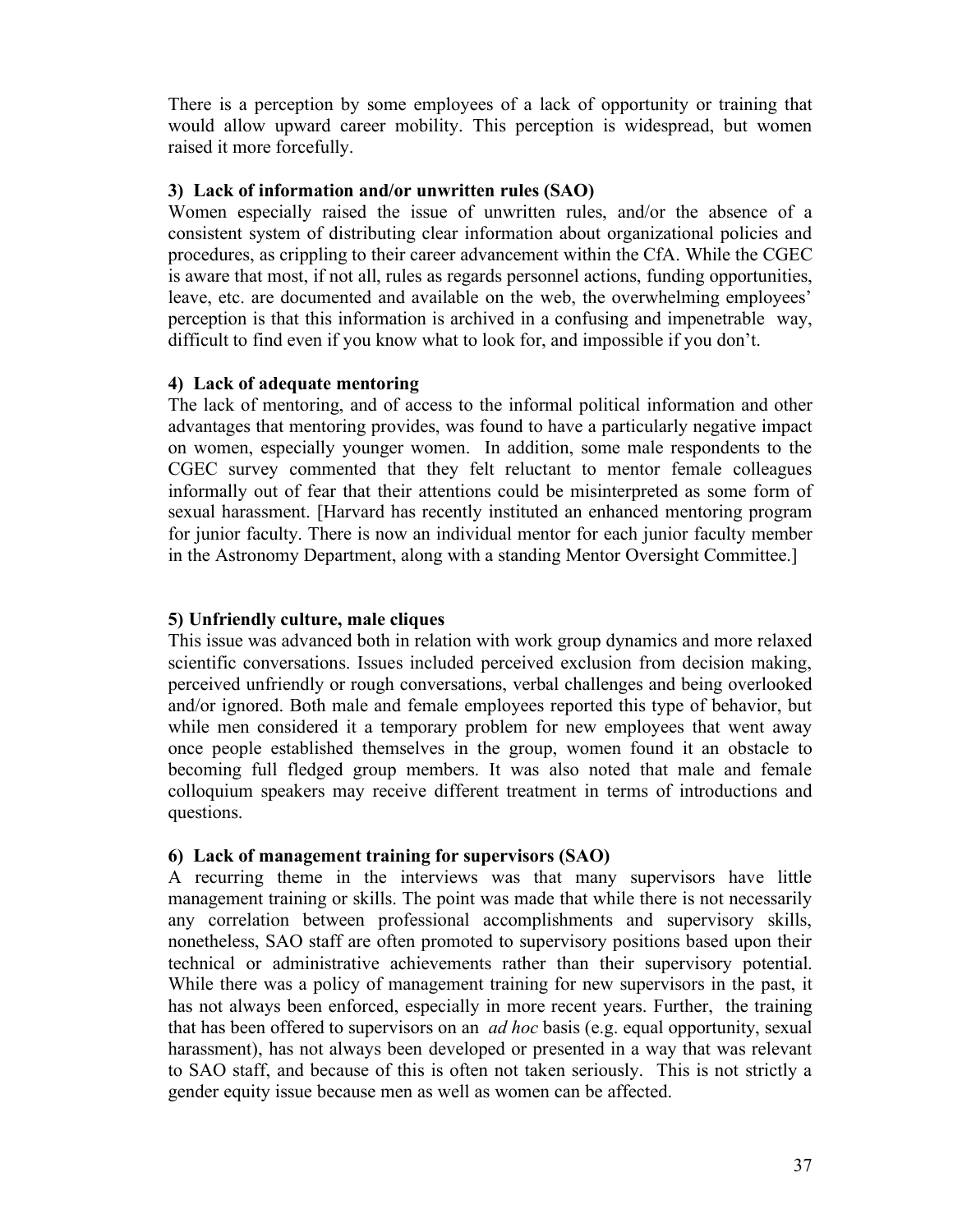There is a perception by some employees of a lack of opportunity or training that would allow upward career mobility. This perception is widespread, but women raised it more forcefully.

#### **3) Lack of information and/or unwritten rules (SAO)**

Women especially raised the issue of unwritten rules, and/or the absence of a consistent system of distributing clear information about organizational policies and procedures, as crippling to their career advancement within the CfA. While the CGEC is aware that most, if not all, rules as regards personnel actions, funding opportunities, leave, etc. are documented and available on the web, the overwhelming employees' perception is that this information is archived in a confusing and impenetrable way, difficult to find even if you know what to look for, and impossible if you don't.

#### **4) Lack of adequate mentoring**

The lack of mentoring, and of access to the informal political information and other advantages that mentoring provides, was found to have a particularly negative impact on women, especially younger women. In addition, some male respondents to the CGEC survey commented that they felt reluctant to mentor female colleagues informally out of fear that their attentions could be misinterpreted as some form of sexual harassment. [Harvard has recently instituted an enhanced mentoring program for junior faculty. There is now an individual mentor for each junior faculty member in the Astronomy Department, along with a standing Mentor Oversight Committee.]

#### **5) Unfriendly culture, male cliques**

This issue was advanced both in relation with work group dynamics and more relaxed scientific conversations. Issues included perceived exclusion from decision making, perceived unfriendly or rough conversations, verbal challenges and being overlooked and/or ignored. Both male and female employees reported this type of behavior, but while men considered it a temporary problem for new employees that went away once people established themselves in the group, women found it an obstacle to becoming full fledged group members. It was also noted that male and female colloquium speakers may receive different treatment in terms of introductions and questions.

#### **6) Lack of management training for supervisors (SAO)**

A recurring theme in the interviews was that many supervisors have little management training or skills. The point was made that while there is not necessarily any correlation between professional accomplishments and supervisory skills, nonetheless, SAO staff are often promoted to supervisory positions based upon their technical or administrative achievements rather than their supervisory potential. While there was a policy of management training for new supervisors in the past, it has not always been enforced, especially in more recent years. Further, the training that has been offered to supervisors on an *ad hoc* basis (e.g. equal opportunity, sexual harassment), has not always been developed or presented in a way that was relevant to SAO staff, and because of this is often not taken seriously. This is not strictly a gender equity issue because men as well as women can be affected.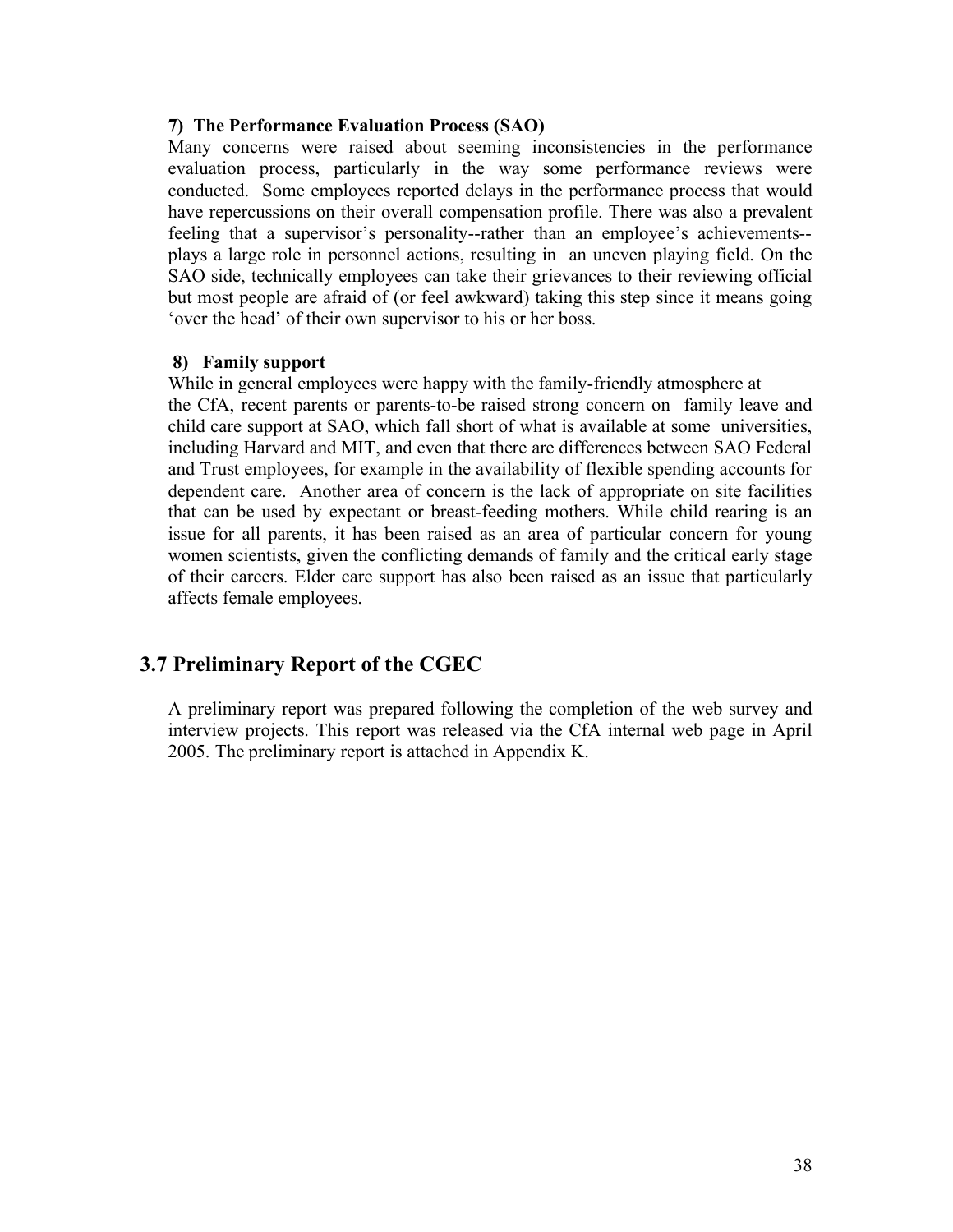#### **7) The Performance Evaluation Process (SAO)**

Many concerns were raised about seeming inconsistencies in the performance evaluation process, particularly in the way some performance reviews were conducted. Some employees reported delays in the performance process that would have repercussions on their overall compensation profile. There was also a prevalent feeling that a supervisor's personality--rather than an employee's achievements- plays a large role in personnel actions, resulting in an uneven playing field. On the SAO side, technically employees can take their grievances to their reviewing official but most people are afraid of (or feel awkward) taking this step since it means going 'over the head' of their own supervisor to his or her boss.

#### **8) Family support**

While in general employees were happy with the family-friendly atmosphere at the CfA, recent parents or parents-to-be raised strong concern on family leave and child care support at SAO, which fall short of what is available at some universities, including Harvard and MIT, and even that there are differences between SAO Federal and Trust employees, for example in the availability of flexible spending accounts for dependent care. Another area of concern is the lack of appropriate on site facilities that can be used by expectant or breast-feeding mothers. While child rearing is an issue for all parents, it has been raised as an area of particular concern for young women scientists, given the conflicting demands of family and the critical early stage of their careers. Elder care support has also been raised as an issue that particularly affects female employees.

### **3.7 Preliminary Report of the CGEC**

A preliminary report was prepared following the completion of the web survey and interview projects. This report was released via the CfA internal web page in April 2005. The preliminary report is attached in Appendix K.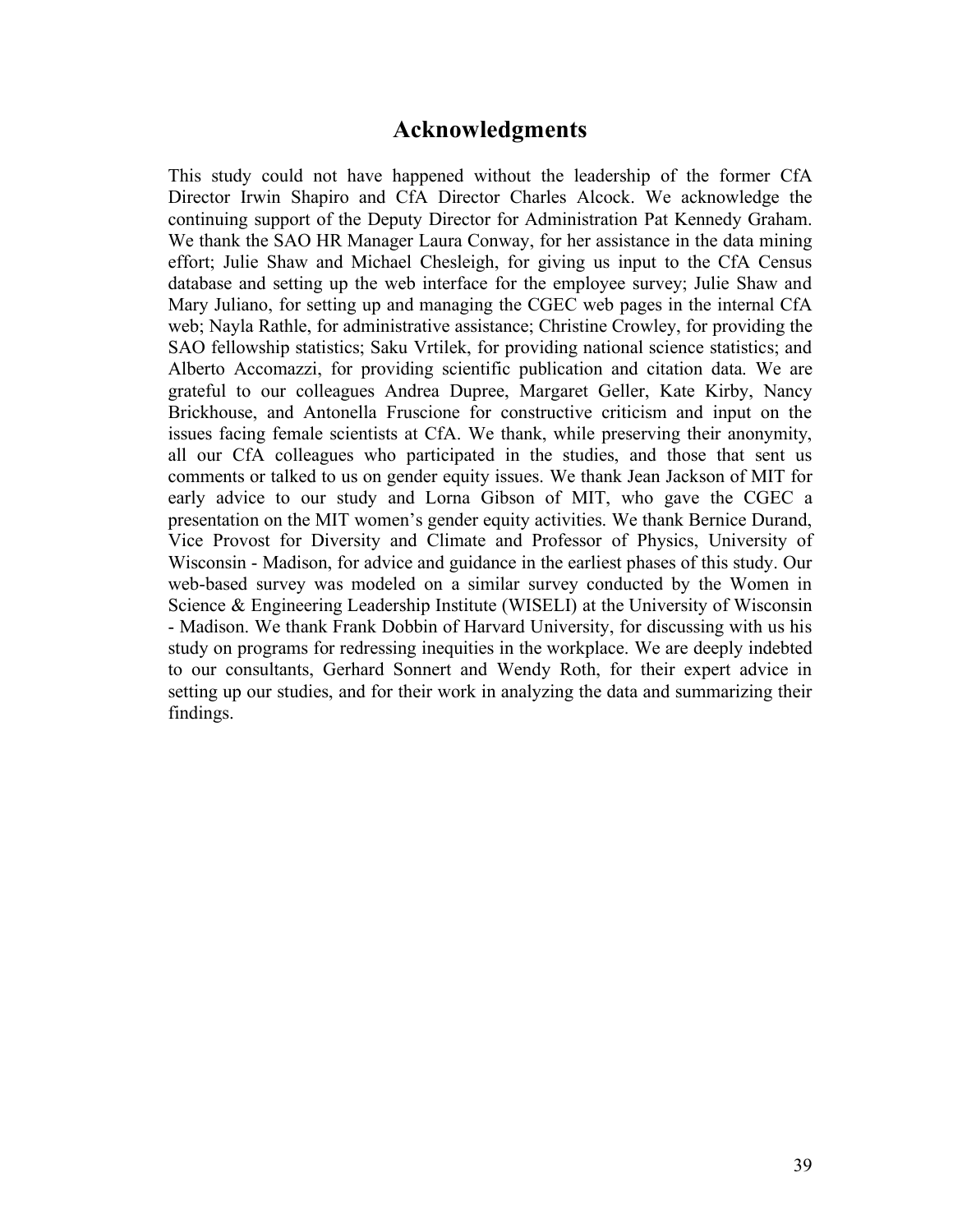### **Acknowledgments**

This study could not have happened without the leadership of the former CfA Director Irwin Shapiro and CfA Director Charles Alcock. We acknowledge the continuing support of the Deputy Director for Administration Pat Kennedy Graham. We thank the SAO HR Manager Laura Conway, for her assistance in the data mining effort; Julie Shaw and Michael Chesleigh, for giving us input to the CfA Census database and setting up the web interface for the employee survey; Julie Shaw and Mary Juliano, for setting up and managing the CGEC web pages in the internal CfA web; Nayla Rathle, for administrative assistance; Christine Crowley, for providing the SAO fellowship statistics; Saku Vrtilek, for providing national science statistics; and Alberto Accomazzi, for providing scientific publication and citation data. We are grateful to our colleagues Andrea Dupree, Margaret Geller, Kate Kirby, Nancy Brickhouse, and Antonella Fruscione for constructive criticism and input on the issues facing female scientists at CfA. We thank, while preserving their anonymity, all our CfA colleagues who participated in the studies, and those that sent us comments or talked to us on gender equity issues. We thank Jean Jackson of MIT for early advice to our study and Lorna Gibson of MIT, who gave the CGEC a presentation on the MIT women's gender equity activities. We thank Bernice Durand, Vice Provost for Diversity and Climate and Professor of Physics, University of Wisconsin - Madison, for advice and guidance in the earliest phases of this study. Our web-based survey was modeled on a similar survey conducted by the Women in Science & Engineering Leadership Institute (WISELI) at the University of Wisconsin - Madison. We thank Frank Dobbin of Harvard University, for discussing with us his study on programs for redressing inequities in the workplace. We are deeply indebted to our consultants, Gerhard Sonnert and Wendy Roth, for their expert advice in setting up our studies, and for their work in analyzing the data and summarizing their findings.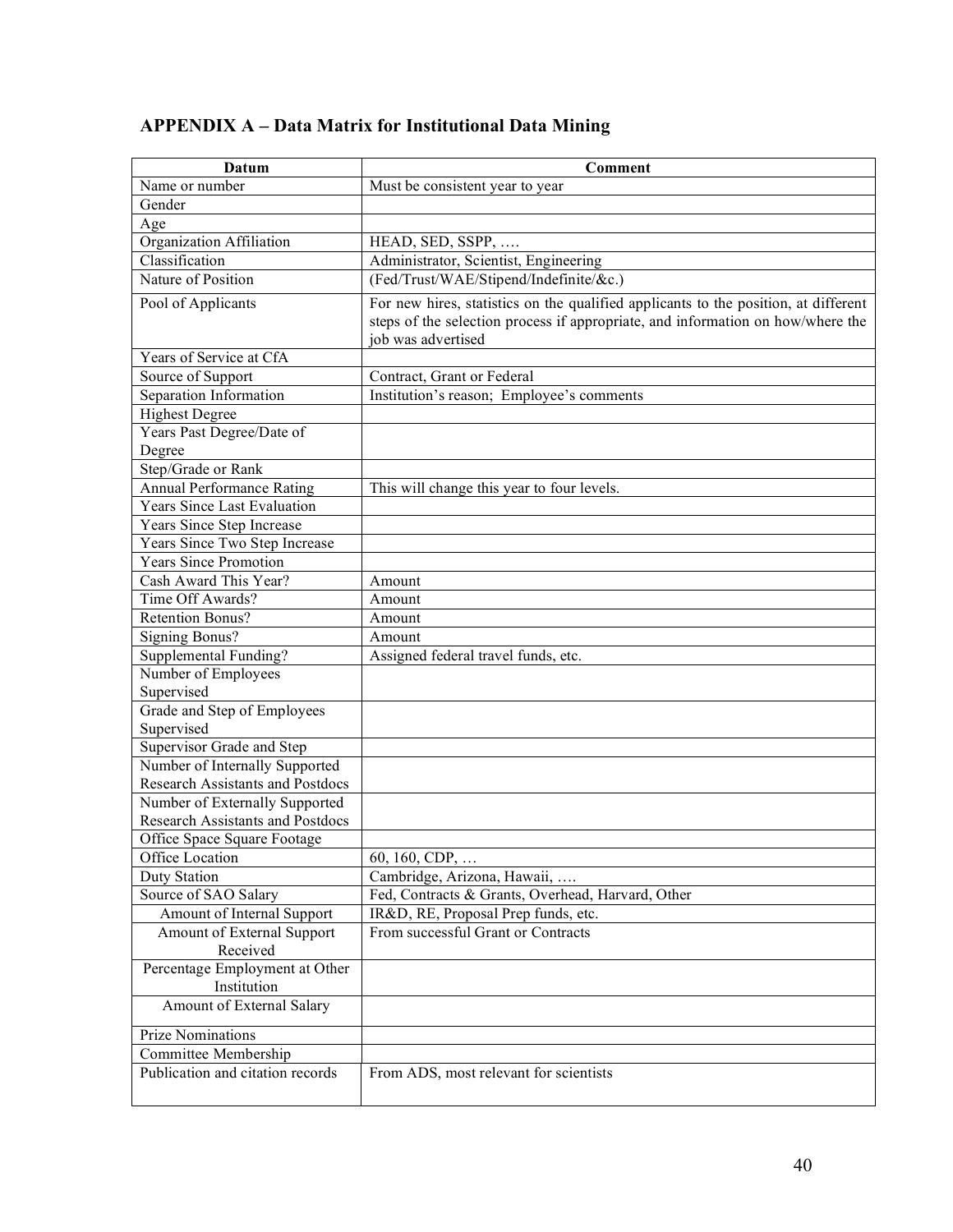| Datum                                                                     | Comment                                                                             |
|---------------------------------------------------------------------------|-------------------------------------------------------------------------------------|
| Name or number                                                            | Must be consistent year to year                                                     |
| Gender                                                                    |                                                                                     |
| Age                                                                       |                                                                                     |
| Organization Affiliation                                                  | HEAD, SED, SSPP,                                                                    |
| Classification                                                            | Administrator, Scientist, Engineering                                               |
| Nature of Position                                                        | (Fed/Trust/WAE/Stipend/Indefinite/&c.)                                              |
| Pool of Applicants                                                        | For new hires, statistics on the qualified applicants to the position, at different |
|                                                                           | steps of the selection process if appropriate, and information on how/where the     |
|                                                                           | job was advertised                                                                  |
| Years of Service at CfA                                                   |                                                                                     |
| Source of Support                                                         | Contract, Grant or Federal                                                          |
| Separation Information                                                    | Institution's reason; Employee's comments                                           |
| <b>Highest Degree</b>                                                     |                                                                                     |
| Years Past Degree/Date of                                                 |                                                                                     |
| Degree                                                                    |                                                                                     |
| Step/Grade or Rank                                                        |                                                                                     |
| <b>Annual Performance Rating</b>                                          | This will change this year to four levels.                                          |
| <b>Years Since Last Evaluation</b>                                        |                                                                                     |
| Years Since Step Increase                                                 |                                                                                     |
| Years Since Two Step Increase                                             |                                                                                     |
| <b>Years Since Promotion</b>                                              |                                                                                     |
| Cash Award This Year?                                                     | Amount                                                                              |
| Time Off Awards?                                                          | Amount                                                                              |
| Retention Bonus?                                                          | Amount                                                                              |
| <b>Signing Bonus?</b>                                                     | Amount                                                                              |
| Supplemental Funding?                                                     | Assigned federal travel funds, etc.                                                 |
| Number of Employees                                                       |                                                                                     |
| Supervised                                                                |                                                                                     |
| Grade and Step of Employees                                               |                                                                                     |
| Supervised                                                                |                                                                                     |
| Supervisor Grade and Step                                                 |                                                                                     |
| Number of Internally Supported                                            |                                                                                     |
| <b>Research Assistants and Postdocs</b>                                   |                                                                                     |
| Number of Externally Supported<br><b>Research Assistants and Postdocs</b> |                                                                                     |
| Office Space Square Footage                                               |                                                                                     |
| Office Location                                                           | 60, 160, CDP,                                                                       |
| <b>Duty Station</b>                                                       | Cambridge, Arizona, Hawaii,                                                         |
| Source of SAO Salary                                                      | Fed, Contracts & Grants, Overhead, Harvard, Other                                   |
| Amount of Internal Support                                                | IR&D, RE, Proposal Prep funds, etc.                                                 |
| Amount of External Support                                                | From successful Grant or Contracts                                                  |
| Received                                                                  |                                                                                     |
| Percentage Employment at Other                                            |                                                                                     |
| Institution                                                               |                                                                                     |
| Amount of External Salary                                                 |                                                                                     |
|                                                                           |                                                                                     |
| <b>Prize Nominations</b>                                                  |                                                                                     |
| Committee Membership                                                      |                                                                                     |
| Publication and citation records                                          | From ADS, most relevant for scientists                                              |
|                                                                           |                                                                                     |

## **APPENDIX A – Data Matrix for Institutional Data Mining**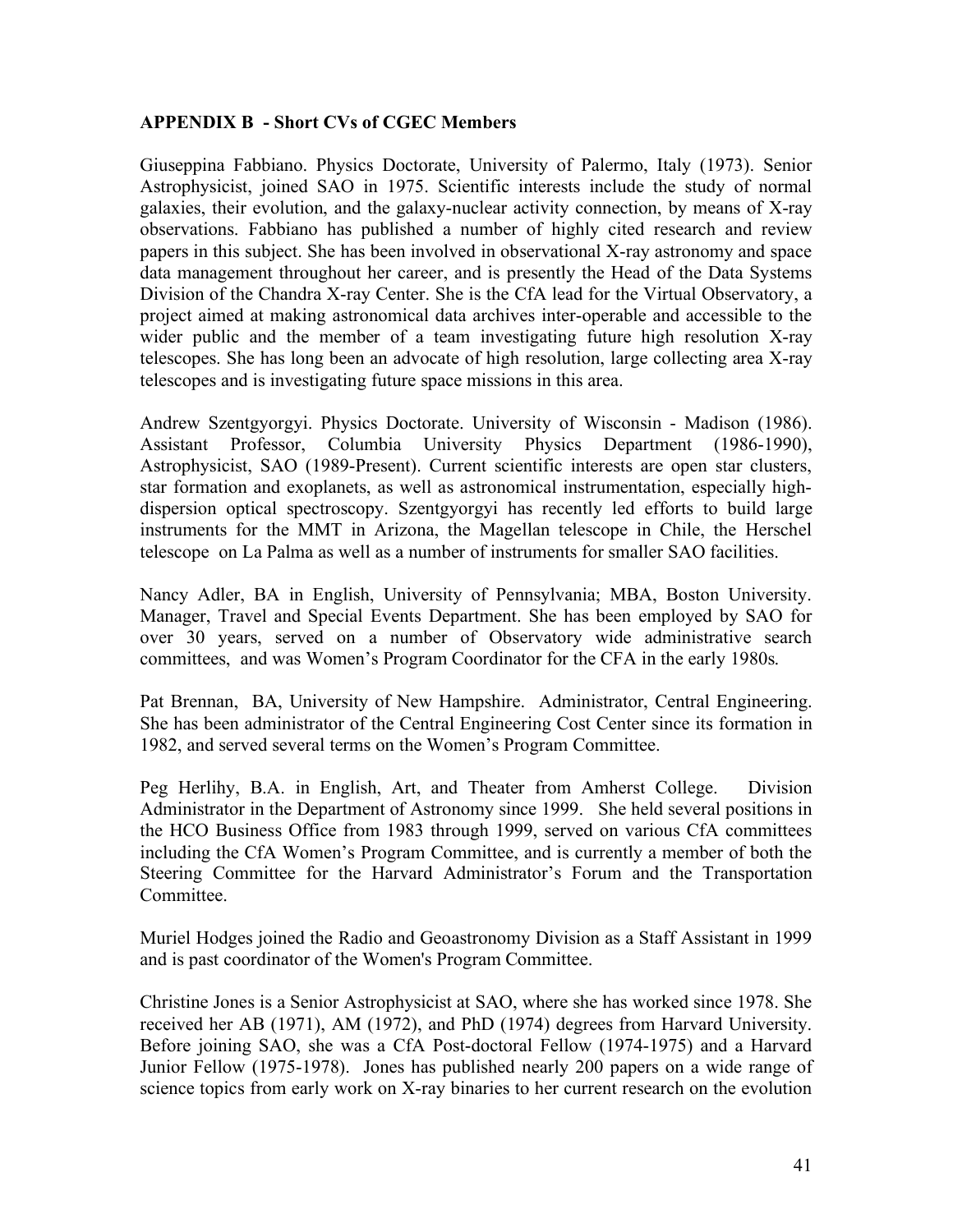#### **APPENDIX B - Short CVs of CGEC Members**

Giuseppina Fabbiano. Physics Doctorate, University of Palermo, Italy (1973). Senior Astrophysicist, joined SAO in 1975. Scientific interests include the study of normal galaxies, their evolution, and the galaxy-nuclear activity connection, by means of X-ray observations. Fabbiano has published a number of highly cited research and review papers in this subject. She has been involved in observational X-ray astronomy and space data management throughout her career, and is presently the Head of the Data Systems Division of the Chandra X-ray Center. She is the CfA lead for the Virtual Observatory, a project aimed at making astronomical data archives inter-operable and accessible to the wider public and the member of a team investigating future high resolution X-ray telescopes. She has long been an advocate of high resolution, large collecting area X-ray telescopes and is investigating future space missions in this area.

Andrew Szentgyorgyi. Physics Doctorate. University of Wisconsin - Madison (1986). Assistant Professor, Columbia University Physics Department (1986-1990), Astrophysicist, SAO (1989-Present). Current scientific interests are open star clusters, star formation and exoplanets, as well as astronomical instrumentation, especially highdispersion optical spectroscopy. Szentgyorgyi has recently led efforts to build large instruments for the MMT in Arizona, the Magellan telescope in Chile, the Herschel telescope on La Palma as well as a number of instruments for smaller SAO facilities.

Nancy Adler, BA in English, University of Pennsylvania; MBA, Boston University. Manager, Travel and Special Events Department. She has been employed by SAO for over 30 years, served on a number of Observatory wide administrative search committees, and was Women's Program Coordinator for the CFA in the early 1980s.

Pat Brennan, BA, University of New Hampshire. Administrator, Central Engineering. She has been administrator of the Central Engineering Cost Center since its formation in 1982, and served several terms on the Women's Program Committee.

Peg Herlihy, B.A. in English, Art, and Theater from Amherst College. Division Administrator in the Department of Astronomy since 1999. She held several positions in the HCO Business Office from 1983 through 1999, served on various CfA committees including the CfA Women's Program Committee, and is currently a member of both the Steering Committee for the Harvard Administrator's Forum and the Transportation Committee.

Muriel Hodges joined the Radio and Geoastronomy Division as a Staff Assistant in 1999 and is past coordinator of the Women's Program Committee.

Christine Jones is a Senior Astrophysicist at SAO, where she has worked since 1978. She received her AB (1971), AM (1972), and PhD (1974) degrees from Harvard University. Before joining SAO, she was a CfA Post-doctoral Fellow (1974-1975) and a Harvard Junior Fellow (1975-1978). Jones has published nearly 200 papers on a wide range of science topics from early work on X-ray binaries to her current research on the evolution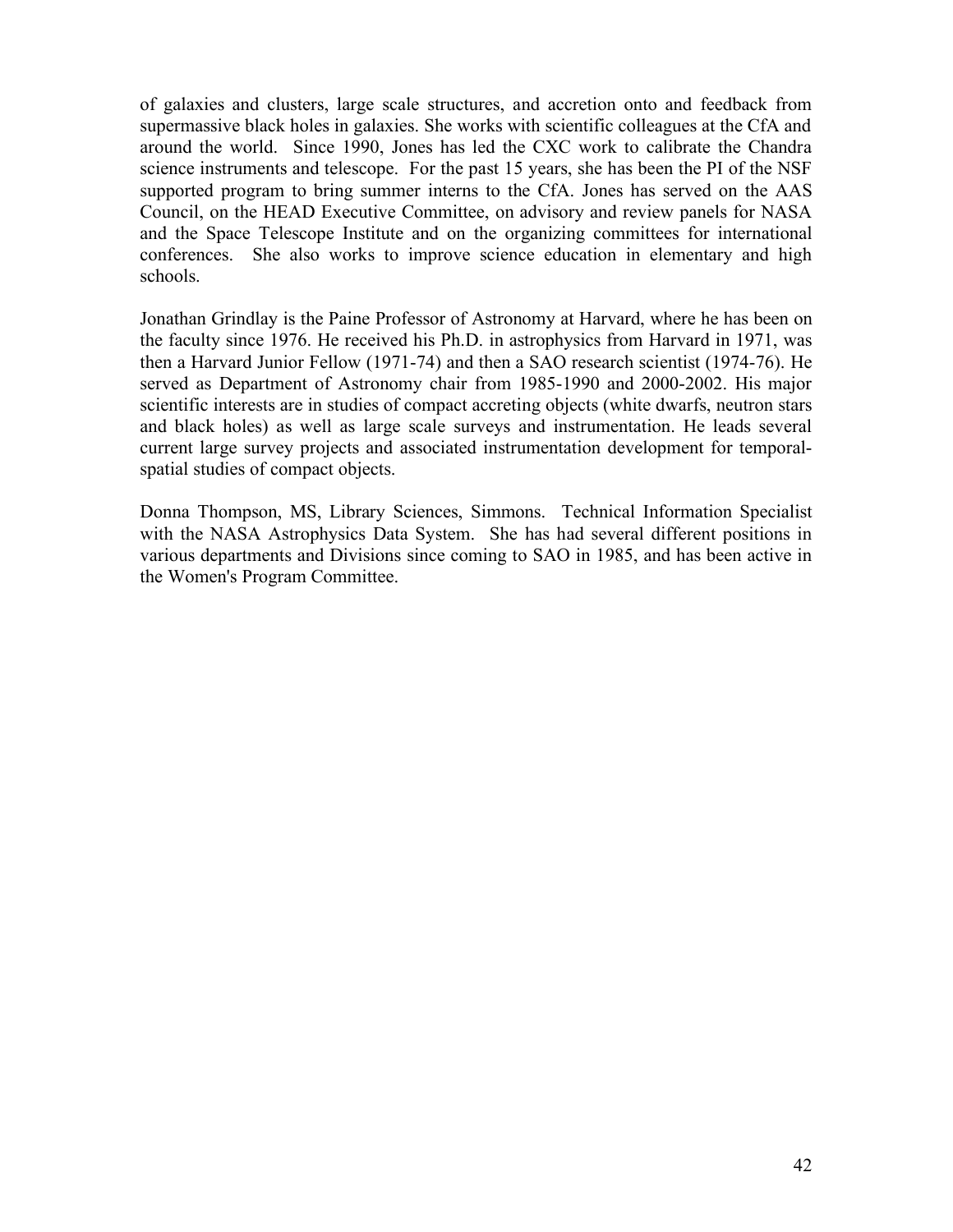of galaxies and clusters, large scale structures, and accretion onto and feedback from supermassive black holes in galaxies. She works with scientific colleagues at the CfA and around the world. Since 1990, Jones has led the CXC work to calibrate the Chandra science instruments and telescope. For the past 15 years, she has been the PI of the NSF supported program to bring summer interns to the CfA. Jones has served on the AAS Council, on the HEAD Executive Committee, on advisory and review panels for NASA and the Space Telescope Institute and on the organizing committees for international conferences. She also works to improve science education in elementary and high schools.

Jonathan Grindlay is the Paine Professor of Astronomy at Harvard, where he has been on the faculty since 1976. He received his Ph.D. in astrophysics from Harvard in 1971, was then a Harvard Junior Fellow (1971-74) and then a SAO research scientist (1974-76). He served as Department of Astronomy chair from 1985-1990 and 2000-2002. His major scientific interests are in studies of compact accreting objects (white dwarfs, neutron stars and black holes) as well as large scale surveys and instrumentation. He leads several current large survey projects and associated instrumentation development for temporalspatial studies of compact objects.

Donna Thompson, MS, Library Sciences, Simmons. Technical Information Specialist with the NASA Astrophysics Data System. She has had several different positions in various departments and Divisions since coming to SAO in 1985, and has been active in the Women's Program Committee.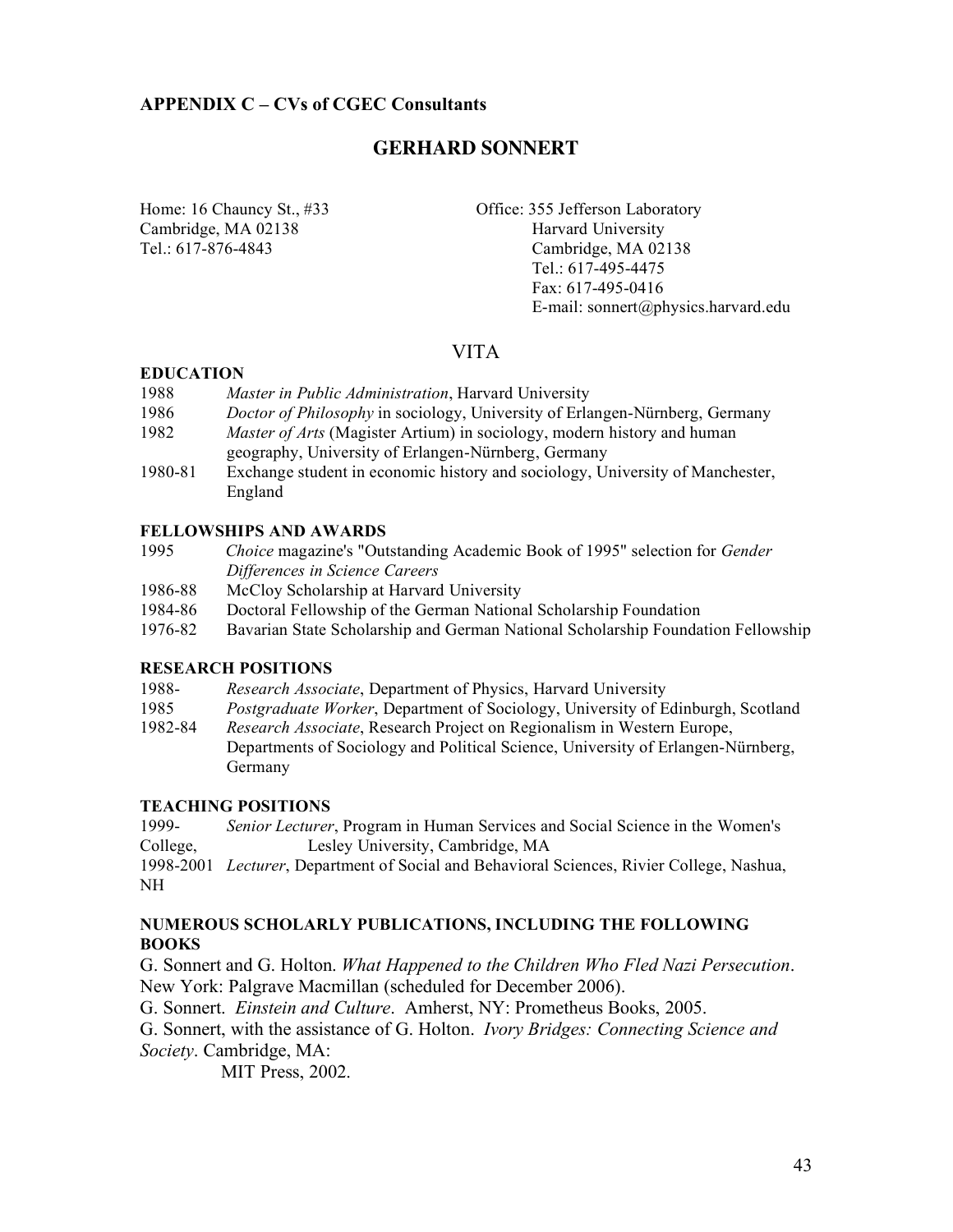### **GERHARD SONNERT**

Cambridge, MA 02138 Harvard University

Home: 16 Chauncy St., #33 Office: 355 Jefferson Laboratory Tel.: 617-876-4843 Cambridge, MA 02138 Tel.: 617-495-4475 Fax: 617-495-0416 E-mail: sonnert@physics.harvard.edu

### VITA

#### **EDUCATION**

- 1988 *Master in Public Administration*, Harvard University
- 1986 *Doctor of Philosophy* in sociology, University of Erlangen-Nürnberg, Germany
- 1982 *Master of Arts* (Magister Artium) in sociology, modern history and human geography, University of Erlangen-Nürnberg, Germany
- 1980-81 Exchange student in economic history and sociology, University of Manchester, England

#### **FELLOWSHIPS AND AWARDS**

- 1995 *Choice* magazine's "Outstanding Academic Book of 1995" selection for *Gender Differences in Science Careers*
- 1986-88 McCloy Scholarship at Harvard University
- 1984-86 Doctoral Fellowship of the German National Scholarship Foundation
- 1976-82 Bavarian State Scholarship and German National Scholarship Foundation Fellowship

#### **RESEARCH POSITIONS**

- 1988- *Research Associate*, Department of Physics, Harvard University
- 1985 *Postgraduate Worker*, Department of Sociology, University of Edinburgh, Scotland
- 1982-84 *Research Associate*, Research Project on Regionalism in Western Europe, Departments of Sociology and Political Science, University of Erlangen-Nürnberg, Germany

#### **TEACHING POSITIONS**

1999- *Senior Lecturer*, Program in Human Services and Social Science in the Women's College, Lesley University, Cambridge, MA

1998-2001 *Lecturer*, Department of Social and Behavioral Sciences, Rivier College, Nashua, NH

#### **NUMEROUS SCHOLARLY PUBLICATIONS, INCLUDING THE FOLLOWING BOOKS**

G. Sonnert and G. Holton. *What Happened to the Children Who Fled Nazi Persecution*. New York: Palgrave Macmillan (scheduled for December 2006).

G. Sonnert. *Einstein and Culture*. Amherst, NY: Prometheus Books, 2005.

G. Sonnert, with the assistance of G. Holton. *Ivory Bridges: Connecting Science and Society*. Cambridge, MA:

MIT Press, 2002.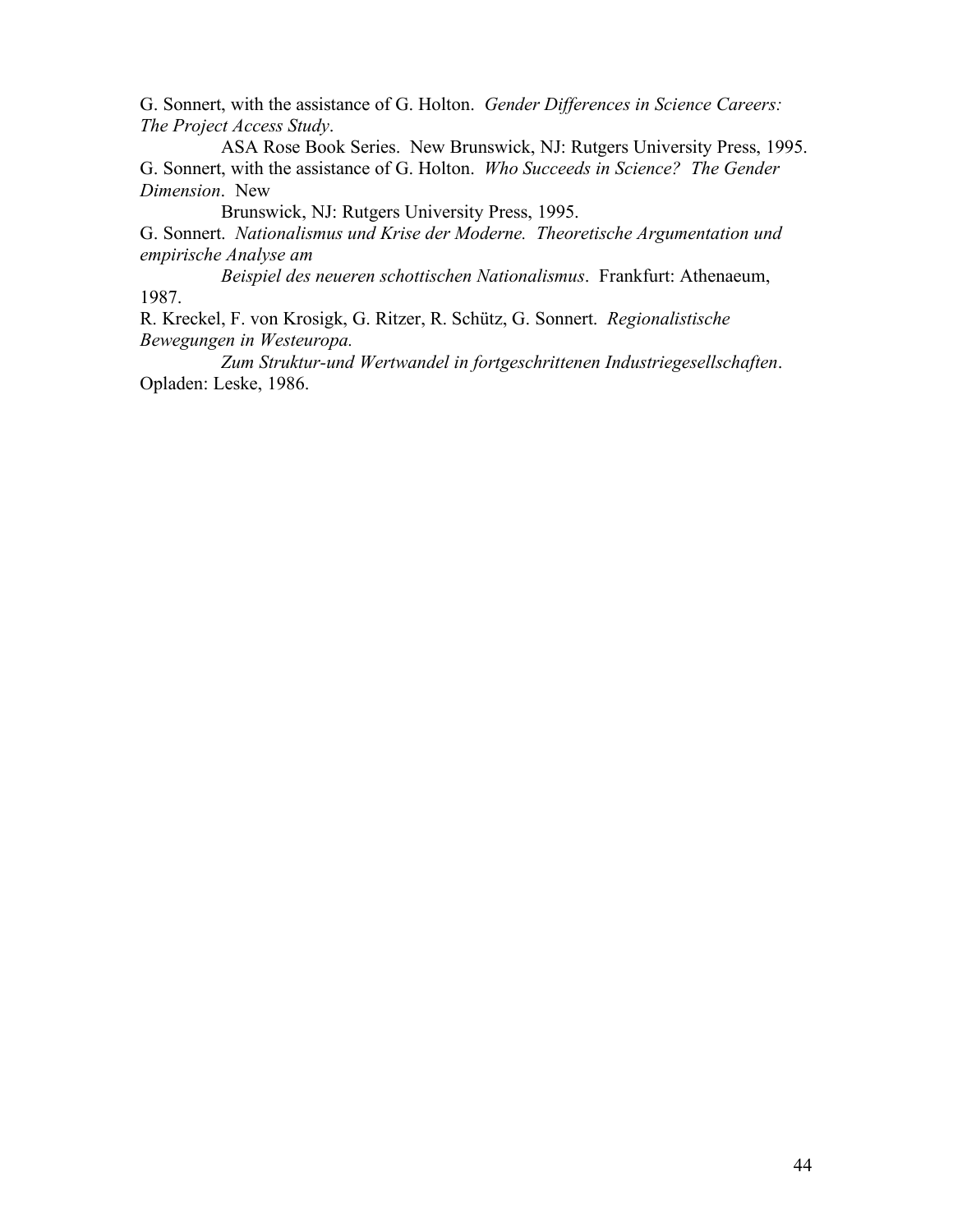G. Sonnert, with the assistance of G. Holton. *Gender Differences in Science Careers: The Project Access Study*.

ASA Rose Book Series. New Brunswick, NJ: Rutgers University Press, 1995. G. Sonnert, with the assistance of G. Holton. *Who Succeeds in Science? The Gender Dimension*. New

Brunswick, NJ: Rutgers University Press, 1995.

G. Sonnert. *Nationalismus und Krise der Moderne. Theoretische Argumentation und empirische Analyse am*

*Beispiel des neueren schottischen Nationalismus*. Frankfurt: Athenaeum, 1987.

R. Kreckel, F. von Krosigk, G. Ritzer, R. Schütz, G. Sonnert. *Regionalistische Bewegungen in Westeuropa.*

*Zum Struktur-und Wertwandel in fortgeschrittenen Industriegesellschaften*. Opladen: Leske, 1986.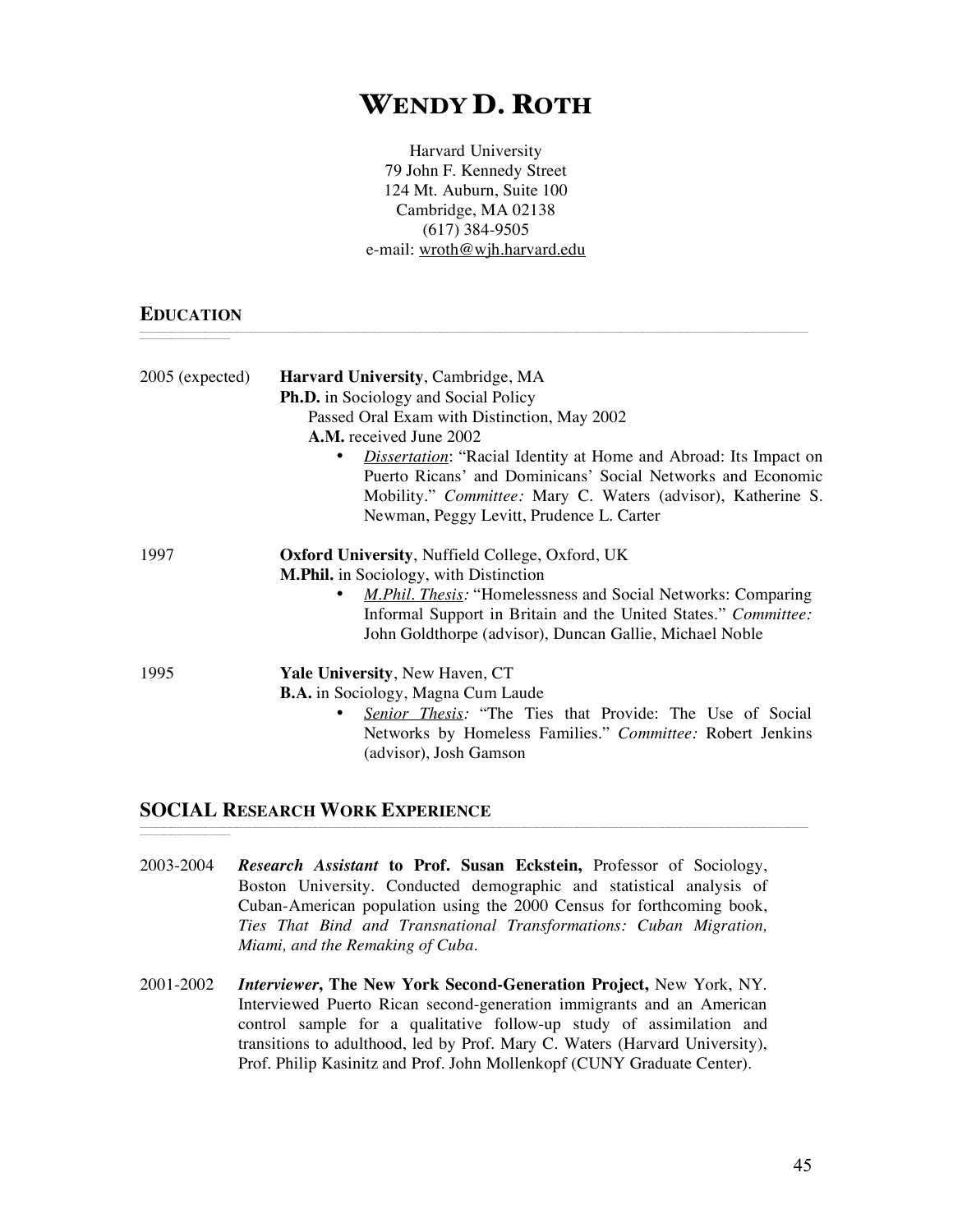# WENDY D. ROTH

Harvard University 79 John F. Kennedy Street 124 Mt. Auburn, Suite 100 Cambridge, MA 02138 (617) 384-9505 e-mail: wroth@wjh.harvard.edu

\_\_\_\_\_\_\_\_\_\_\_\_\_\_\_\_\_\_\_\_\_\_\_\_\_\_\_\_\_\_\_\_\_\_\_\_\_\_\_\_\_\_\_\_\_\_\_\_\_\_\_\_\_\_\_\_\_\_\_\_\_\_\_\_\_\_\_\_\_\_\_\_\_\_\_\_\_\_\_\_\_\_\_\_\_\_\_\_\_\_\_\_\_\_\_\_\_\_\_\_\_\_\_\_\_\_\_\_\_\_\_\_\_\_\_\_\_\_\_\_\_\_\_\_\_\_\_\_\_\_\_\_\_\_\_\_\_\_\_\_\_\_\_\_\_\_\_\_\_\_\_\_\_\_\_\_\_\_\_\_\_\_\_\_\_\_\_\_\_\_\_\_\_\_\_\_\_\_\_\_\_\_\_\_\_\_\_\_\_\_\_\_\_\_\_\_\_\_\_\_\_\_\_\_\_\_\_\_\_\_\_\_\_\_

#### **EDUCATION** \_\_\_\_\_\_\_\_\_\_\_\_\_\_\_\_\_\_\_\_\_\_\_\_\_\_\_\_\_

\_\_\_\_\_\_\_\_\_\_\_\_\_\_\_\_\_\_\_\_\_\_\_\_\_\_\_\_\_

| 2005 (expected) | Harvard University, Cambridge, MA<br><b>Ph.D.</b> in Sociology and Social Policy<br>Passed Oral Exam with Distinction, May 2002<br><b>A.M.</b> received June 2002<br><i>Dissertation</i> : "Racial Identity at Home and Abroad: Its Impact on<br>Puerto Ricans' and Dominicans' Social Networks and Economic<br>Mobility." Committee: Mary C. Waters (advisor), Katherine S.<br>Newman, Peggy Levitt, Prudence L. Carter |
|-----------------|--------------------------------------------------------------------------------------------------------------------------------------------------------------------------------------------------------------------------------------------------------------------------------------------------------------------------------------------------------------------------------------------------------------------------|
| 1997            | <b>Oxford University, Nuffield College, Oxford, UK</b><br><b>M.Phil.</b> in Sociology, with Distinction<br><i>M.Phil. Thesis:</i> "Homelessness and Social Networks: Comparing<br>Informal Support in Britain and the United States." Committee:<br>John Goldthorpe (advisor), Duncan Gallie, Michael Noble                                                                                                              |
| 1995            | <b>Yale University, New Haven, CT</b><br><b>B.A.</b> in Sociology, Magna Cum Laude<br>Senior Thesis: "The Ties that Provide: The Use of Social<br>Networks by Homeless Families." Committee: Robert Jenkins<br>(advisor), Josh Gamson                                                                                                                                                                                    |

#### **SOCIAL RESEARCH WORK EXPERIENCE**

2003-2004 *Research Assistant* **to Prof. Susan Eckstein,** Professor of Sociology, Boston University. Conducted demographic and statistical analysis of Cuban-American population using the 2000 Census for forthcoming book, *Ties That Bind and Transnational Transformations: Cuban Migration, Miami, and the Remaking of Cuba.*

\_\_\_\_\_\_\_\_\_\_\_\_\_\_\_\_\_\_\_\_\_\_\_\_\_\_\_\_\_\_\_\_\_\_\_\_\_\_\_\_\_\_\_\_\_\_\_\_\_\_\_\_\_\_\_\_\_\_\_\_\_\_\_\_\_\_\_\_\_\_\_\_\_\_\_\_\_\_\_\_\_\_\_\_\_\_\_\_\_\_\_\_\_\_\_\_\_\_\_\_\_\_\_\_\_\_\_\_\_\_\_\_\_\_\_\_\_\_\_\_\_\_\_\_\_\_\_\_\_\_\_\_\_\_\_\_\_\_\_\_\_\_\_\_\_\_\_\_\_\_\_\_\_\_\_\_\_\_\_\_\_\_\_\_\_\_\_\_\_\_\_\_\_\_\_\_\_\_\_\_\_\_\_\_\_\_\_\_\_\_\_\_\_\_\_\_\_\_\_\_\_\_\_\_\_\_\_\_\_\_\_\_\_\_

2001-2002 *Interviewer***, The New York Second-Generation Project,** New York, NY. Interviewed Puerto Rican second-generation immigrants and an American control sample for a qualitative follow-up study of assimilation and transitions to adulthood, led by Prof. Mary C. Waters (Harvard University), Prof. Philip Kasinitz and Prof. John Mollenkopf (CUNY Graduate Center).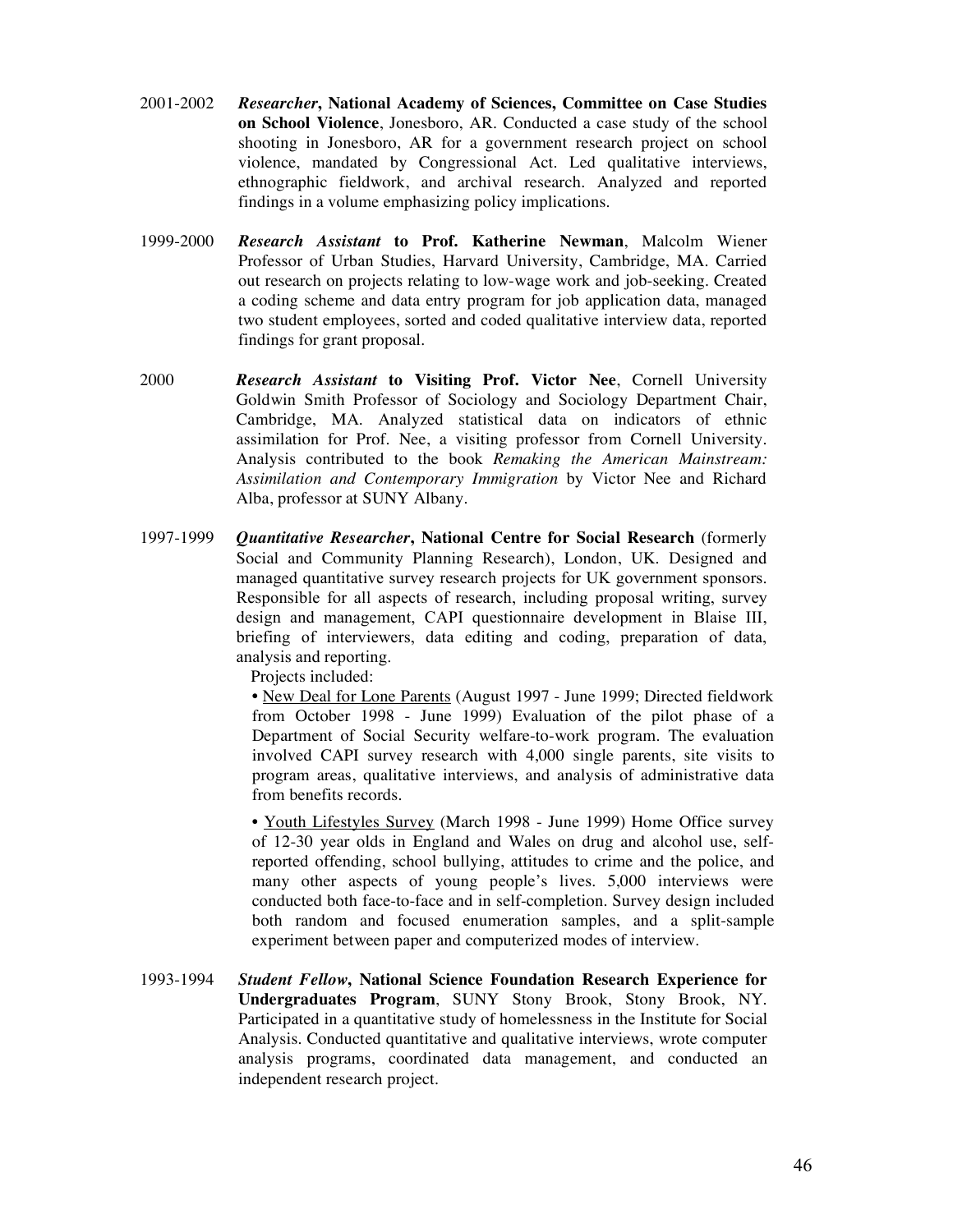- 2001-2002 *Researcher***, National Academy of Sciences, Committee on Case Studies on School Violence**, Jonesboro, AR. Conducted a case study of the school shooting in Jonesboro, AR for a government research project on school violence, mandated by Congressional Act. Led qualitative interviews, ethnographic fieldwork, and archival research. Analyzed and reported findings in a volume emphasizing policy implications.
- 1999-2000 *Research Assistant* **to Prof. Katherine Newman**, Malcolm Wiener Professor of Urban Studies, Harvard University, Cambridge, MA. Carried out research on projects relating to low-wage work and job-seeking. Created a coding scheme and data entry program for job application data, managed two student employees, sorted and coded qualitative interview data, reported findings for grant proposal.
- 2000 *Research Assistant* **to Visiting Prof. Victor Nee**, Cornell University Goldwin Smith Professor of Sociology and Sociology Department Chair, Cambridge, MA. Analyzed statistical data on indicators of ethnic assimilation for Prof. Nee, a visiting professor from Cornell University. Analysis contributed to the book *Remaking the American Mainstream: Assimilation and Contemporary Immigration* by Victor Nee and Richard Alba, professor at SUNY Albany.
- 1997-1999 *Quantitative Researcher***, National Centre for Social Research** (formerly Social and Community Planning Research), London, UK. Designed and managed quantitative survey research projects for UK government sponsors. Responsible for all aspects of research, including proposal writing, survey design and management, CAPI questionnaire development in Blaise III, briefing of interviewers, data editing and coding, preparation of data, analysis and reporting.

Projects included:

• New Deal for Lone Parents (August 1997 - June 1999; Directed fieldwork from October 1998 - June 1999) Evaluation of the pilot phase of a Department of Social Security welfare-to-work program. The evaluation involved CAPI survey research with 4,000 single parents, site visits to program areas, qualitative interviews, and analysis of administrative data from benefits records.

• Youth Lifestyles Survey (March 1998 - June 1999) Home Office survey of 12-30 year olds in England and Wales on drug and alcohol use, selfreported offending, school bullying, attitudes to crime and the police, and many other aspects of young people's lives. 5,000 interviews were conducted both face-to-face and in self-completion. Survey design included both random and focused enumeration samples, and a split-sample experiment between paper and computerized modes of interview.

1993-1994 *Student Fellow***, National Science Foundation Research Experience for Undergraduates Program**, SUNY Stony Brook, Stony Brook, NY. Participated in a quantitative study of homelessness in the Institute for Social Analysis. Conducted quantitative and qualitative interviews, wrote computer analysis programs, coordinated data management, and conducted an independent research project.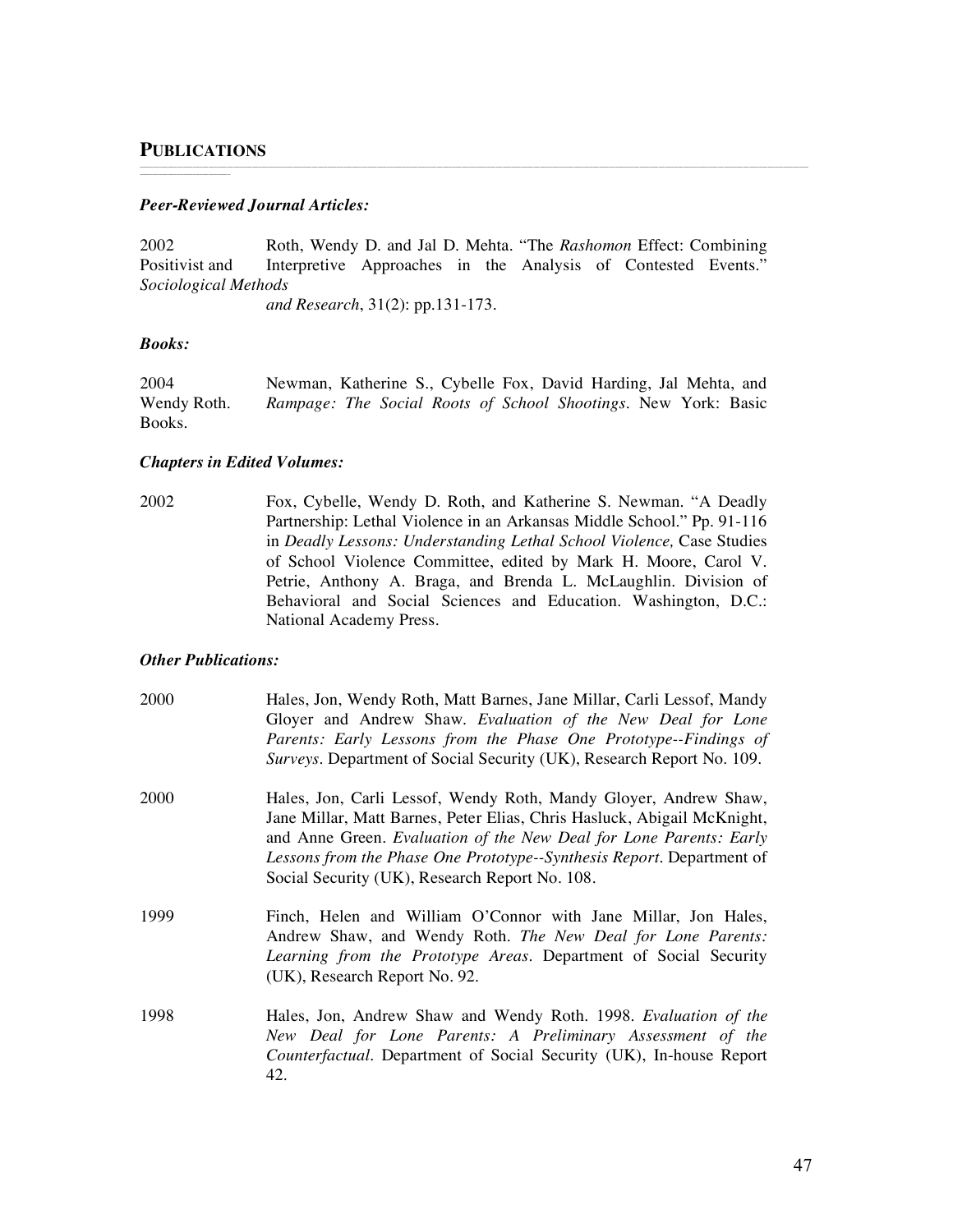\_\_\_\_\_\_\_\_\_\_\_\_\_\_\_\_\_\_\_\_\_\_\_\_\_\_\_\_\_

#### *Peer-Reviewed Journal Articles:*

2002 Roth, Wendy D. and Jal D. Mehta. "The *Rashomon* Effect: Combining Positivist and Interpretive Approaches in the Analysis of Contested Events." *Sociological Methods*

\_\_\_\_\_\_\_\_\_\_\_\_\_\_\_\_\_\_\_\_\_\_\_\_\_\_\_\_\_\_\_\_\_\_\_\_\_\_\_\_\_\_\_\_\_\_\_\_\_\_\_\_\_\_\_\_\_\_\_\_\_\_\_\_\_\_\_\_\_\_\_\_\_\_\_\_\_\_\_\_\_\_\_\_\_\_\_\_\_\_\_\_\_\_\_\_\_\_\_\_\_\_\_\_\_\_\_\_\_\_\_\_\_\_\_\_\_\_\_\_\_\_\_\_\_\_\_\_\_\_\_\_\_\_\_\_\_\_\_\_\_\_\_\_\_\_\_\_\_\_\_\_\_\_\_\_\_\_\_\_\_\_\_\_\_\_\_\_\_\_\_\_\_\_\_\_\_\_\_\_\_\_\_\_\_\_\_\_\_\_\_\_\_\_\_\_\_\_\_\_\_\_\_\_\_\_\_\_\_\_\_\_\_\_

*and Research*, 31(2): pp.131-173.

#### *Books:*

| 2004        | Newman, Katherine S., Cybelle Fox, David Harding, Jal Mehta, and |  |  |  |  |  |
|-------------|------------------------------------------------------------------|--|--|--|--|--|
| Wendy Roth. | Rampage: The Social Roots of School Shootings. New York: Basic   |  |  |  |  |  |
| Books.      |                                                                  |  |  |  |  |  |

#### *Chapters in Edited Volumes:*

2002 Fox, Cybelle, Wendy D. Roth, and Katherine S. Newman. "A Deadly Partnership: Lethal Violence in an Arkansas Middle School." Pp. 91-116 in *Deadly Lessons: Understanding Lethal School Violence,* Case Studies of School Violence Committee, edited by Mark H. Moore, Carol V. Petrie, Anthony A. Braga, and Brenda L. McLaughlin. Division of Behavioral and Social Sciences and Education. Washington, D.C.: National Academy Press.

#### *Other Publications:*

- 2000 Hales, Jon, Wendy Roth, Matt Barnes, Jane Millar, Carli Lessof, Mandy Gloyer and Andrew Shaw. *Evaluation of the New Deal for Lone Parents: Early Lessons from the Phase One Prototype--Findings of Surveys*. Department of Social Security (UK), Research Report No. 109.
- 2000 Hales, Jon, Carli Lessof, Wendy Roth, Mandy Gloyer, Andrew Shaw, Jane Millar, Matt Barnes, Peter Elias, Chris Hasluck, Abigail McKnight, and Anne Green. *Evaluation of the New Deal for Lone Parents: Early Lessons from the Phase One Prototype--Synthesis Report*. Department of Social Security (UK), Research Report No. 108.
- 1999 Finch, Helen and William O'Connor with Jane Millar, Jon Hales, Andrew Shaw, and Wendy Roth. *The New Deal for Lone Parents: Learning from the Prototype Areas*. Department of Social Security (UK), Research Report No. 92.
- 1998 Hales, Jon, Andrew Shaw and Wendy Roth. 1998. *Evaluation of the New Deal for Lone Parents: A Preliminary Assessment of the Counterfactual*. Department of Social Security (UK), In-house Report 42.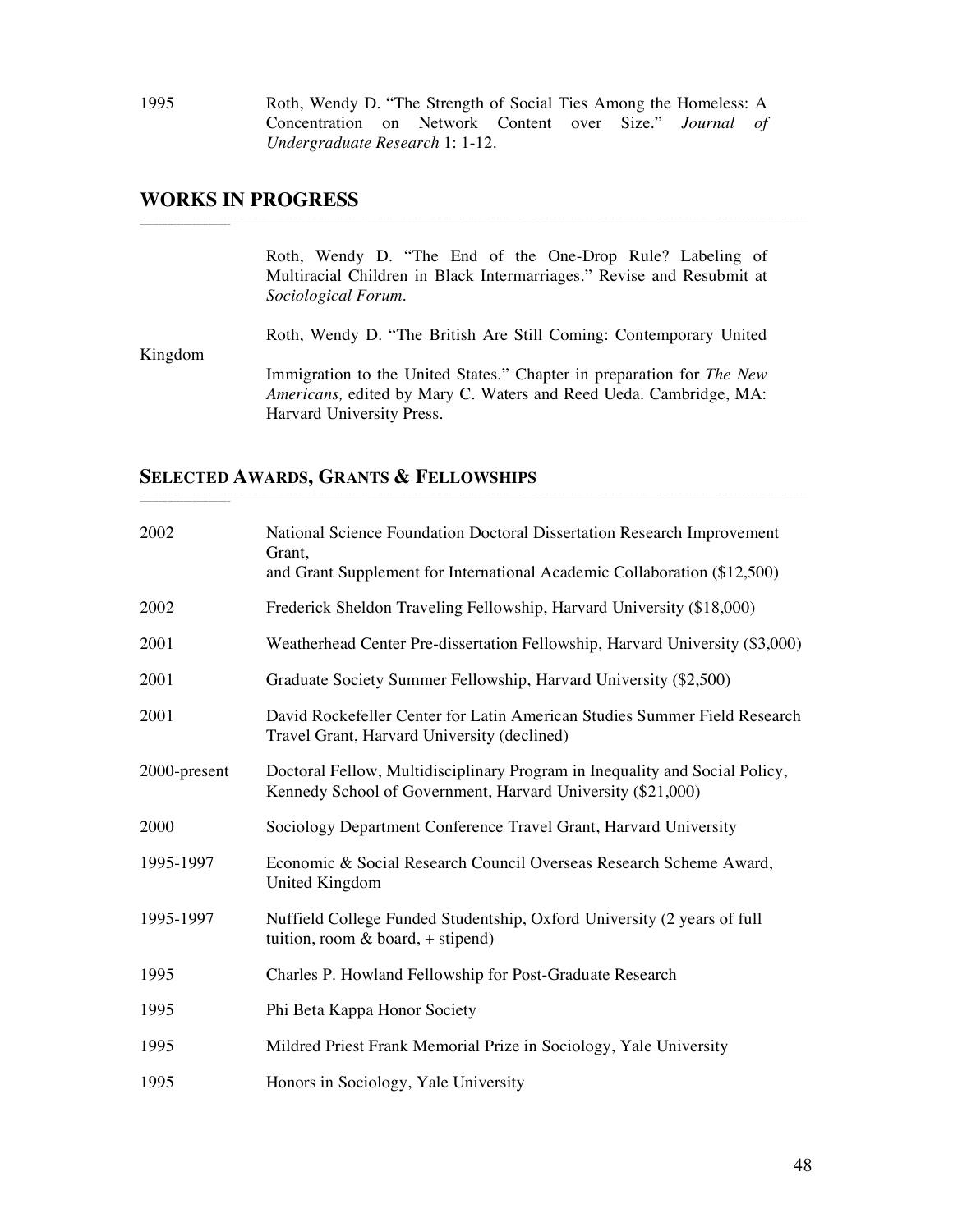1995 Roth, Wendy D. "The Strength of Social Ties Among the Homeless: A Concentration on Network Content over Size." *Journal of Undergraduate Research* 1: 1-12.

\_\_\_\_\_\_\_\_\_\_\_\_\_\_\_\_\_\_\_\_\_\_\_\_\_\_\_\_\_\_\_\_\_\_\_\_\_\_\_\_\_\_\_\_\_\_\_\_\_\_\_\_\_\_\_\_\_\_\_\_\_\_\_\_\_\_\_\_\_\_\_\_\_\_\_\_\_\_\_\_\_\_\_\_\_\_\_\_\_\_\_\_\_\_\_\_\_\_\_\_\_\_\_\_\_\_\_\_\_\_\_\_\_\_\_\_\_\_\_\_\_\_\_\_\_\_\_\_\_\_\_\_\_\_\_\_\_\_\_\_\_\_\_\_\_\_\_\_\_\_\_\_\_\_\_\_\_\_\_\_\_\_\_\_\_\_\_\_\_\_\_\_\_\_\_\_\_\_\_\_\_\_\_\_\_\_\_\_\_\_\_\_\_\_\_\_\_\_\_\_\_\_\_\_\_\_\_\_\_\_\_\_\_\_

### **WORKS IN PROGRESS**

\_\_\_\_\_\_\_\_\_\_\_\_\_\_\_\_\_\_\_\_\_\_\_\_\_\_\_\_\_

\_\_\_\_\_\_\_\_\_\_\_\_\_\_\_\_\_\_\_\_\_\_\_\_\_\_\_\_\_

Roth, Wendy D. "The End of the One-Drop Rule? Labeling of Multiracial Children in Black Intermarriages." Revise and Resubmit at *Sociological Forum.*

Roth, Wendy D. "The British Are Still Coming: Contemporary United Kingdom

\_\_\_\_\_\_\_\_\_\_\_\_\_\_\_\_\_\_\_\_\_\_\_\_\_\_\_\_\_\_\_\_\_\_\_\_\_\_\_\_\_\_\_\_\_\_\_\_\_\_\_\_\_\_\_\_\_\_\_\_\_\_\_\_\_\_\_\_\_\_\_\_\_\_\_\_\_\_\_\_\_\_\_\_\_\_\_\_\_\_\_\_\_\_\_\_\_\_\_\_\_\_\_\_\_\_\_\_\_\_\_\_\_\_\_\_\_\_\_\_\_\_\_\_\_\_\_\_\_\_\_\_\_\_\_\_\_\_\_\_\_\_\_\_\_\_\_\_\_\_\_\_\_\_\_\_\_\_\_\_\_\_\_\_\_\_\_\_\_\_\_\_\_\_\_\_\_\_\_\_\_\_\_\_\_\_\_\_\_\_\_\_\_\_\_\_\_\_\_\_\_\_\_\_\_\_\_\_\_\_\_\_\_\_

Immigration to the United States." Chapter in preparation for *The New Americans,* edited by Mary C. Waters and Reed Ueda. Cambridge, MA: Harvard University Press.

#### **SELECTED AWARDS, GRANTS & FELLOWSHIPS**

| 2002         | National Science Foundation Doctoral Dissertation Research Improvement<br>Grant,<br>and Grant Supplement for International Academic Collaboration (\$12,500) |
|--------------|--------------------------------------------------------------------------------------------------------------------------------------------------------------|
| 2002         | Frederick Sheldon Traveling Fellowship, Harvard University (\$18,000)                                                                                        |
| 2001         | Weatherhead Center Pre-dissertation Fellowship, Harvard University (\$3,000)                                                                                 |
| 2001         | Graduate Society Summer Fellowship, Harvard University (\$2,500)                                                                                             |
| 2001         | David Rockefeller Center for Latin American Studies Summer Field Research<br>Travel Grant, Harvard University (declined)                                     |
| 2000-present | Doctoral Fellow, Multidisciplinary Program in Inequality and Social Policy,<br>Kennedy School of Government, Harvard University (\$21,000)                   |
| 2000         | Sociology Department Conference Travel Grant, Harvard University                                                                                             |
| 1995-1997    | Economic & Social Research Council Overseas Research Scheme Award,<br>United Kingdom                                                                         |
| 1995-1997    | Nuffield College Funded Studentship, Oxford University (2 years of full<br>tuition, room $&$ board, + stipend)                                               |
| 1995         | Charles P. Howland Fellowship for Post-Graduate Research                                                                                                     |
| 1995         | Phi Beta Kappa Honor Society                                                                                                                                 |
| 1995         | Mildred Priest Frank Memorial Prize in Sociology, Yale University                                                                                            |
| 1995         | Honors in Sociology, Yale University                                                                                                                         |

48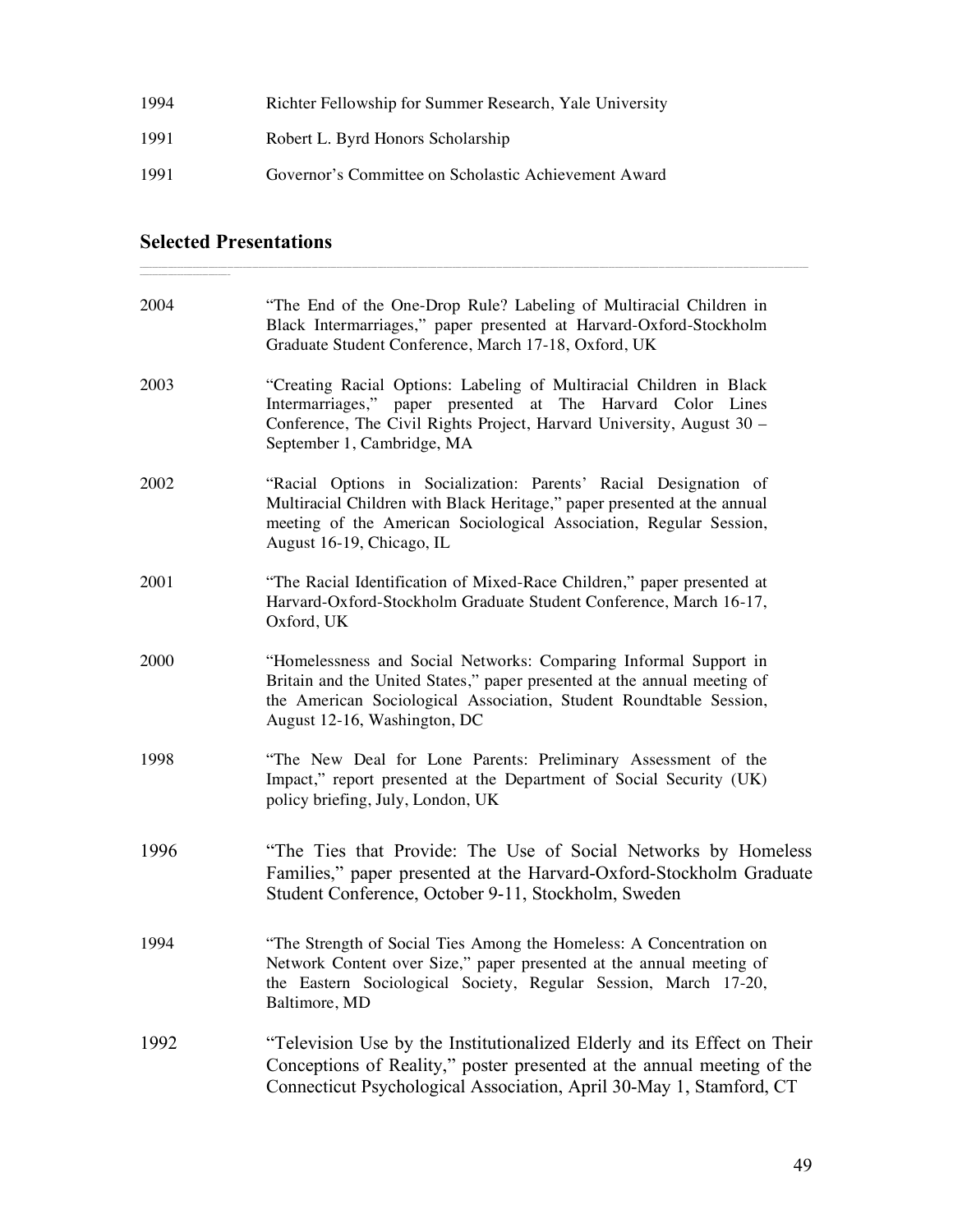| 1994 | Richter Fellowship for Summer Research, Yale University |
|------|---------------------------------------------------------|
| 1991 | Robert L. Byrd Honors Scholarship                       |
| 1991 | Governor's Committee on Scholastic Achievement Award    |

### **Selected Presentations**

| 2004 | "The End of the One-Drop Rule? Labeling of Multiracial Children in<br>Black Intermarriages," paper presented at Harvard-Oxford-Stockholm<br>Graduate Student Conference, March 17-18, Oxford, UK                                                   |
|------|----------------------------------------------------------------------------------------------------------------------------------------------------------------------------------------------------------------------------------------------------|
| 2003 | "Creating Racial Options: Labeling of Multiracial Children in Black<br>Intermarriages," paper presented at The Harvard Color Lines<br>Conference, The Civil Rights Project, Harvard University, August 30 -<br>September 1, Cambridge, MA          |
| 2002 | "Racial Options in Socialization: Parents' Racial Designation of<br>Multiracial Children with Black Heritage," paper presented at the annual<br>meeting of the American Sociological Association, Regular Session,<br>August 16-19, Chicago, IL    |
| 2001 | "The Racial Identification of Mixed-Race Children," paper presented at<br>Harvard-Oxford-Stockholm Graduate Student Conference, March 16-17,<br>Oxford, UK                                                                                         |
| 2000 | "Homelessness and Social Networks: Comparing Informal Support in<br>Britain and the United States," paper presented at the annual meeting of<br>the American Sociological Association, Student Roundtable Session,<br>August 12-16, Washington, DC |
| 1998 | "The New Deal for Lone Parents: Preliminary Assessment of the<br>Impact," report presented at the Department of Social Security (UK)<br>policy briefing, July, London, UK                                                                          |
| 1996 | "The Ties that Provide: The Use of Social Networks by Homeless<br>Families," paper presented at the Harvard-Oxford-Stockholm Graduate<br>Student Conference, October 9-11, Stockholm, Sweden                                                       |
| 1994 | "The Strength of Social Ties Among the Homeless: A Concentration on<br>Network Content over Size," paper presented at the annual meeting of<br>the Eastern Sociological Society, Regular Session, March 17-20,<br>Baltimore, MD                    |
| 1992 | "Television Use by the Institutionalized Elderly and its Effect on Their<br>Conceptions of Reality," poster presented at the annual meeting of the<br>Connecticut Psychological Association, April 30-May 1, Stamford, CT                          |

\_\_\_\_\_\_\_\_\_\_\_\_\_\_\_\_\_\_\_\_\_\_\_\_\_\_\_\_\_\_\_\_\_\_\_\_\_\_\_\_\_\_\_\_\_\_\_\_\_\_\_\_\_\_\_\_\_\_\_\_\_\_\_\_\_\_\_\_\_\_\_\_\_\_\_\_\_\_\_\_\_\_\_\_\_\_\_\_\_\_\_\_\_\_\_\_\_\_\_\_\_\_\_\_\_\_\_\_\_\_\_\_\_\_\_\_\_\_\_\_\_\_\_\_\_\_\_\_\_\_\_\_\_\_\_\_\_\_\_\_\_\_\_\_\_\_\_\_\_\_\_\_\_\_\_\_\_\_\_\_\_\_\_\_\_\_\_\_\_\_\_\_\_\_\_\_\_\_\_\_\_\_\_\_\_\_\_\_\_\_\_\_\_\_\_\_\_\_\_\_\_\_\_\_\_\_\_\_\_\_\_\_\_\_ \_\_\_\_\_\_\_\_\_\_\_\_\_\_\_\_\_\_\_\_\_\_\_\_\_\_\_\_\_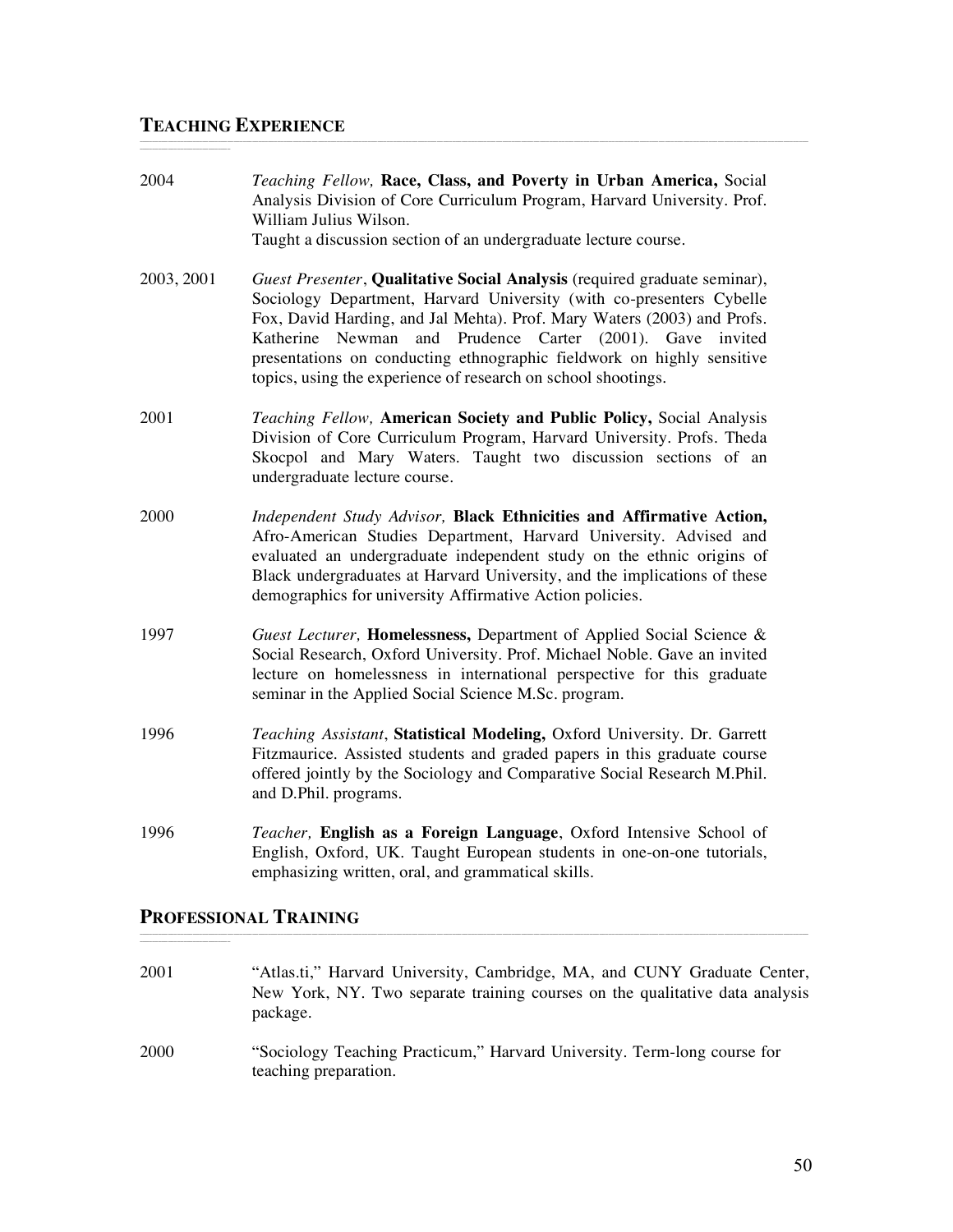### **TEACHING EXPERIENCE**

| 2004       | Teaching Fellow, Race, Class, and Poverty in Urban America, Social<br>Analysis Division of Core Curriculum Program, Harvard University. Prof.<br>William Julius Wilson.<br>Taught a discussion section of an undergraduate lecture course.                                                                                                                                                                                           |
|------------|--------------------------------------------------------------------------------------------------------------------------------------------------------------------------------------------------------------------------------------------------------------------------------------------------------------------------------------------------------------------------------------------------------------------------------------|
| 2003, 2001 | Guest Presenter, Qualitative Social Analysis (required graduate seminar),<br>Sociology Department, Harvard University (with co-presenters Cybelle<br>Fox, David Harding, and Jal Mehta). Prof. Mary Waters (2003) and Profs.<br>Katherine Newman and Prudence Carter (2001). Gave invited<br>presentations on conducting ethnographic fieldwork on highly sensitive<br>topics, using the experience of research on school shootings. |
| 2001       | Teaching Fellow, American Society and Public Policy, Social Analysis<br>Division of Core Curriculum Program, Harvard University. Profs. Theda<br>Skocpol and Mary Waters. Taught two discussion sections of an<br>undergraduate lecture course.                                                                                                                                                                                      |
| 2000       | Independent Study Advisor, Black Ethnicities and Affirmative Action,<br>Afro-American Studies Department, Harvard University. Advised and<br>evaluated an undergraduate independent study on the ethnic origins of<br>Black undergraduates at Harvard University, and the implications of these<br>demographics for university Affirmative Action policies.                                                                          |
| 1997       | Guest Lecturer, Homelessness, Department of Applied Social Science &<br>Social Research, Oxford University. Prof. Michael Noble. Gave an invited<br>lecture on homelessness in international perspective for this graduate<br>seminar in the Applied Social Science M.Sc. program.                                                                                                                                                   |
| 1996       | Teaching Assistant, Statistical Modeling, Oxford University. Dr. Garrett<br>Fitzmaurice. Assisted students and graded papers in this graduate course<br>offered jointly by the Sociology and Comparative Social Research M.Phil.<br>and D.Phil. programs.                                                                                                                                                                            |
| 1996       | Teacher, English as a Foreign Language, Oxford Intensive School of<br>English, Oxford, UK. Taught European students in one-on-one tutorials,<br>emphasizing written, oral, and grammatical skills.                                                                                                                                                                                                                                   |

\_\_\_\_\_\_\_\_\_\_\_\_\_\_\_\_\_\_\_\_\_\_\_\_\_\_\_\_\_\_\_\_\_\_\_\_\_\_\_\_\_\_\_\_\_\_\_\_\_\_\_\_\_\_\_\_\_\_\_\_\_\_\_\_\_\_\_\_\_\_\_\_\_\_\_\_\_\_\_\_\_\_\_\_\_\_\_\_\_\_\_\_\_\_\_\_\_\_\_\_\_\_\_\_\_\_\_\_\_\_\_\_\_\_\_\_\_\_\_\_\_\_\_\_\_\_\_\_\_\_\_\_\_\_\_\_\_\_\_\_\_\_\_\_\_\_\_\_\_\_\_\_\_\_\_\_\_\_\_\_\_\_\_\_\_\_\_\_\_\_\_\_\_\_\_\_\_\_\_\_\_\_\_\_\_\_\_\_\_\_\_\_\_\_\_\_\_\_\_\_\_\_\_\_\_\_\_\_\_\_\_\_\_\_ \_\_\_\_\_\_\_\_\_\_\_\_\_\_\_\_\_\_\_\_\_\_\_\_\_\_\_\_\_

### **PROFESSIONAL TRAINING**

\_\_\_\_\_\_\_\_\_\_\_\_\_\_\_\_\_\_\_\_\_\_\_\_\_\_\_\_\_

| 2001 | "Atlas.ti," Harvard University, Cambridge, MA, and CUNY Graduate Center,<br>New York, NY. Two separate training courses on the qualitative data analysis<br>package. |
|------|----------------------------------------------------------------------------------------------------------------------------------------------------------------------|
| 2000 | "Sociology Teaching Practicum," Harvard University. Term-long course for<br>teaching preparation.                                                                    |

\_\_\_\_\_\_\_\_\_\_\_\_\_\_\_\_\_\_\_\_\_\_\_\_\_\_\_\_\_\_\_\_\_\_\_\_\_\_\_\_\_\_\_\_\_\_\_\_\_\_\_\_\_\_\_\_\_\_\_\_\_\_\_\_\_\_\_\_\_\_\_\_\_\_\_\_\_\_\_\_\_\_\_\_\_\_\_\_\_\_\_\_\_\_\_\_\_\_\_\_\_\_\_\_\_\_\_\_\_\_\_\_\_\_\_\_\_\_\_\_\_\_\_\_\_\_\_\_\_\_\_\_\_\_\_\_\_\_\_\_\_\_\_\_\_\_\_\_\_\_\_\_\_\_\_\_\_\_\_\_\_\_\_\_\_\_\_\_\_\_\_\_\_\_\_\_\_\_\_\_\_\_\_\_\_\_\_\_\_\_\_\_\_\_\_\_\_\_\_\_\_\_\_\_\_\_\_\_\_\_\_\_\_\_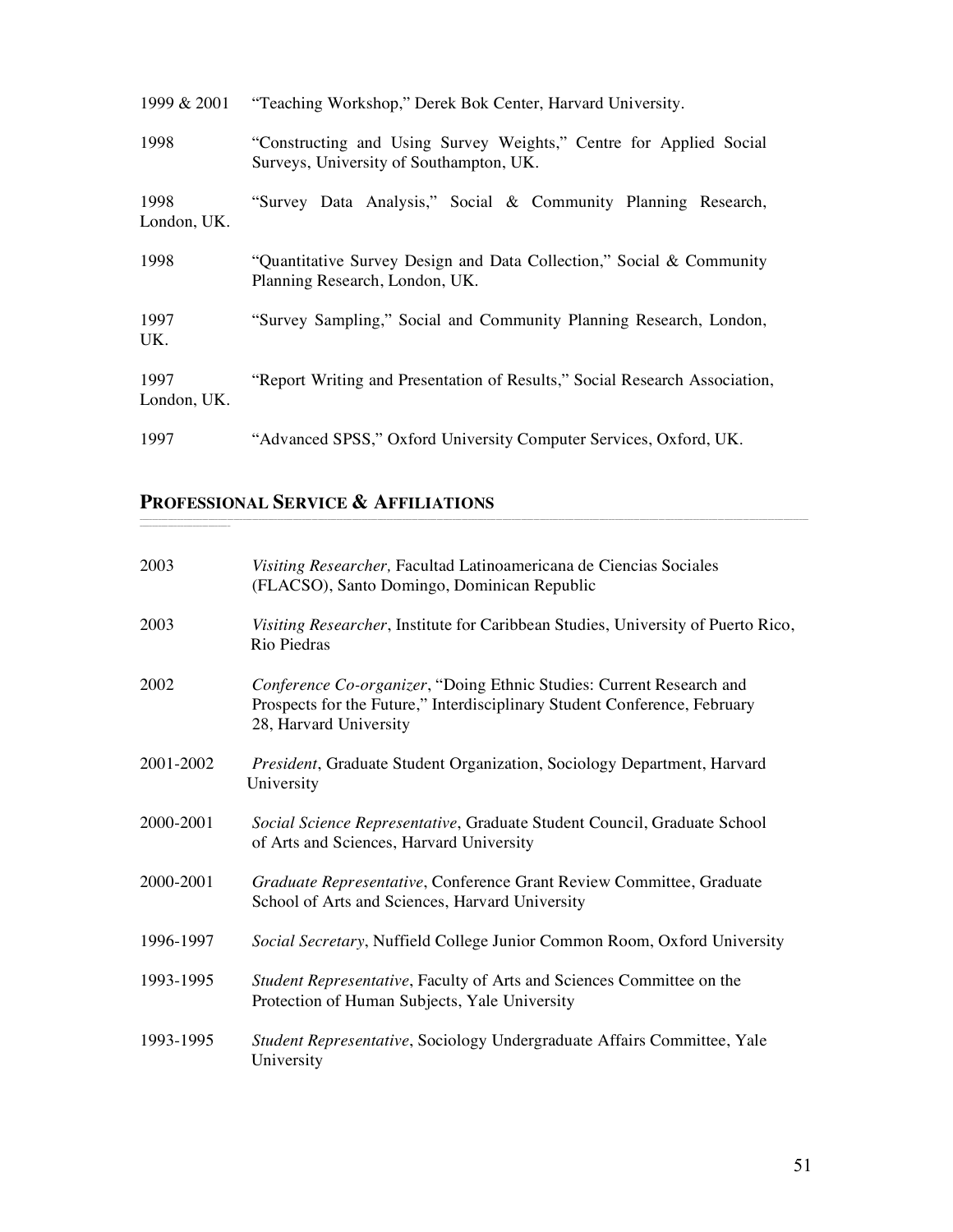| 1999 & 2001         | "Teaching Workshop," Derek Bok Center, Harvard University.                                                    |
|---------------------|---------------------------------------------------------------------------------------------------------------|
| 1998                | "Constructing and Using Survey Weights," Centre for Applied Social<br>Surveys, University of Southampton, UK. |
| 1998<br>London, UK. | "Survey Data Analysis," Social & Community Planning Research,                                                 |
| 1998                | "Quantitative Survey Design and Data Collection," Social & Community<br>Planning Research, London, UK.        |
| 1997<br>UK.         | "Survey Sampling," Social and Community Planning Research, London,                                            |
| 1997<br>London, UK. | "Report Writing and Presentation of Results," Social Research Association,                                    |
| 1997                | "Advanced SPSS," Oxford University Computer Services, Oxford, UK.                                             |

## **PROFESSIONAL SERVICE & AFFILIATIONS**

\_\_\_\_\_\_\_\_\_\_\_\_\_\_\_\_\_\_\_\_\_\_\_\_\_\_\_\_\_

| 2003      | Visiting Researcher, Facultad Latinoamericana de Ciencias Sociales<br>(FLACSO), Santo Domingo, Dominican Republic                                                           |
|-----------|-----------------------------------------------------------------------------------------------------------------------------------------------------------------------------|
| 2003      | Visiting Researcher, Institute for Caribbean Studies, University of Puerto Rico,<br>Rio Piedras                                                                             |
| 2002      | Conference Co-organizer, "Doing Ethnic Studies: Current Research and<br>Prospects for the Future," Interdisciplinary Student Conference, February<br>28, Harvard University |
| 2001-2002 | President, Graduate Student Organization, Sociology Department, Harvard<br>University                                                                                       |
| 2000-2001 | Social Science Representative, Graduate Student Council, Graduate School<br>of Arts and Sciences, Harvard University                                                        |
| 2000-2001 | Graduate Representative, Conference Grant Review Committee, Graduate<br>School of Arts and Sciences, Harvard University                                                     |
| 1996-1997 | Social Secretary, Nuffield College Junior Common Room, Oxford University                                                                                                    |
| 1993-1995 | Student Representative, Faculty of Arts and Sciences Committee on the<br>Protection of Human Subjects, Yale University                                                      |
| 1993-1995 | Student Representative, Sociology Undergraduate Affairs Committee, Yale<br>University                                                                                       |

\_\_\_\_\_\_\_\_\_\_\_\_\_\_\_\_\_\_\_\_\_\_\_\_\_\_\_\_\_\_\_\_\_\_\_\_\_\_\_\_\_\_\_\_\_\_\_\_\_\_\_\_\_\_\_\_\_\_\_\_\_\_\_\_\_\_\_\_\_\_\_\_\_\_\_\_\_\_\_\_\_\_\_\_\_\_\_\_\_\_\_\_\_\_\_\_\_\_\_\_\_\_\_\_\_\_\_\_\_\_\_\_\_\_\_\_\_\_\_\_\_\_\_\_\_\_\_\_\_\_\_\_\_\_\_\_\_\_\_\_\_\_\_\_\_\_\_\_\_\_\_\_\_\_\_\_\_\_\_\_\_\_\_\_\_\_\_\_\_\_\_\_\_\_\_\_\_\_\_\_\_\_\_\_\_\_\_\_\_\_\_\_\_\_\_\_\_\_\_\_\_\_\_\_\_\_\_\_\_\_\_\_\_\_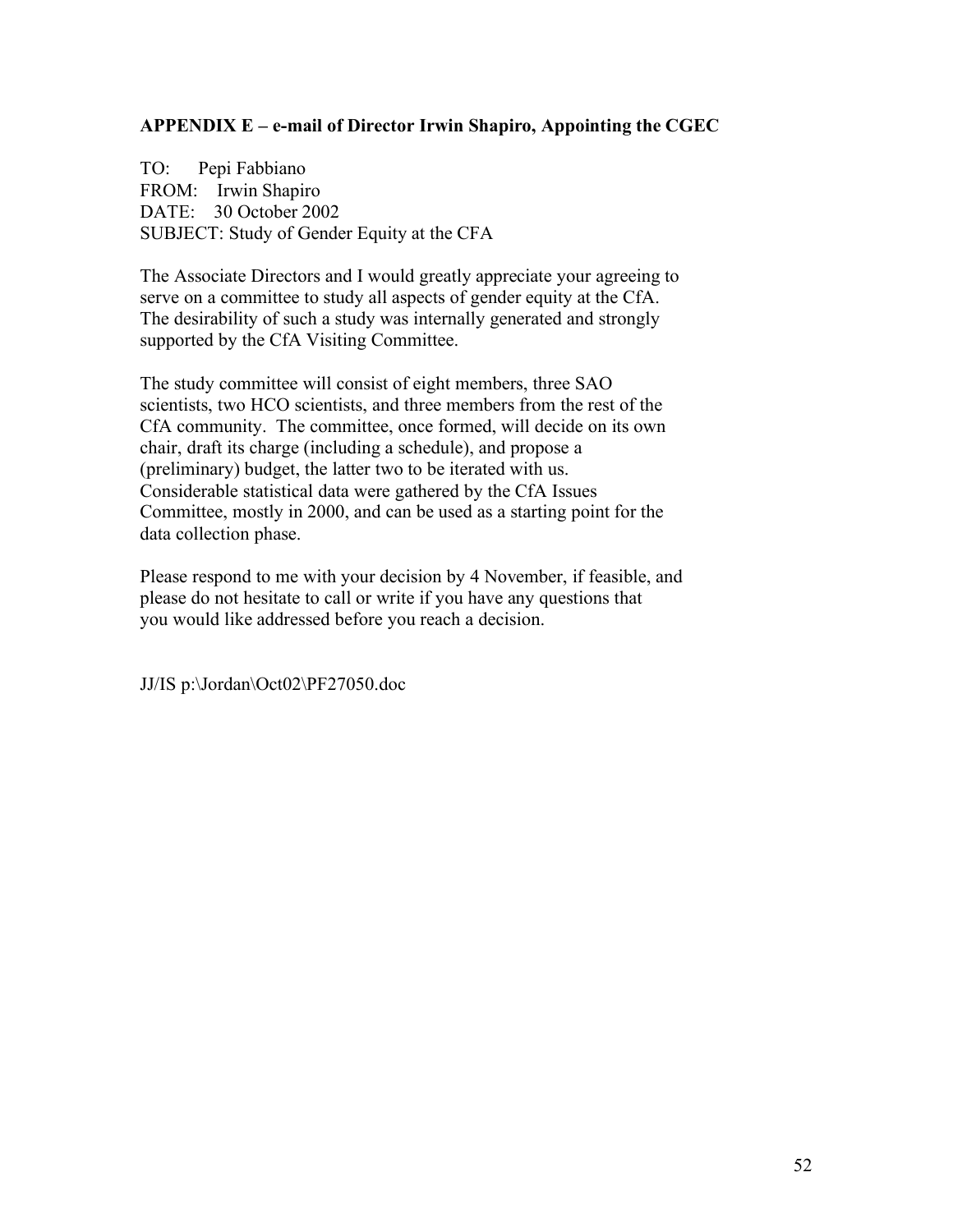#### **APPENDIX E – e-mail of Director Irwin Shapiro, Appointing the CGEC**

TO: Pepi Fabbiano FROM: Irwin Shapiro DATE: 30 October 2002 SUBJECT: Study of Gender Equity at the CFA

The Associate Directors and I would greatly appreciate your agreeing to serve on a committee to study all aspects of gender equity at the CfA. The desirability of such a study was internally generated and strongly supported by the CfA Visiting Committee.

The study committee will consist of eight members, three SAO scientists, two HCO scientists, and three members from the rest of the CfA community. The committee, once formed, will decide on its own chair, draft its charge (including a schedule), and propose a (preliminary) budget, the latter two to be iterated with us. Considerable statistical data were gathered by the CfA Issues Committee, mostly in 2000, and can be used as a starting point for the data collection phase.

Please respond to me with your decision by 4 November, if feasible, and please do not hesitate to call or write if you have any questions that you would like addressed before you reach a decision.

JJ/IS p:\Jordan\Oct02\PF27050.doc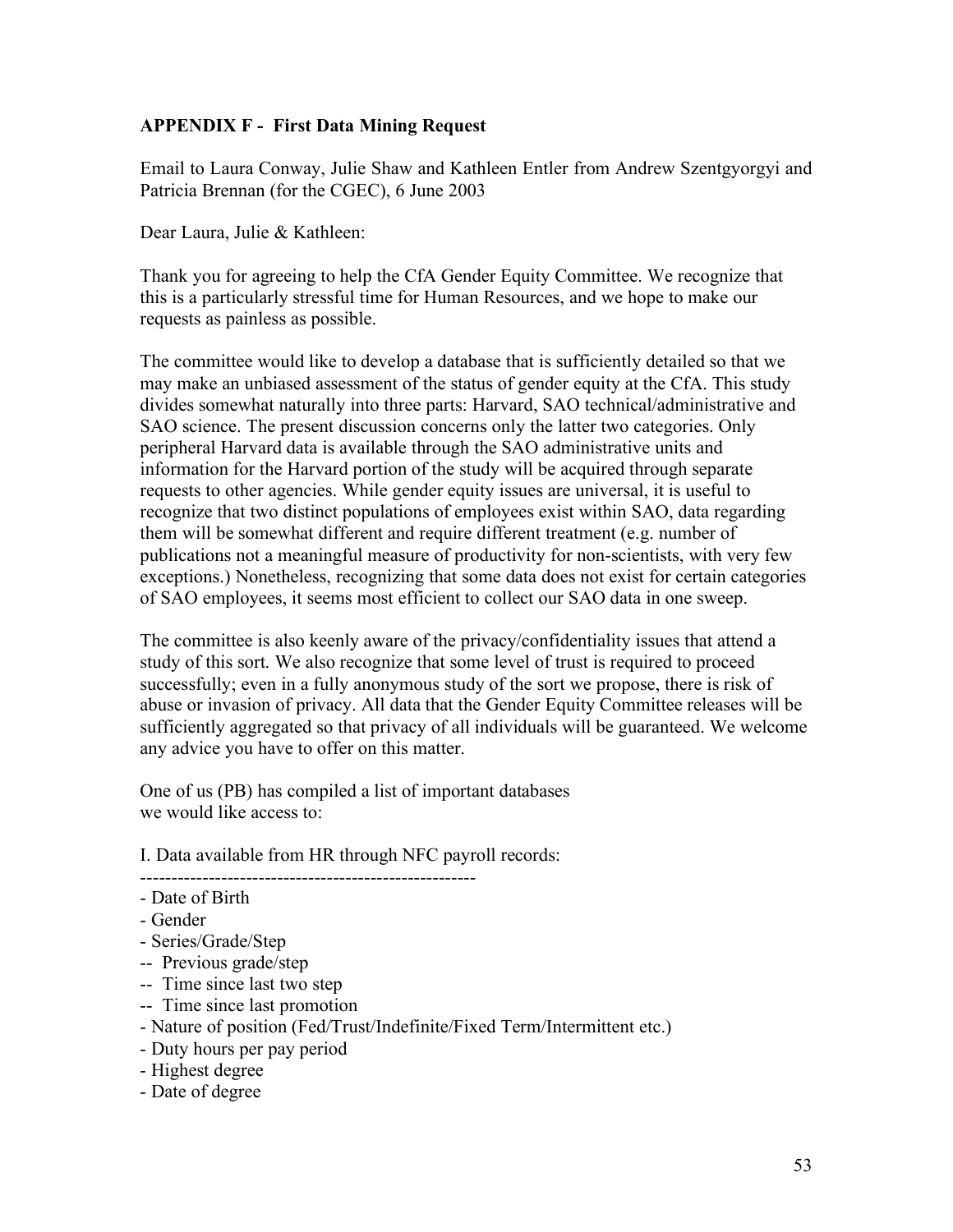#### **APPENDIX F - First Data Mining Request**

Email to Laura Conway, Julie Shaw and Kathleen Entler from Andrew Szentgyorgyi and Patricia Brennan (for the CGEC), 6 June 2003

Dear Laura, Julie & Kathleen:

Thank you for agreeing to help the CfA Gender Equity Committee. We recognize that this is a particularly stressful time for Human Resources, and we hope to make our requests as painless as possible.

The committee would like to develop a database that is sufficiently detailed so that we may make an unbiased assessment of the status of gender equity at the CfA. This study divides somewhat naturally into three parts: Harvard, SAO technical/administrative and SAO science. The present discussion concerns only the latter two categories. Only peripheral Harvard data is available through the SAO administrative units and information for the Harvard portion of the study will be acquired through separate requests to other agencies. While gender equity issues are universal, it is useful to recognize that two distinct populations of employees exist within SAO, data regarding them will be somewhat different and require different treatment (e.g. number of publications not a meaningful measure of productivity for non-scientists, with very few exceptions.) Nonetheless, recognizing that some data does not exist for certain categories of SAO employees, it seems most efficient to collect our SAO data in one sweep.

The committee is also keenly aware of the privacy/confidentiality issues that attend a study of this sort. We also recognize that some level of trust is required to proceed successfully; even in a fully anonymous study of the sort we propose, there is risk of abuse or invasion of privacy. All data that the Gender Equity Committee releases will be sufficiently aggregated so that privacy of all individuals will be guaranteed. We welcome any advice you have to offer on this matter.

One of us (PB) has compiled a list of important databases we would like access to:

I. Data available from HR through NFC payroll records:

------------------------------------------------------

- Date of Birth
- Gender
- Series/Grade/Step
- -- Previous grade/step
- -- Time since last two step
- -- Time since last promotion
- Nature of position (Fed/Trust/Indefinite/Fixed Term/Intermittent etc.)
- Duty hours per pay period
- Highest degree
- Date of degree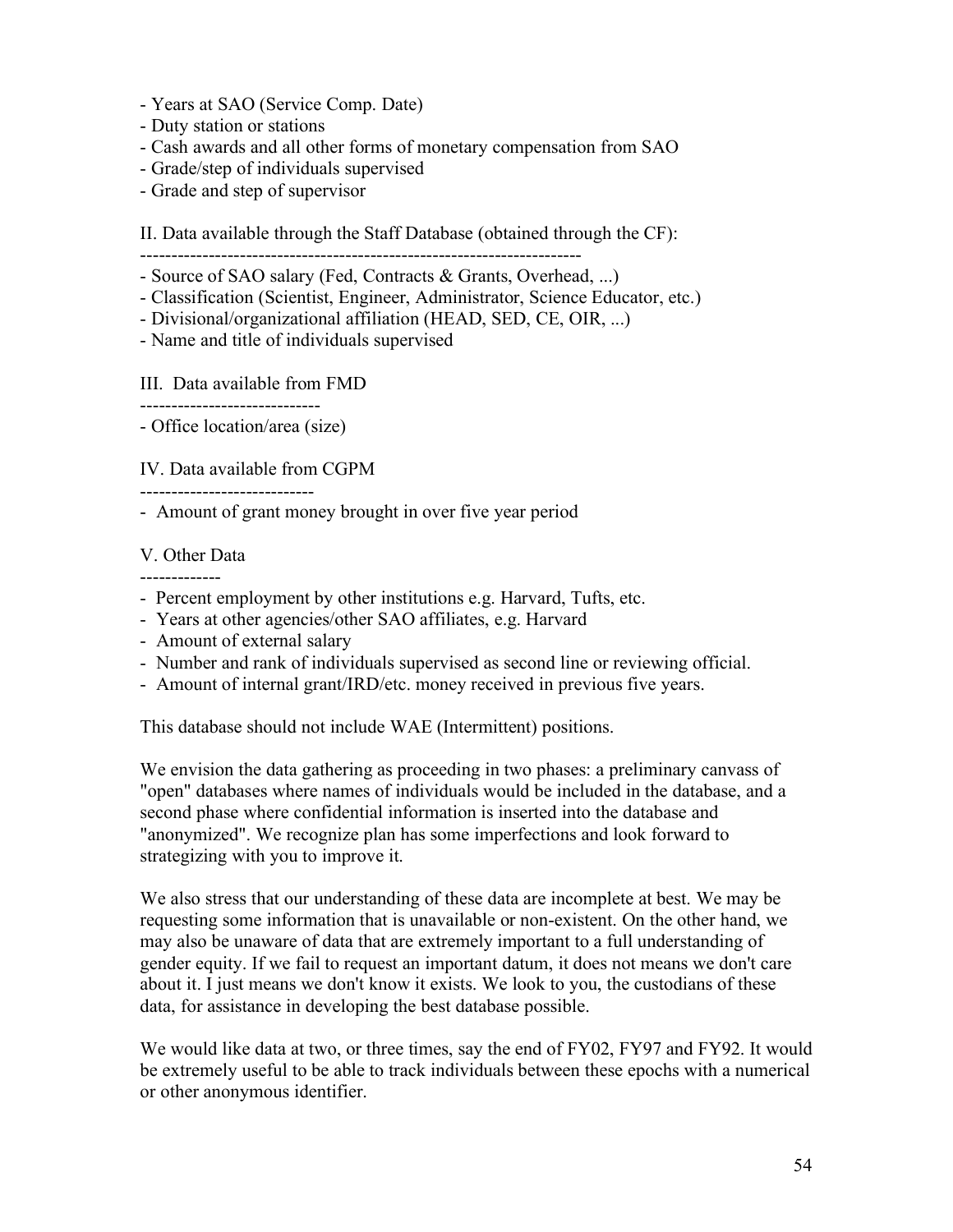- Years at SAO (Service Comp. Date)
- Duty station or stations
- Cash awards and all other forms of monetary compensation from SAO
- Grade/step of individuals supervised
- Grade and step of supervisor

II. Data available through the Staff Database (obtained through the CF): -----------------------------------------------------------------------

- Source of SAO salary (Fed, Contracts & Grants, Overhead, ...)

- Classification (Scientist, Engineer, Administrator, Science Educator, etc.)
- Divisional/organizational affiliation (HEAD, SED, CE, OIR, ...)

- Name and title of individuals supervised

#### III. Data available from FMD

-----------------------------

- Office location/area (size)

IV. Data available from CGPM

----------------------------

- Amount of grant money brought in over five year period

### V. Other Data

-------------

- Percent employment by other institutions e.g. Harvard, Tufts, etc.
- Years at other agencies/other SAO affiliates, e.g. Harvard
- Amount of external salary
- Number and rank of individuals supervised as second line or reviewing official.
- Amount of internal grant/IRD/etc. money received in previous five years.

This database should not include WAE (Intermittent) positions.

We envision the data gathering as proceeding in two phases: a preliminary canvass of "open" databases where names of individuals would be included in the database, and a second phase where confidential information is inserted into the database and "anonymized". We recognize plan has some imperfections and look forward to strategizing with you to improve it.

We also stress that our understanding of these data are incomplete at best. We may be requesting some information that is unavailable or non-existent. On the other hand, we may also be unaware of data that are extremely important to a full understanding of gender equity. If we fail to request an important datum, it does not means we don't care about it. I just means we don't know it exists. We look to you, the custodians of these data, for assistance in developing the best database possible.

We would like data at two, or three times, say the end of FY02, FY97 and FY92. It would be extremely useful to be able to track individuals between these epochs with a numerical or other anonymous identifier.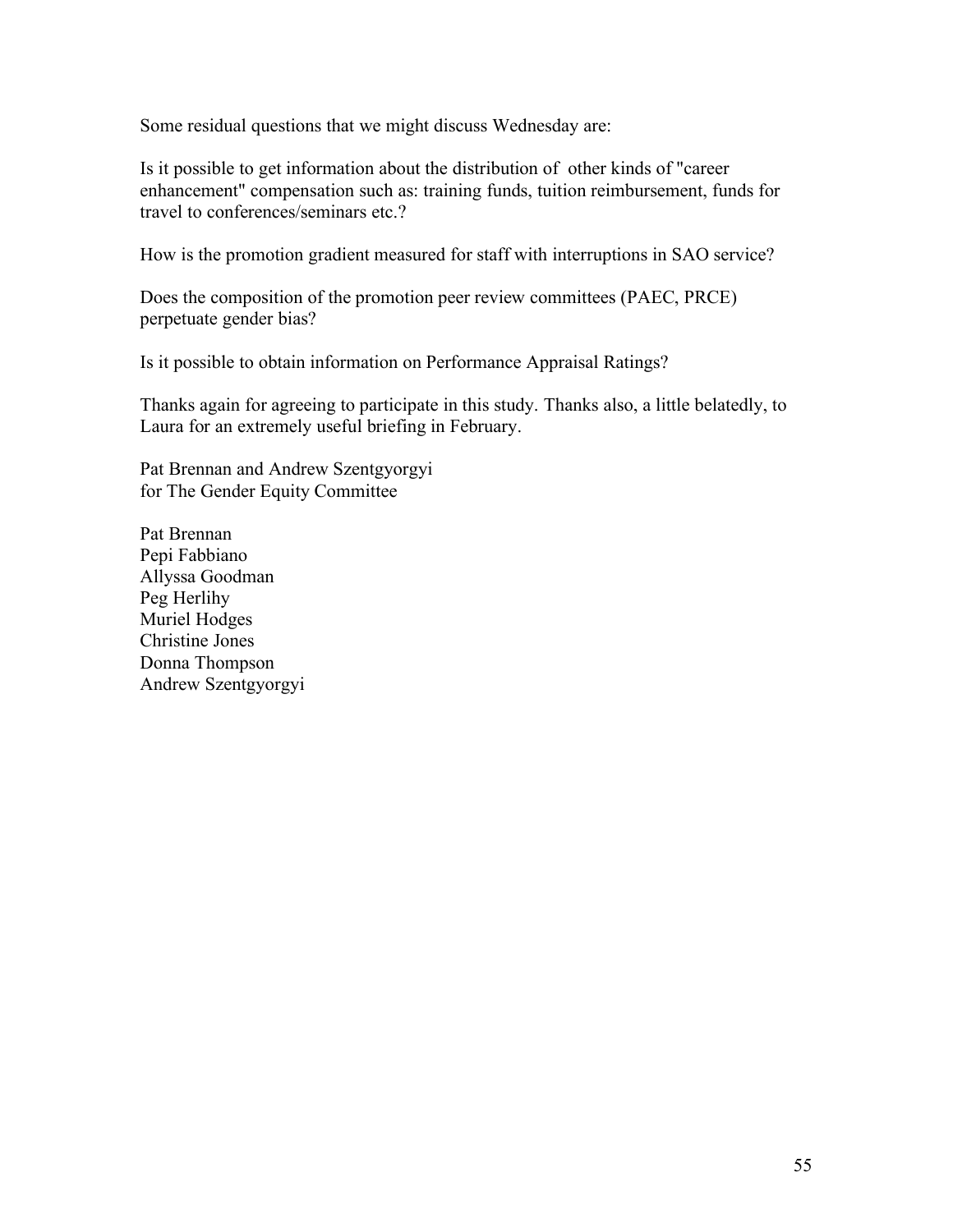Some residual questions that we might discuss Wednesday are:

Is it possible to get information about the distribution of other kinds of "career enhancement" compensation such as: training funds, tuition reimbursement, funds for travel to conferences/seminars etc.?

How is the promotion gradient measured for staff with interruptions in SAO service?

Does the composition of the promotion peer review committees (PAEC, PRCE) perpetuate gender bias?

Is it possible to obtain information on Performance Appraisal Ratings?

Thanks again for agreeing to participate in this study. Thanks also, a little belatedly, to Laura for an extremely useful briefing in February.

Pat Brennan and Andrew Szentgyorgyi for The Gender Equity Committee

Pat Brennan Pepi Fabbiano Allyssa Goodman Peg Herlihy Muriel Hodges Christine Jones Donna Thompson Andrew Szentgyorgyi